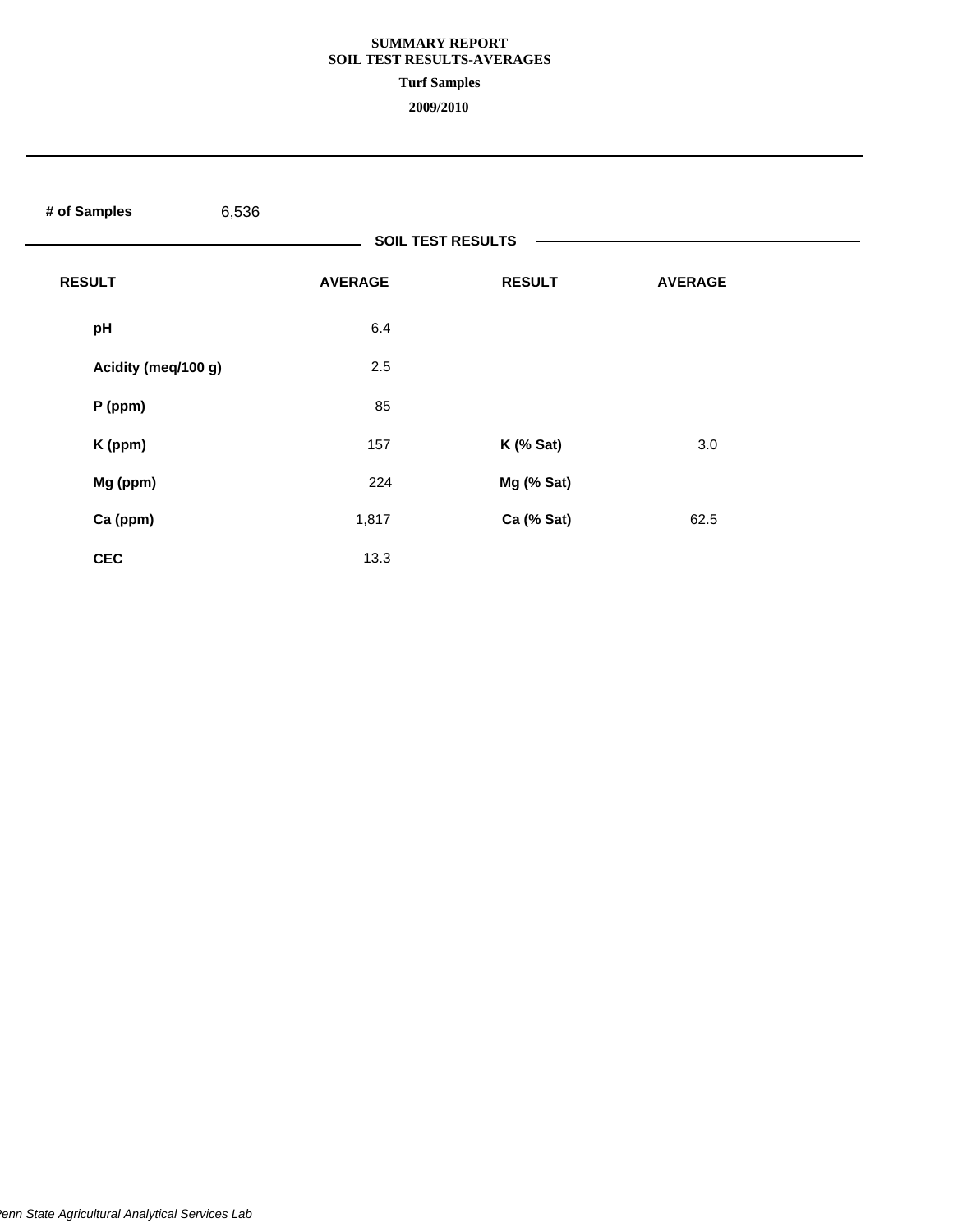#### **SUMMARY REPORT SOIL TEST RESULTS-AVERAGES**

#### **Turf Samples**

| # of Samples        | 6,536          |                          |                |  |
|---------------------|----------------|--------------------------|----------------|--|
|                     |                | <b>SOIL TEST RESULTS</b> |                |  |
| <b>RESULT</b>       | <b>AVERAGE</b> | <b>RESULT</b>            | <b>AVERAGE</b> |  |
| pH                  | 6.4            |                          |                |  |
| Acidity (meq/100 g) | 2.5            |                          |                |  |
| $P$ (ppm)           | 85             |                          |                |  |
| K (ppm)             | 157            | $K$ (% Sat)              | 3.0            |  |
| Mg (ppm)            | 224            | Mg (% Sat)               |                |  |
| Ca (ppm)            | 1,817          | Ca (% Sat)               | 62.5           |  |
| <b>CEC</b>          | 13.3           |                          |                |  |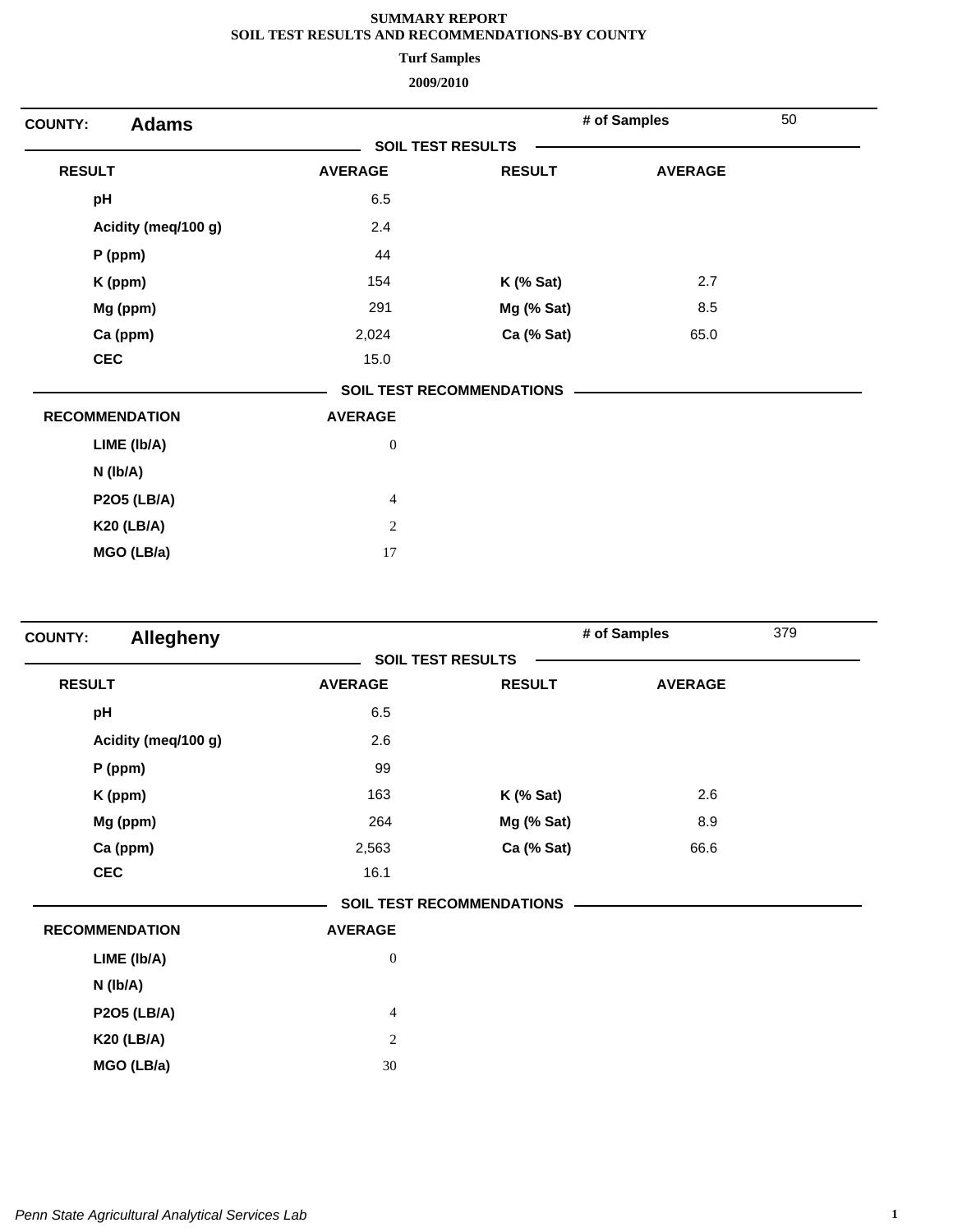**Turf Samples**

| <b>Adams</b><br><b>COUNTY:</b> |                          |                                  | # of Samples   | 50 |  |  |
|--------------------------------|--------------------------|----------------------------------|----------------|----|--|--|
|                                | <b>SOIL TEST RESULTS</b> |                                  |                |    |  |  |
| <b>RESULT</b>                  | <b>AVERAGE</b>           | <b>RESULT</b>                    | <b>AVERAGE</b> |    |  |  |
| pH                             | 6.5                      |                                  |                |    |  |  |
| Acidity (meq/100 g)            | 2.4                      |                                  |                |    |  |  |
| $P$ (ppm)                      | 44                       |                                  |                |    |  |  |
| K (ppm)                        | 154                      | $K$ (% Sat)                      | 2.7            |    |  |  |
| Mg (ppm)                       | 291                      | Mg (% Sat)                       | 8.5            |    |  |  |
| Ca (ppm)                       | 2,024                    | Ca (% Sat)                       | 65.0           |    |  |  |
| <b>CEC</b>                     | 15.0                     |                                  |                |    |  |  |
|                                |                          | <b>SOIL TEST RECOMMENDATIONS</b> |                |    |  |  |
| <b>RECOMMENDATION</b>          | <b>AVERAGE</b>           |                                  |                |    |  |  |
| LIME (Ib/A)                    | $\boldsymbol{0}$         |                                  |                |    |  |  |
| $N$ ( $lb/A$ )                 |                          |                                  |                |    |  |  |
| <b>P2O5 (LB/A)</b>             | $\overline{\mathcal{A}}$ |                                  |                |    |  |  |
| <b>K20 (LB/A)</b>              | $\overline{c}$           |                                  |                |    |  |  |
| MGO (LB/a)                     | 17                       |                                  |                |    |  |  |

| <b>Allegheny</b><br><b>COUNTY:</b> |                  |                                  | # of Samples   | 379 |
|------------------------------------|------------------|----------------------------------|----------------|-----|
|                                    |                  | <b>SOIL TEST RESULTS</b>         |                |     |
| <b>RESULT</b>                      | <b>AVERAGE</b>   | <b>RESULT</b>                    | <b>AVERAGE</b> |     |
| pH                                 | 6.5              |                                  |                |     |
| Acidity (meq/100 g)                | 2.6              |                                  |                |     |
| P (ppm)                            | 99               |                                  |                |     |
| K (ppm)                            | 163              | $K$ (% Sat)                      | 2.6            |     |
| Mg (ppm)                           | 264              | Mg (% Sat)                       | 8.9            |     |
| Ca (ppm)                           | 2,563            | Ca (% Sat)                       | 66.6           |     |
| <b>CEC</b>                         | 16.1             |                                  |                |     |
|                                    |                  | <b>SOIL TEST RECOMMENDATIONS</b> |                |     |
| <b>RECOMMENDATION</b>              | <b>AVERAGE</b>   |                                  |                |     |
| LIME (Ib/A)                        | $\boldsymbol{0}$ |                                  |                |     |
| N (lb/A)                           |                  |                                  |                |     |
| <b>P2O5 (LB/A)</b>                 | $\overline{4}$   |                                  |                |     |
| <b>K20 (LB/A)</b>                  | $\overline{c}$   |                                  |                |     |
| MGO (LB/a)                         | 30               |                                  |                |     |
|                                    |                  |                                  |                |     |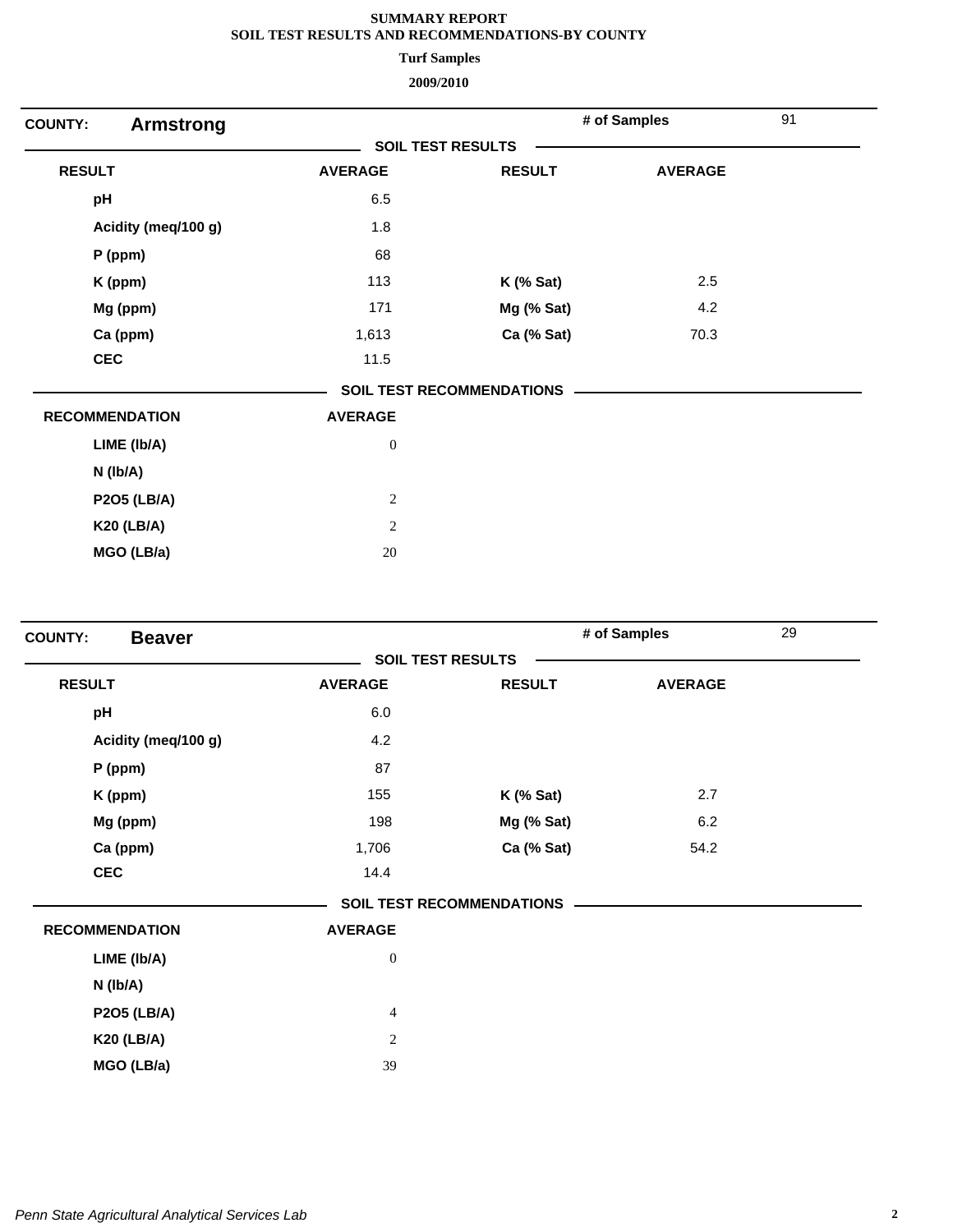**Turf Samples**

| <b>Armstrong</b><br><b>COUNTY:</b> |                          |                                  | # of Samples   | 91 |
|------------------------------------|--------------------------|----------------------------------|----------------|----|
|                                    | <b>SOIL TEST RESULTS</b> |                                  |                |    |
| <b>RESULT</b>                      | <b>AVERAGE</b>           | <b>RESULT</b>                    | <b>AVERAGE</b> |    |
| pH                                 | 6.5                      |                                  |                |    |
| Acidity (meq/100 g)                | 1.8                      |                                  |                |    |
| P (ppm)                            | 68                       |                                  |                |    |
| K (ppm)                            | 113                      | $K$ (% Sat)                      | 2.5            |    |
| Mg (ppm)                           | 171                      | Mg (% Sat)                       | 4.2            |    |
| Ca (ppm)                           | 1,613                    | Ca (% Sat)                       | 70.3           |    |
| <b>CEC</b>                         | 11.5                     |                                  |                |    |
|                                    |                          | <b>SOIL TEST RECOMMENDATIONS</b> |                |    |
| <b>RECOMMENDATION</b>              | <b>AVERAGE</b>           |                                  |                |    |
| LIME (Ib/A)                        | $\boldsymbol{0}$         |                                  |                |    |
| $N$ ( $lb/A$ )                     |                          |                                  |                |    |
| <b>P2O5 (LB/A)</b>                 | $\sqrt{2}$               |                                  |                |    |
| <b>K20 (LB/A)</b>                  | $\sqrt{2}$               |                                  |                |    |
| MGO (LB/a)                         | 20                       |                                  |                |    |

| <b>Beaver</b><br><b>COUNTY:</b> |                          |                                  | # of Samples   | 29 |
|---------------------------------|--------------------------|----------------------------------|----------------|----|
|                                 | <b>SOIL TEST RESULTS</b> |                                  |                |    |
| <b>RESULT</b>                   | <b>AVERAGE</b>           | <b>RESULT</b>                    | <b>AVERAGE</b> |    |
| pH                              | 6.0                      |                                  |                |    |
| Acidity (meq/100 g)             | 4.2                      |                                  |                |    |
| $P$ (ppm)                       | 87                       |                                  |                |    |
| K (ppm)                         | 155                      | $K$ (% Sat)                      | 2.7            |    |
| Mg (ppm)                        | 198                      | Mg (% Sat)                       | 6.2            |    |
| Ca (ppm)                        | 1,706                    | Ca (% Sat)                       | 54.2           |    |
| <b>CEC</b>                      | 14.4                     |                                  |                |    |
|                                 |                          | <b>SOIL TEST RECOMMENDATIONS</b> |                |    |
| <b>RECOMMENDATION</b>           | <b>AVERAGE</b>           |                                  |                |    |
| LIME (Ib/A)                     | $\boldsymbol{0}$         |                                  |                |    |
| N (Ib/A)                        |                          |                                  |                |    |
| <b>P2O5 (LB/A)</b>              | $\overline{4}$           |                                  |                |    |
| <b>K20 (LB/A)</b>               | $\overline{c}$           |                                  |                |    |
| MGO (LB/a)                      | 39                       |                                  |                |    |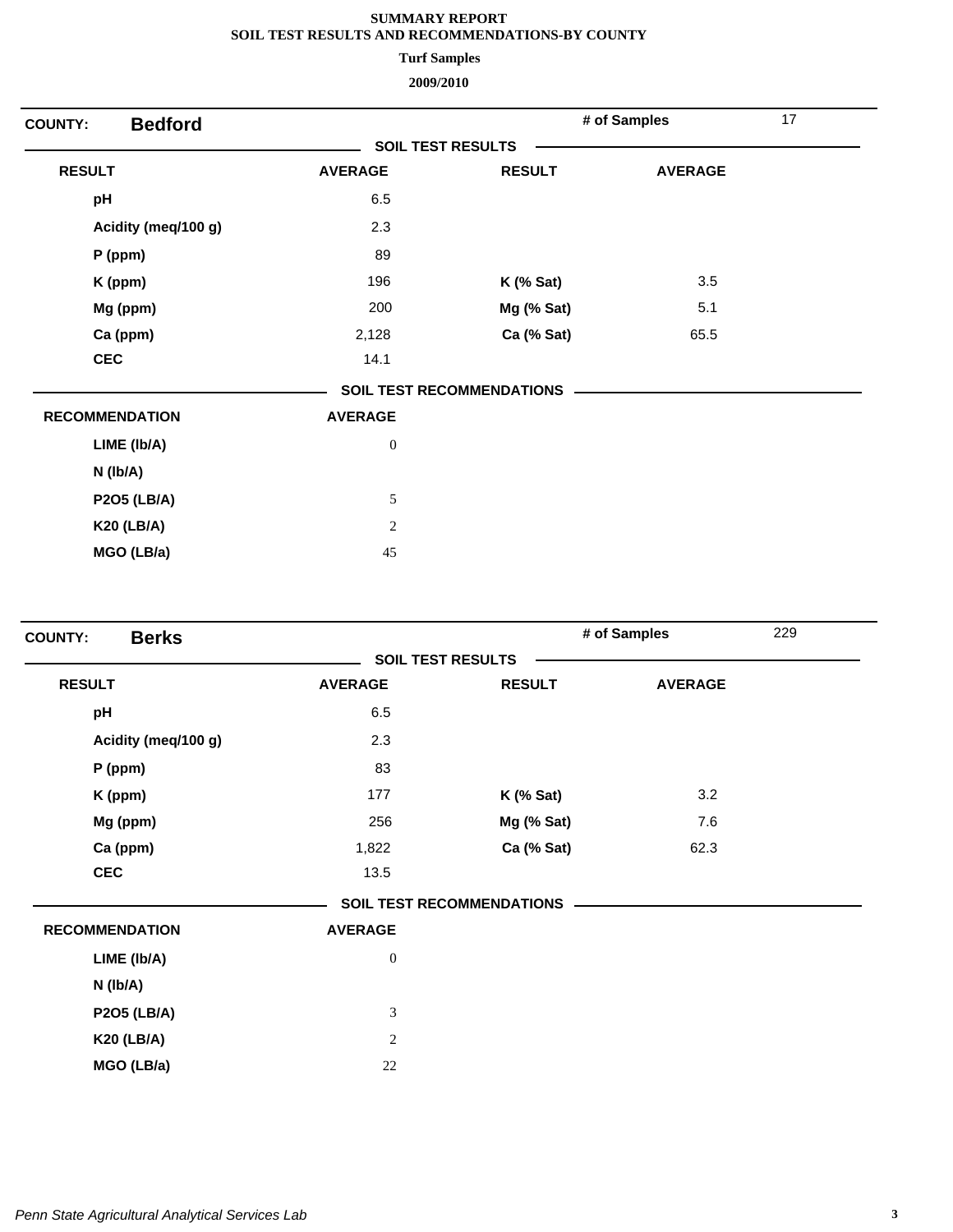**Turf Samples**

| <b>Bedford</b><br><b>COUNTY:</b> |                          |                                  | # of Samples   | 17 |
|----------------------------------|--------------------------|----------------------------------|----------------|----|
|                                  | <b>SOIL TEST RESULTS</b> |                                  |                |    |
| <b>RESULT</b>                    | <b>AVERAGE</b>           | <b>RESULT</b>                    | <b>AVERAGE</b> |    |
| pH                               | 6.5                      |                                  |                |    |
| Acidity (meq/100 g)              | 2.3                      |                                  |                |    |
| $P$ (ppm)                        | 89                       |                                  |                |    |
| K (ppm)                          | 196                      | <b>K</b> (% Sat)                 | 3.5            |    |
| Mg (ppm)                         | 200                      | Mg (% Sat)                       | 5.1            |    |
| Ca (ppm)                         | 2,128                    | Ca (% Sat)                       | 65.5           |    |
| <b>CEC</b>                       | 14.1                     |                                  |                |    |
|                                  |                          | <b>SOIL TEST RECOMMENDATIONS</b> |                |    |
| <b>RECOMMENDATION</b>            | <b>AVERAGE</b>           |                                  |                |    |
| LIME (Ib/A)                      | $\boldsymbol{0}$         |                                  |                |    |
| $N$ ( $lb/A$ )                   |                          |                                  |                |    |
| <b>P2O5 (LB/A)</b>               | $\sqrt{5}$               |                                  |                |    |
| <b>K20 (LB/A)</b>                | $\overline{c}$           |                                  |                |    |
| MGO (LB/a)                       | 45                       |                                  |                |    |
|                                  |                          |                                  |                |    |

| <b>Berks</b><br><b>COUNTY:</b> |                  |                                  | # of Samples   | 229 |
|--------------------------------|------------------|----------------------------------|----------------|-----|
|                                |                  | <b>SOIL TEST RESULTS</b>         |                |     |
| <b>RESULT</b>                  | <b>AVERAGE</b>   | <b>RESULT</b>                    | <b>AVERAGE</b> |     |
| pH                             | 6.5              |                                  |                |     |
| Acidity (meq/100 g)            | 2.3              |                                  |                |     |
| P (ppm)                        | 83               |                                  |                |     |
| K (ppm)                        | 177              | $K$ (% Sat)                      | 3.2            |     |
| Mg (ppm)                       | 256              | Mg (% Sat)                       | 7.6            |     |
| Ca (ppm)                       | 1,822            | Ca (% Sat)                       | 62.3           |     |
| <b>CEC</b>                     | 13.5             |                                  |                |     |
|                                |                  | <b>SOIL TEST RECOMMENDATIONS</b> |                |     |
| <b>RECOMMENDATION</b>          | <b>AVERAGE</b>   |                                  |                |     |
| LIME (Ib/A)                    | $\boldsymbol{0}$ |                                  |                |     |
| N (lb/A)                       |                  |                                  |                |     |
| <b>P2O5 (LB/A)</b>             | $\mathfrak{Z}$   |                                  |                |     |
| <b>K20 (LB/A)</b>              | $\boldsymbol{2}$ |                                  |                |     |
| MGO (LB/a)                     | 22               |                                  |                |     |
|                                |                  |                                  |                |     |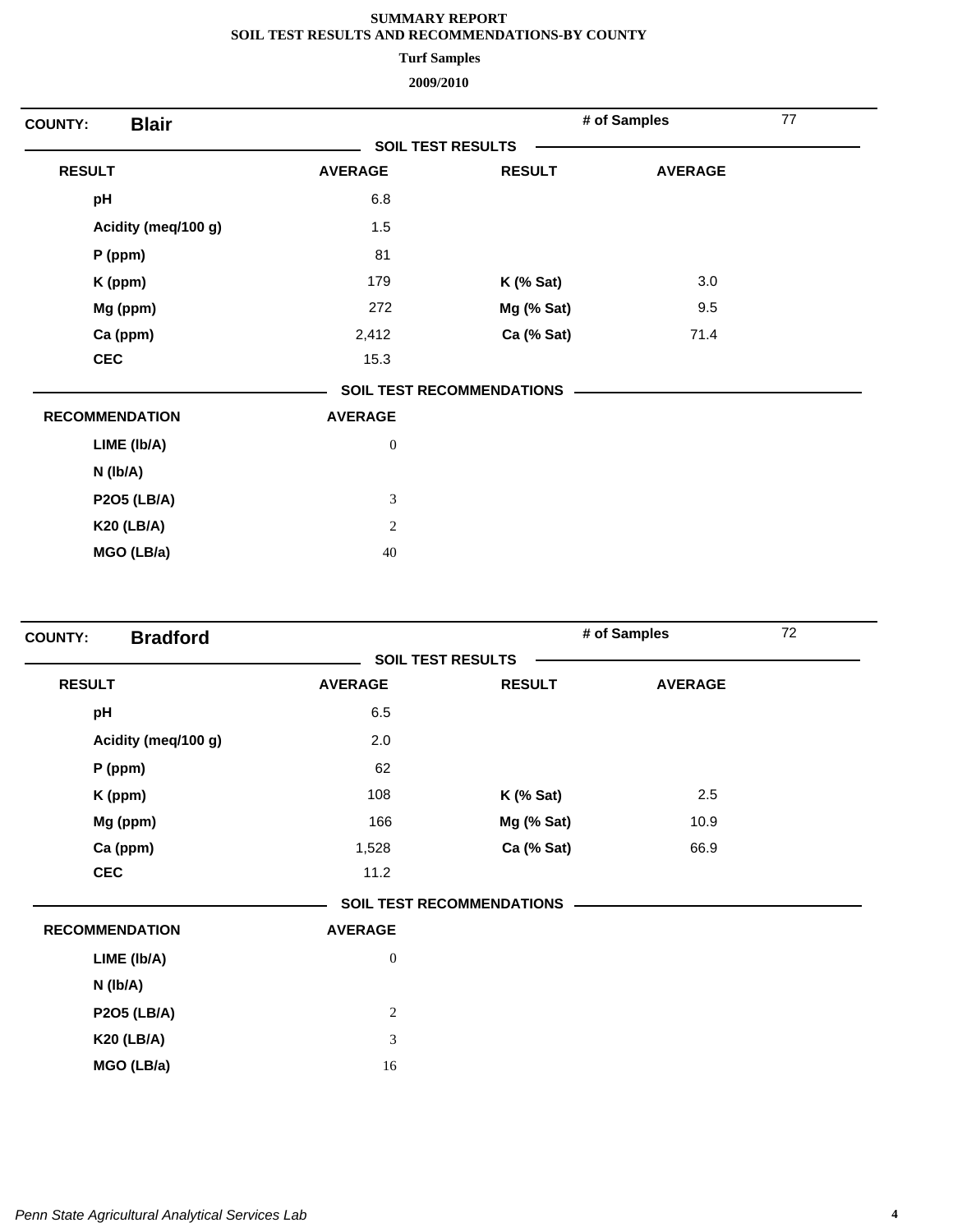**Turf Samples**

| <b>Blair</b><br><b>COUNTY:</b> |                          |                                  | # of Samples   | 77 |
|--------------------------------|--------------------------|----------------------------------|----------------|----|
|                                | <b>SOIL TEST RESULTS</b> |                                  |                |    |
| <b>RESULT</b>                  | <b>AVERAGE</b>           | <b>RESULT</b>                    | <b>AVERAGE</b> |    |
| pH                             | 6.8                      |                                  |                |    |
| Acidity (meq/100 g)            | 1.5                      |                                  |                |    |
| $P$ (ppm)                      | 81                       |                                  |                |    |
| K (ppm)                        | 179                      | $K$ (% Sat)                      | 3.0            |    |
| Mg (ppm)                       | 272                      | Mg (% Sat)                       | 9.5            |    |
| Ca (ppm)                       | 2,412                    | Ca (% Sat)                       | 71.4           |    |
| <b>CEC</b>                     | 15.3                     |                                  |                |    |
|                                |                          | <b>SOIL TEST RECOMMENDATIONS</b> |                |    |
| <b>RECOMMENDATION</b>          | <b>AVERAGE</b>           |                                  |                |    |
| LIME (Ib/A)                    | $\boldsymbol{0}$         |                                  |                |    |
| $N$ ( $lb/A$ )                 |                          |                                  |                |    |
| <b>P2O5 (LB/A)</b>             | $\mathfrak{Z}$           |                                  |                |    |
| <b>K20 (LB/A)</b>              | $\overline{c}$           |                                  |                |    |
| MGO (LB/a)                     | 40                       |                                  |                |    |

| <b>Bradford</b><br><b>COUNTY:</b> |                          |                                  | # of Samples   | 72 |
|-----------------------------------|--------------------------|----------------------------------|----------------|----|
|                                   | <b>SOIL TEST RESULTS</b> |                                  |                |    |
| <b>RESULT</b>                     | <b>AVERAGE</b>           | <b>RESULT</b>                    | <b>AVERAGE</b> |    |
| pH                                | 6.5                      |                                  |                |    |
| Acidity (meq/100 g)               | 2.0                      |                                  |                |    |
| $P$ (ppm)                         | 62                       |                                  |                |    |
| K (ppm)                           | 108                      | $K$ (% Sat)                      | 2.5            |    |
| Mg (ppm)                          | 166                      | Mg (% Sat)                       | 10.9           |    |
| Ca (ppm)                          | 1,528                    | Ca (% Sat)                       | 66.9           |    |
| <b>CEC</b>                        | 11.2                     |                                  |                |    |
|                                   |                          | <b>SOIL TEST RECOMMENDATIONS</b> |                |    |
| <b>RECOMMENDATION</b>             | <b>AVERAGE</b>           |                                  |                |    |
| LIME (Ib/A)                       | $\boldsymbol{0}$         |                                  |                |    |
| N (lb/A)                          |                          |                                  |                |    |
| <b>P2O5 (LB/A)</b>                | $\overline{c}$           |                                  |                |    |
| <b>K20 (LB/A)</b>                 | 3                        |                                  |                |    |
| MGO (LB/a)                        | 16                       |                                  |                |    |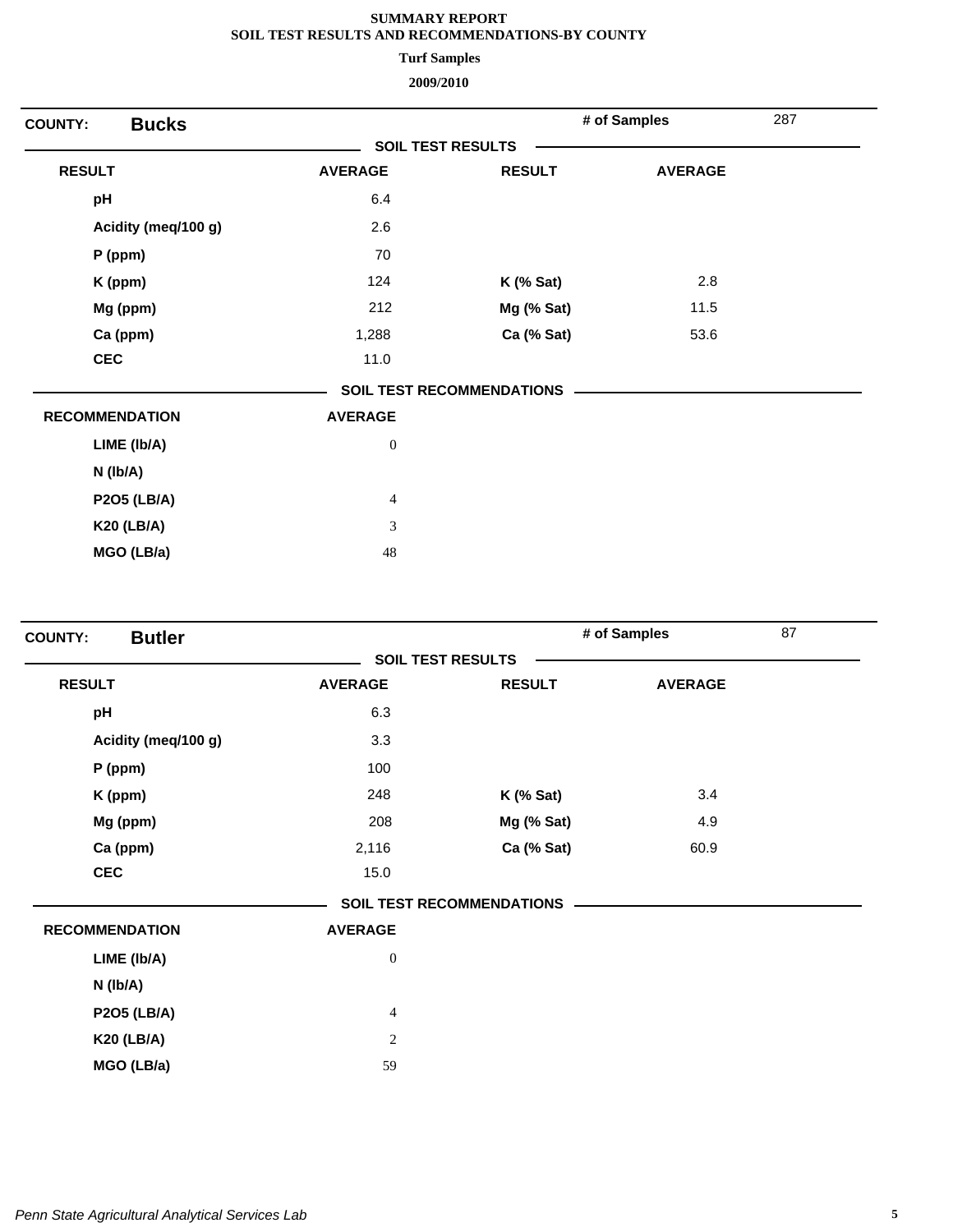**Turf Samples**

| <b>Bucks</b><br><b>COUNTY:</b> |                          |                                  | # of Samples   | 287 |
|--------------------------------|--------------------------|----------------------------------|----------------|-----|
|                                | <b>SOIL TEST RESULTS</b> |                                  |                |     |
| <b>RESULT</b>                  | <b>AVERAGE</b>           | <b>RESULT</b>                    | <b>AVERAGE</b> |     |
| pH                             | 6.4                      |                                  |                |     |
| Acidity (meq/100 g)            | 2.6                      |                                  |                |     |
| $P$ (ppm)                      | 70                       |                                  |                |     |
| K (ppm)                        | 124                      | $K$ (% Sat)                      | 2.8            |     |
| Mg (ppm)                       | 212                      | Mg (% Sat)                       | 11.5           |     |
| Ca (ppm)                       | 1,288                    | Ca (% Sat)                       | 53.6           |     |
| <b>CEC</b>                     | 11.0                     |                                  |                |     |
|                                |                          | <b>SOIL TEST RECOMMENDATIONS</b> |                |     |
| <b>RECOMMENDATION</b>          | <b>AVERAGE</b>           |                                  |                |     |
| LIME (Ib/A)                    | $\boldsymbol{0}$         |                                  |                |     |
| $N$ ( $lb/A$ )                 |                          |                                  |                |     |
| <b>P2O5 (LB/A)</b>             | $\overline{4}$           |                                  |                |     |
| <b>K20 (LB/A)</b>              | 3                        |                                  |                |     |
| MGO (LB/a)                     | 48                       |                                  |                |     |

| <b>Butler</b><br><b>COUNTY:</b> |                          |                                  | # of Samples   | 87 |
|---------------------------------|--------------------------|----------------------------------|----------------|----|
|                                 | <b>SOIL TEST RESULTS</b> |                                  |                |    |
| <b>RESULT</b>                   | <b>AVERAGE</b>           | <b>RESULT</b>                    | <b>AVERAGE</b> |    |
| pH                              | 6.3                      |                                  |                |    |
| Acidity (meq/100 g)             | 3.3                      |                                  |                |    |
| $P$ (ppm)                       | 100                      |                                  |                |    |
| K (ppm)                         | 248                      | $K$ (% Sat)                      | 3.4            |    |
| Mg (ppm)                        | 208                      | Mg (% Sat)                       | 4.9            |    |
| Ca (ppm)                        | 2,116                    | Ca (% Sat)                       | 60.9           |    |
| <b>CEC</b>                      | 15.0                     |                                  |                |    |
|                                 |                          | <b>SOIL TEST RECOMMENDATIONS</b> |                |    |
| <b>RECOMMENDATION</b>           | <b>AVERAGE</b>           |                                  |                |    |
| LIME (Ib/A)                     | $\boldsymbol{0}$         |                                  |                |    |
| N (lb/A)                        |                          |                                  |                |    |
| <b>P2O5 (LB/A)</b>              | $\overline{4}$           |                                  |                |    |
| <b>K20 (LB/A)</b>               | $\overline{c}$           |                                  |                |    |
| MGO (LB/a)                      | 59                       |                                  |                |    |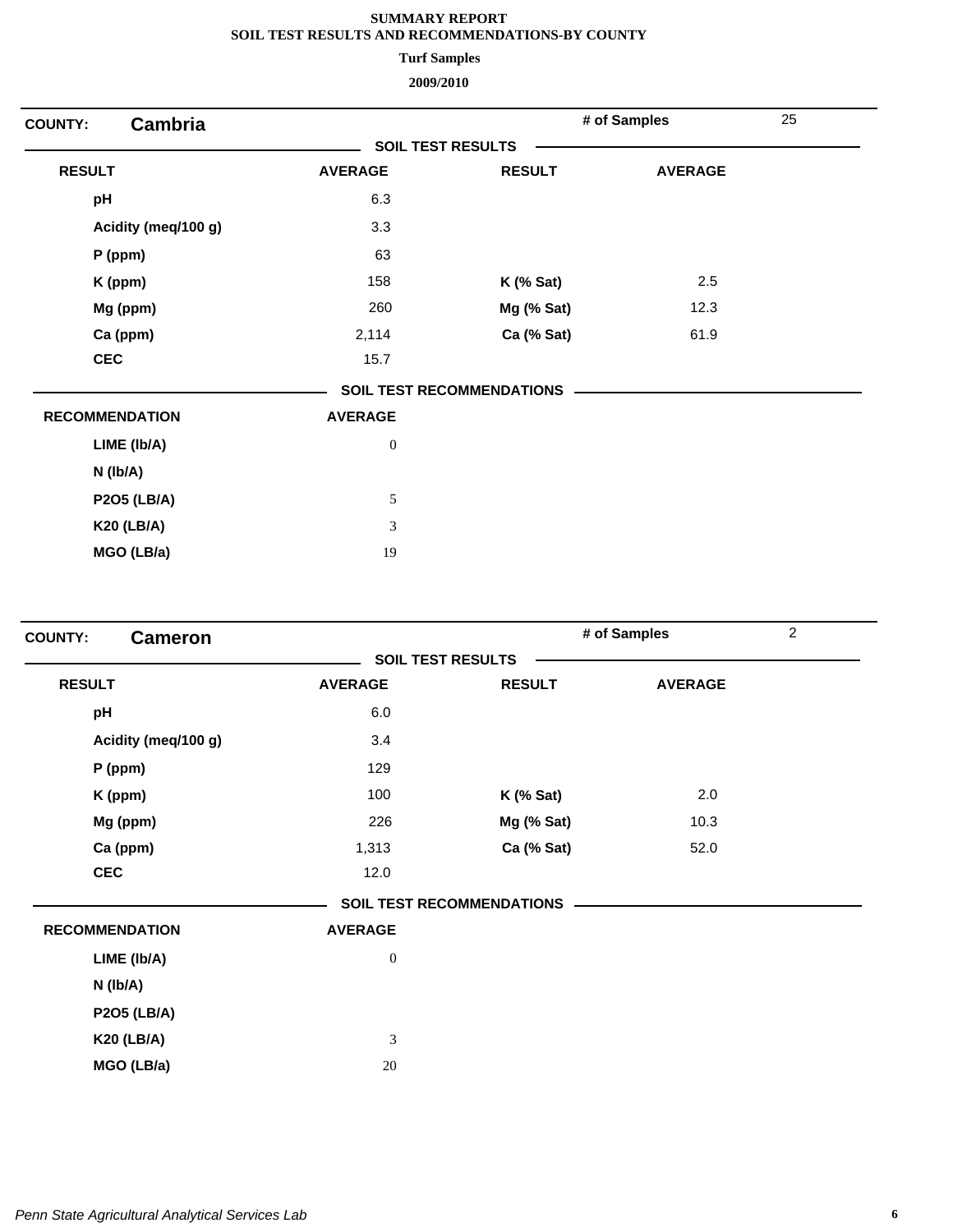**Turf Samples**

| Cambria<br><b>COUNTY:</b> |                          |                                  | # of Samples   | 25 |
|---------------------------|--------------------------|----------------------------------|----------------|----|
|                           | <b>SOIL TEST RESULTS</b> |                                  |                |    |
| <b>RESULT</b>             | <b>AVERAGE</b>           | <b>RESULT</b>                    | <b>AVERAGE</b> |    |
| pH                        | 6.3                      |                                  |                |    |
| Acidity (meq/100 g)       | 3.3                      |                                  |                |    |
| P (ppm)                   | 63                       |                                  |                |    |
| K (ppm)                   | 158                      | $K$ (% Sat)                      | 2.5            |    |
| Mg (ppm)                  | 260                      | Mg (% Sat)                       | 12.3           |    |
| Ca (ppm)                  | 2,114                    | Ca (% Sat)                       | 61.9           |    |
| <b>CEC</b>                | 15.7                     |                                  |                |    |
|                           |                          | <b>SOIL TEST RECOMMENDATIONS</b> |                |    |
| <b>RECOMMENDATION</b>     | <b>AVERAGE</b>           |                                  |                |    |
| LIME (Ib/A)               | $\boldsymbol{0}$         |                                  |                |    |
| N (lb/A)                  |                          |                                  |                |    |
| <b>P2O5 (LB/A)</b>        | 5                        |                                  |                |    |
| <b>K20 (LB/A)</b>         | 3                        |                                  |                |    |
| MGO (LB/a)                | 19                       |                                  |                |    |

| <b>Cameron</b><br><b>COUNTY:</b> |                  |                                  | # of Samples   | $\overline{2}$ |
|----------------------------------|------------------|----------------------------------|----------------|----------------|
|                                  |                  | <b>SOIL TEST RESULTS</b>         |                |                |
| <b>RESULT</b>                    | <b>AVERAGE</b>   | <b>RESULT</b>                    | <b>AVERAGE</b> |                |
| pH                               | 6.0              |                                  |                |                |
| Acidity (meq/100 g)              | 3.4              |                                  |                |                |
| P (ppm)                          | 129              |                                  |                |                |
| K (ppm)                          | 100              | $K$ (% Sat)                      | 2.0            |                |
| Mg (ppm)                         | 226              | Mg (% Sat)                       | 10.3           |                |
| Ca (ppm)                         | 1,313            | Ca (% Sat)                       | 52.0           |                |
| <b>CEC</b>                       | 12.0             |                                  |                |                |
|                                  |                  | <b>SOIL TEST RECOMMENDATIONS</b> |                |                |
| <b>RECOMMENDATION</b>            | <b>AVERAGE</b>   |                                  |                |                |
| LIME (Ib/A)                      | $\boldsymbol{0}$ |                                  |                |                |
| N (lb/A)                         |                  |                                  |                |                |
| <b>P2O5 (LB/A)</b>               |                  |                                  |                |                |
| <b>K20 (LB/A)</b>                | 3                |                                  |                |                |
| MGO (LB/a)                       | 20               |                                  |                |                |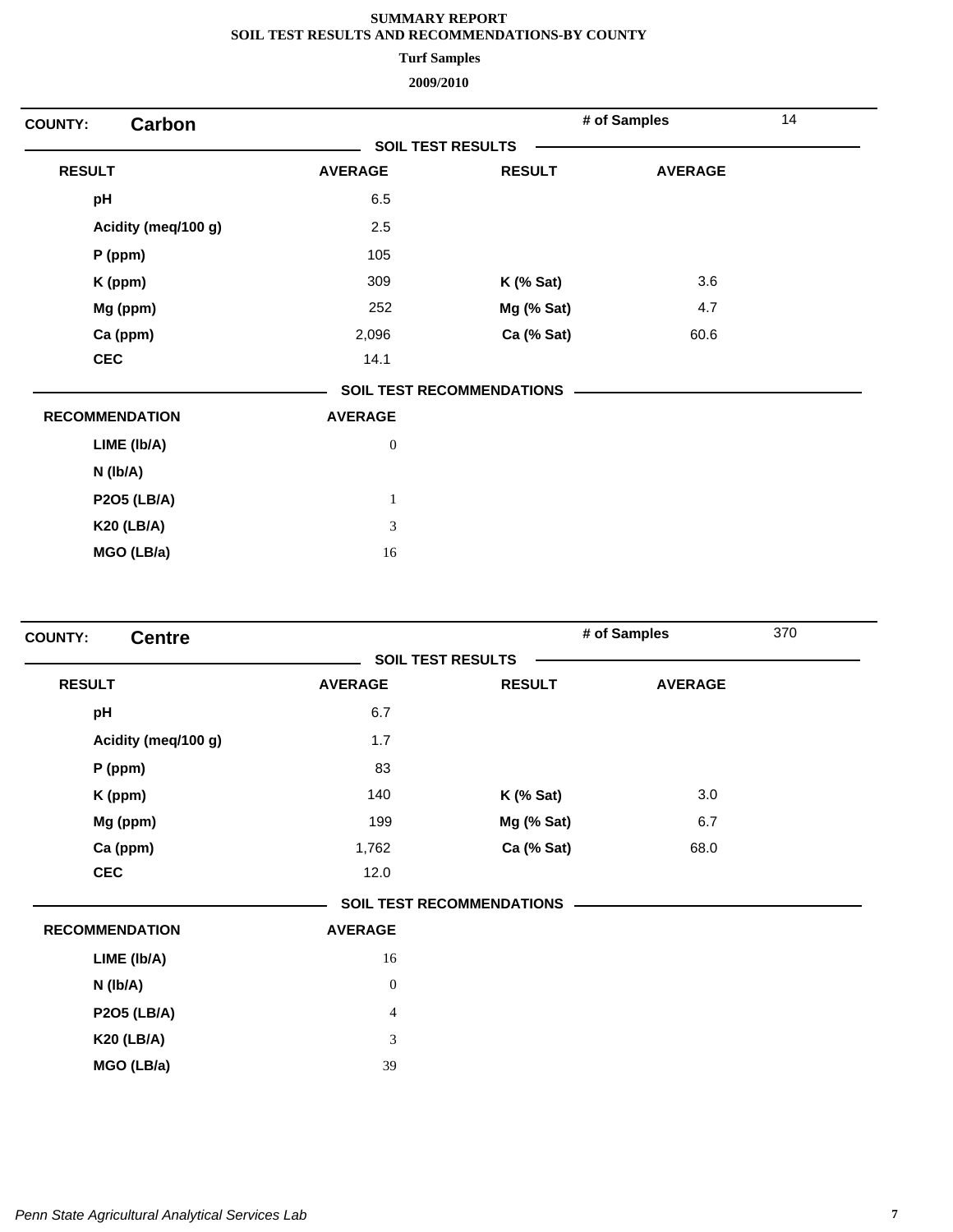**Turf Samples**

| Carbon<br><b>COUNTY:</b> |                          |                                  | # of Samples   | 14 |
|--------------------------|--------------------------|----------------------------------|----------------|----|
|                          | <b>SOIL TEST RESULTS</b> |                                  |                |    |
| <b>RESULT</b>            | <b>AVERAGE</b>           | <b>RESULT</b>                    | <b>AVERAGE</b> |    |
| pH                       | 6.5                      |                                  |                |    |
| Acidity (meq/100 g)      | 2.5                      |                                  |                |    |
| $P$ (ppm)                | 105                      |                                  |                |    |
| K (ppm)                  | 309                      | $K$ (% Sat)                      | 3.6            |    |
| Mg (ppm)                 | 252                      | Mg (% Sat)                       | 4.7            |    |
| Ca (ppm)                 | 2,096                    | Ca (% Sat)                       | 60.6           |    |
| <b>CEC</b>               | 14.1                     |                                  |                |    |
|                          |                          | <b>SOIL TEST RECOMMENDATIONS</b> |                |    |
| <b>RECOMMENDATION</b>    | <b>AVERAGE</b>           |                                  |                |    |
| LIME (Ib/A)              | $\boldsymbol{0}$         |                                  |                |    |
| $N$ (lb/A)               |                          |                                  |                |    |
| <b>P2O5 (LB/A)</b>       | $\mathbf{1}$             |                                  |                |    |
| <b>K20 (LB/A)</b>        | 3                        |                                  |                |    |
| MGO (LB/a)               | 16                       |                                  |                |    |

| <b>Centre</b><br><b>COUNTY:</b> |                  |                                  | # of Samples   | 370 |
|---------------------------------|------------------|----------------------------------|----------------|-----|
|                                 |                  | <b>SOIL TEST RESULTS</b>         |                |     |
| <b>RESULT</b>                   | <b>AVERAGE</b>   | <b>RESULT</b>                    | <b>AVERAGE</b> |     |
| pH                              | 6.7              |                                  |                |     |
| Acidity (meq/100 g)             | 1.7              |                                  |                |     |
| $P$ (ppm)                       | 83               |                                  |                |     |
| K (ppm)                         | 140              | <b>K</b> (% Sat)                 | 3.0            |     |
| Mg (ppm)                        | 199              | Mg (% Sat)                       | 6.7            |     |
| Ca (ppm)                        | 1,762            | Ca (% Sat)                       | 68.0           |     |
| <b>CEC</b>                      | 12.0             |                                  |                |     |
|                                 |                  | <b>SOIL TEST RECOMMENDATIONS</b> |                |     |
| <b>RECOMMENDATION</b>           | <b>AVERAGE</b>   |                                  |                |     |
| LIME (Ib/A)                     | 16               |                                  |                |     |
| N (lb/A)                        | $\boldsymbol{0}$ |                                  |                |     |
| <b>P2O5 (LB/A)</b>              | $\overline{4}$   |                                  |                |     |
| <b>K20 (LB/A)</b>               | 3                |                                  |                |     |
| MGO (LB/a)                      | 39               |                                  |                |     |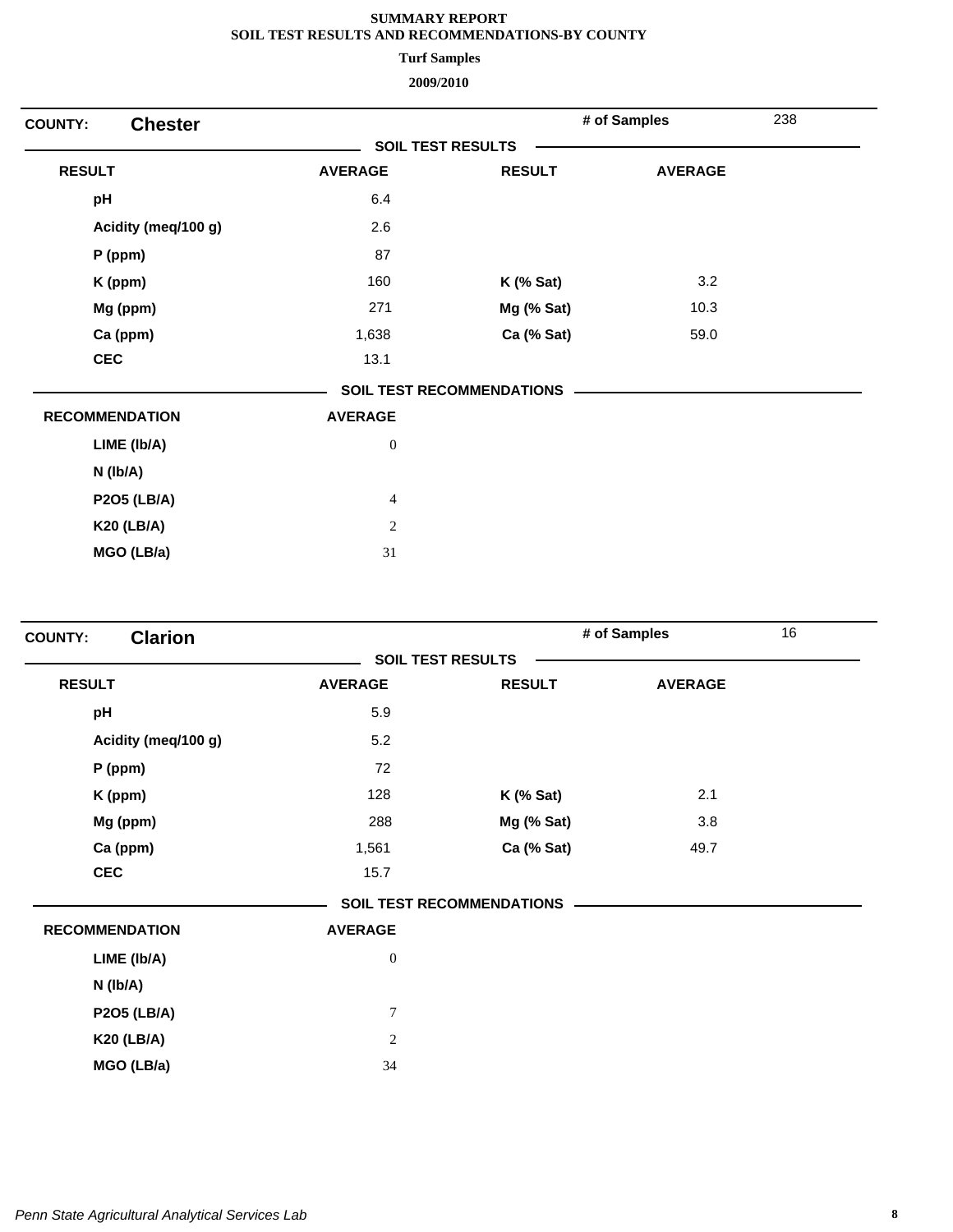**Turf Samples**

| <b>Chester</b><br><b>COUNTY:</b> |                          |                                  | # of Samples   | 238 |
|----------------------------------|--------------------------|----------------------------------|----------------|-----|
|                                  | <b>SOIL TEST RESULTS</b> |                                  |                |     |
| <b>RESULT</b>                    | <b>AVERAGE</b>           | <b>RESULT</b>                    | <b>AVERAGE</b> |     |
| pH                               | 6.4                      |                                  |                |     |
| Acidity (meq/100 g)              | 2.6                      |                                  |                |     |
| P (ppm)                          | 87                       |                                  |                |     |
| K (ppm)                          | 160                      | $K$ (% Sat)                      | 3.2            |     |
| Mg (ppm)                         | 271                      | Mg (% Sat)                       | 10.3           |     |
| Ca (ppm)                         | 1,638                    | Ca (% Sat)                       | 59.0           |     |
| <b>CEC</b>                       | 13.1                     |                                  |                |     |
|                                  |                          | <b>SOIL TEST RECOMMENDATIONS</b> |                |     |
| <b>RECOMMENDATION</b>            | <b>AVERAGE</b>           |                                  |                |     |
| LIME (Ib/A)                      | $\boldsymbol{0}$         |                                  |                |     |
| N (Ib/A)                         |                          |                                  |                |     |
| <b>P2O5 (LB/A)</b>               | $\overline{4}$           |                                  |                |     |
| <b>K20 (LB/A)</b>                | $\sqrt{2}$               |                                  |                |     |
| MGO (LB/a)                       | 31                       |                                  |                |     |
|                                  |                          |                                  |                |     |

| <b>Clarion</b><br><b>COUNTY:</b> |                          |                                  | # of Samples   | 16 |
|----------------------------------|--------------------------|----------------------------------|----------------|----|
|                                  | <b>SOIL TEST RESULTS</b> |                                  |                |    |
| <b>RESULT</b>                    | <b>AVERAGE</b>           | <b>RESULT</b>                    | <b>AVERAGE</b> |    |
| pH                               | 5.9                      |                                  |                |    |
| Acidity (meq/100 g)              | 5.2                      |                                  |                |    |
| $P$ (ppm)                        | 72                       |                                  |                |    |
| K (ppm)                          | 128                      | $K$ (% Sat)                      | 2.1            |    |
| Mg (ppm)                         | 288                      | Mg (% Sat)                       | 3.8            |    |
| Ca (ppm)                         | 1,561                    | Ca (% Sat)                       | 49.7           |    |
| <b>CEC</b>                       | 15.7                     |                                  |                |    |
|                                  |                          | <b>SOIL TEST RECOMMENDATIONS</b> |                |    |
| <b>RECOMMENDATION</b>            | <b>AVERAGE</b>           |                                  |                |    |
| LIME (Ib/A)                      | $\boldsymbol{0}$         |                                  |                |    |
| N (lb/A)                         |                          |                                  |                |    |
| <b>P2O5 (LB/A)</b>               | $\tau$                   |                                  |                |    |
| <b>K20 (LB/A)</b>                | $\overline{c}$           |                                  |                |    |
| MGO (LB/a)                       | 34                       |                                  |                |    |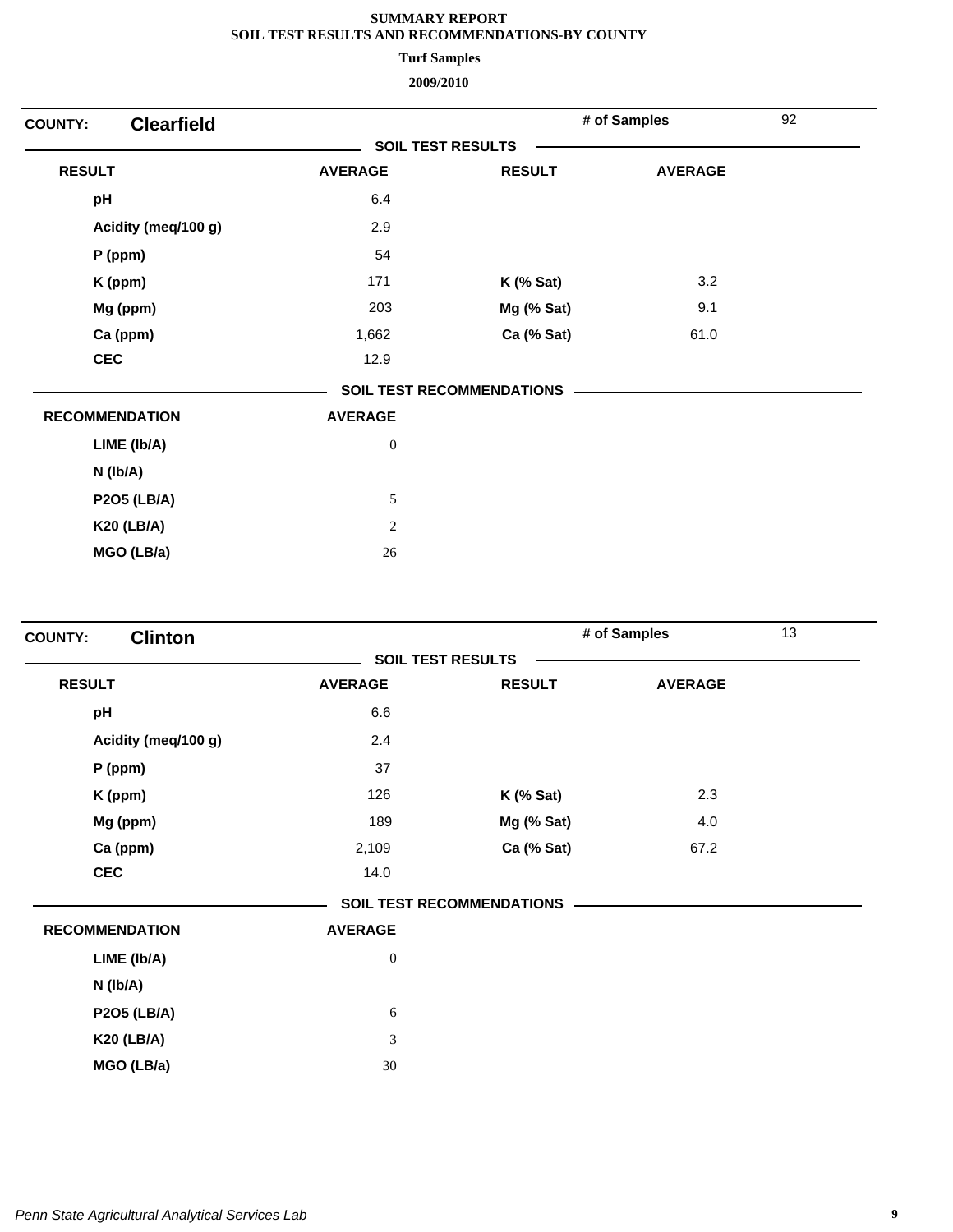**Turf Samples**

| <b>Clearfield</b><br><b>COUNTY:</b> |                          |                                  | # of Samples   | 92 |
|-------------------------------------|--------------------------|----------------------------------|----------------|----|
|                                     | <b>SOIL TEST RESULTS</b> |                                  |                |    |
| <b>RESULT</b>                       | <b>AVERAGE</b>           | <b>RESULT</b>                    | <b>AVERAGE</b> |    |
| pH                                  | 6.4                      |                                  |                |    |
| Acidity (meq/100 g)                 | 2.9                      |                                  |                |    |
| P (ppm)                             | 54                       |                                  |                |    |
| K (ppm)                             | 171                      | $K$ (% Sat)                      | 3.2            |    |
| Mg (ppm)                            | 203                      | Mg (% Sat)                       | 9.1            |    |
| Ca (ppm)                            | 1,662                    | Ca (% Sat)                       | 61.0           |    |
| <b>CEC</b>                          | 12.9                     |                                  |                |    |
|                                     |                          | <b>SOIL TEST RECOMMENDATIONS</b> |                |    |
| <b>RECOMMENDATION</b>               | <b>AVERAGE</b>           |                                  |                |    |
| LIME (Ib/A)                         | $\boldsymbol{0}$         |                                  |                |    |
| $N$ ( $lb/A$ )                      |                          |                                  |                |    |
| <b>P2O5 (LB/A)</b>                  | $\mathfrak s$            |                                  |                |    |
| <b>K20 (LB/A)</b>                   | $\sqrt{2}$               |                                  |                |    |
| MGO (LB/a)                          | 26                       |                                  |                |    |
|                                     |                          |                                  |                |    |

| <b>Clinton</b><br><b>COUNTY:</b> |                          |                                  | # of Samples   | 13 |
|----------------------------------|--------------------------|----------------------------------|----------------|----|
|                                  | <b>SOIL TEST RESULTS</b> |                                  |                |    |
| <b>RESULT</b>                    | <b>AVERAGE</b>           | <b>RESULT</b>                    | <b>AVERAGE</b> |    |
| pH                               | 6.6                      |                                  |                |    |
| Acidity (meq/100 g)              | 2.4                      |                                  |                |    |
| P (ppm)                          | 37                       |                                  |                |    |
| K (ppm)                          | 126                      | $K$ (% Sat)                      | 2.3            |    |
| Mg (ppm)                         | 189                      | Mg (% Sat)                       | 4.0            |    |
| Ca (ppm)                         | 2,109                    | Ca (% Sat)                       | 67.2           |    |
| <b>CEC</b>                       | 14.0                     |                                  |                |    |
|                                  |                          | <b>SOIL TEST RECOMMENDATIONS</b> |                |    |
| <b>RECOMMENDATION</b>            | <b>AVERAGE</b>           |                                  |                |    |
| LIME (Ib/A)                      | $\boldsymbol{0}$         |                                  |                |    |
| N (lb/A)                         |                          |                                  |                |    |
| <b>P2O5 (LB/A)</b>               | $\sqrt{6}$               |                                  |                |    |
| <b>K20 (LB/A)</b>                | 3                        |                                  |                |    |
| MGO (LB/a)                       | 30                       |                                  |                |    |
|                                  |                          |                                  |                |    |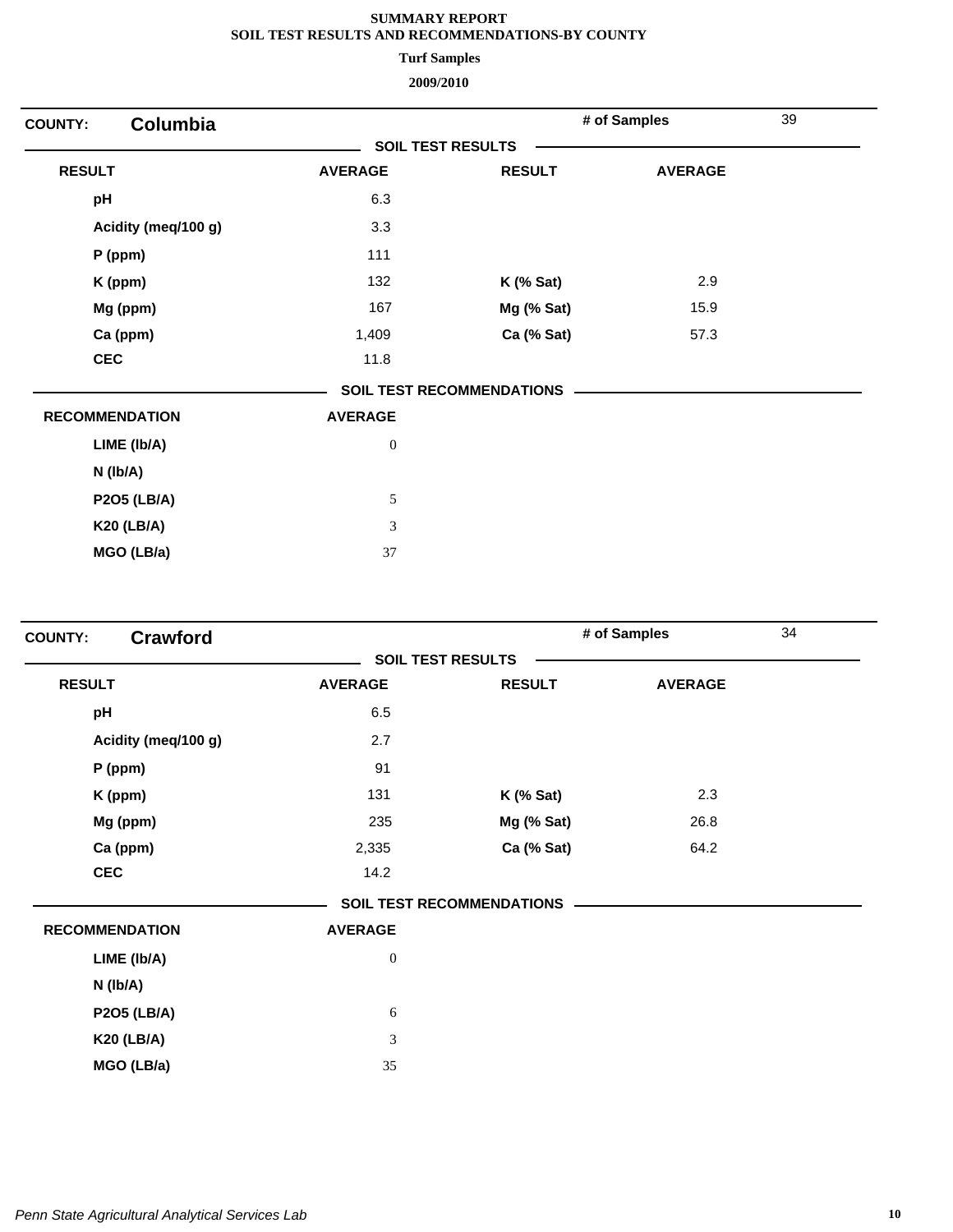**Turf Samples**

| <b>COUNTY:</b>        | <b>Columbia</b>     |                          |                                  | # of Samples   | 39 |
|-----------------------|---------------------|--------------------------|----------------------------------|----------------|----|
|                       |                     | <b>SOIL TEST RESULTS</b> |                                  |                |    |
| <b>RESULT</b>         |                     | <b>AVERAGE</b>           | <b>RESULT</b>                    | <b>AVERAGE</b> |    |
| pH                    |                     | 6.3                      |                                  |                |    |
|                       | Acidity (meq/100 g) | 3.3                      |                                  |                |    |
| P (ppm)               |                     | 111                      |                                  |                |    |
| K (ppm)               |                     | 132                      | $K$ (% Sat)                      | 2.9            |    |
| Mg (ppm)              |                     | 167                      | Mg (% Sat)                       | 15.9           |    |
| Ca (ppm)              |                     | 1,409                    | Ca (% Sat)                       | 57.3           |    |
| <b>CEC</b>            |                     | 11.8                     |                                  |                |    |
|                       |                     |                          | <b>SOIL TEST RECOMMENDATIONS</b> |                |    |
| <b>RECOMMENDATION</b> |                     | <b>AVERAGE</b>           |                                  |                |    |
|                       | LIME (Ib/A)         | $\boldsymbol{0}$         |                                  |                |    |
| $N$ (lb/A)            |                     |                          |                                  |                |    |
|                       | <b>P2O5 (LB/A)</b>  | $\sqrt{5}$               |                                  |                |    |
|                       | <b>K20 (LB/A)</b>   | $\mathfrak{Z}$           |                                  |                |    |
|                       | MGO (LB/a)          | 37                       |                                  |                |    |
|                       |                     |                          |                                  |                |    |

| <b>Crawford</b><br><b>COUNTY:</b> |                          |                                  | # of Samples   | 34 |
|-----------------------------------|--------------------------|----------------------------------|----------------|----|
|                                   | <b>SOIL TEST RESULTS</b> |                                  |                |    |
| <b>RESULT</b>                     | <b>AVERAGE</b>           | <b>RESULT</b>                    | <b>AVERAGE</b> |    |
| pH                                | 6.5                      |                                  |                |    |
| Acidity (meq/100 g)               | 2.7                      |                                  |                |    |
| $P$ (ppm)                         | 91                       |                                  |                |    |
| K (ppm)                           | 131                      | $K$ (% Sat)                      | 2.3            |    |
| Mg (ppm)                          | 235                      | Mg (% Sat)                       | 26.8           |    |
| Ca (ppm)                          | 2,335                    | Ca (% Sat)                       | 64.2           |    |
| <b>CEC</b>                        | 14.2                     |                                  |                |    |
|                                   |                          | <b>SOIL TEST RECOMMENDATIONS</b> |                |    |
| <b>RECOMMENDATION</b>             | <b>AVERAGE</b>           |                                  |                |    |
| LIME (Ib/A)                       | $\boldsymbol{0}$         |                                  |                |    |
| N (lb/A)                          |                          |                                  |                |    |
| <b>P2O5 (LB/A)</b>                | 6                        |                                  |                |    |
| <b>K20 (LB/A)</b>                 | 3                        |                                  |                |    |
| MGO (LB/a)                        | 35                       |                                  |                |    |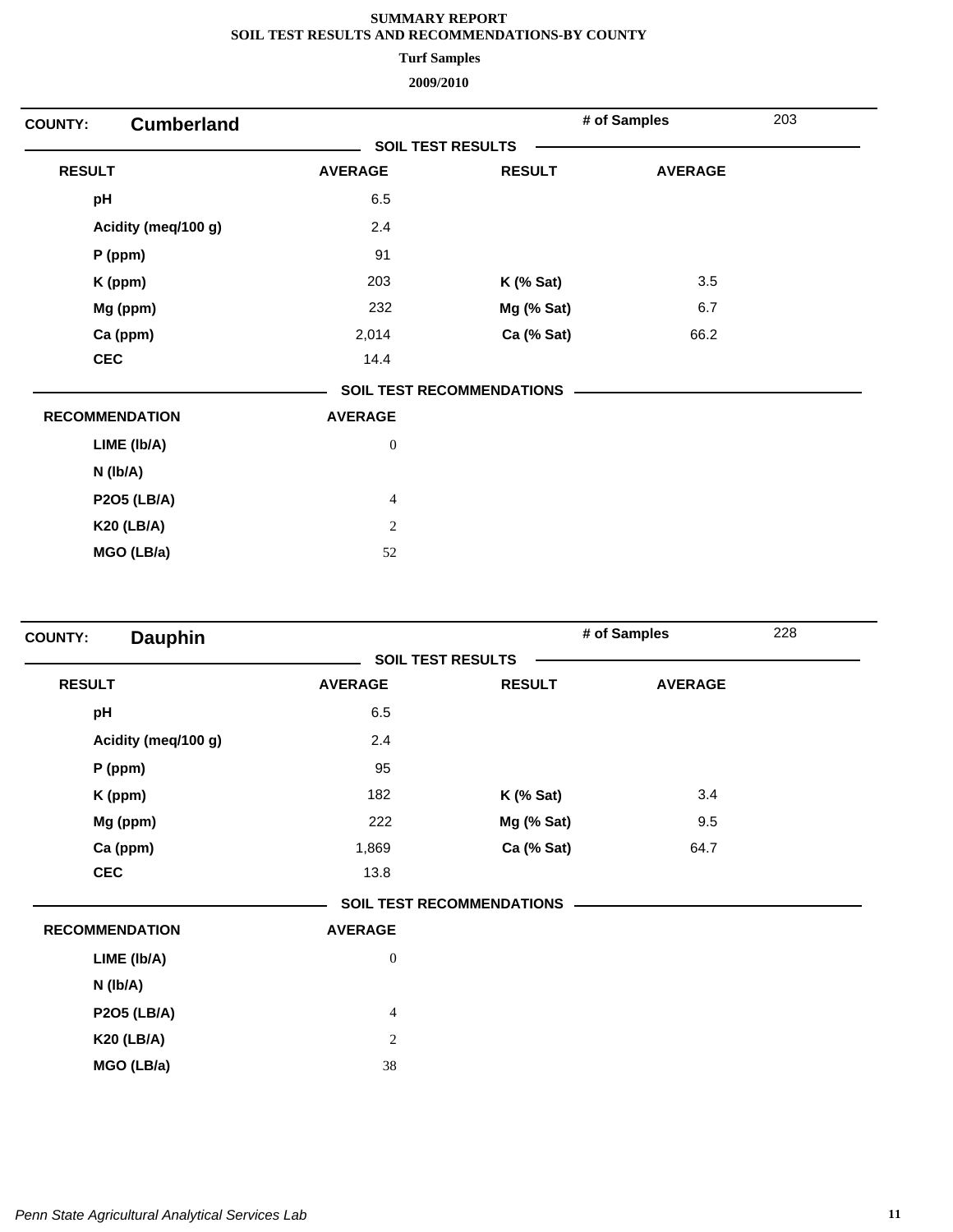**Turf Samples**

| <b>Cumberland</b><br><b>COUNTY:</b> |                          |                                  | # of Samples   | 203 |
|-------------------------------------|--------------------------|----------------------------------|----------------|-----|
|                                     | <b>SOIL TEST RESULTS</b> |                                  |                |     |
| <b>RESULT</b>                       | <b>AVERAGE</b>           | <b>RESULT</b>                    | <b>AVERAGE</b> |     |
| pH                                  | 6.5                      |                                  |                |     |
| Acidity (meq/100 g)                 | 2.4                      |                                  |                |     |
| P (ppm)                             | 91                       |                                  |                |     |
| K (ppm)                             | 203                      | $K$ (% Sat)                      | 3.5            |     |
| Mg (ppm)                            | 232                      | Mg (% Sat)                       | 6.7            |     |
| Ca (ppm)                            | 2,014                    | Ca (% Sat)                       | 66.2           |     |
| <b>CEC</b>                          | 14.4                     |                                  |                |     |
|                                     |                          | <b>SOIL TEST RECOMMENDATIONS</b> |                |     |
| <b>RECOMMENDATION</b>               | <b>AVERAGE</b>           |                                  |                |     |
| LIME (Ib/A)                         | $\boldsymbol{0}$         |                                  |                |     |
| $N$ ( $lb/A$ )                      |                          |                                  |                |     |
| <b>P2O5 (LB/A)</b>                  | $\overline{4}$           |                                  |                |     |
| <b>K20 (LB/A)</b>                   | $\mathbf{2}$             |                                  |                |     |
| MGO (LB/a)                          | 52                       |                                  |                |     |

| <b>Dauphin</b>        |                          |                                  | # of Samples   |  |
|-----------------------|--------------------------|----------------------------------|----------------|--|
|                       | <b>SOIL TEST RESULTS</b> |                                  |                |  |
| <b>RESULT</b>         | <b>AVERAGE</b>           | <b>RESULT</b>                    | <b>AVERAGE</b> |  |
| pH                    | 6.5                      |                                  |                |  |
| Acidity (meq/100 g)   | 2.4                      |                                  |                |  |
| $P$ (ppm)             | 95                       |                                  |                |  |
| K (ppm)               | 182                      | $K$ (% Sat)                      | 3.4            |  |
| Mg (ppm)              | 222                      | Mg (% Sat)                       | 9.5            |  |
| Ca (ppm)              | 1,869                    | Ca (% Sat)                       | 64.7           |  |
| <b>CEC</b>            | 13.8                     |                                  |                |  |
|                       |                          | <b>SOIL TEST RECOMMENDATIONS</b> |                |  |
| <b>RECOMMENDATION</b> | <b>AVERAGE</b>           |                                  |                |  |
| LIME (Ib/A)           | $\boldsymbol{0}$         |                                  |                |  |
| N (Ib/A)              |                          |                                  |                |  |
| <b>P2O5 (LB/A)</b>    | $\overline{4}$           |                                  |                |  |
| <b>K20 (LB/A)</b>     | $\overline{c}$           |                                  |                |  |
| MGO (LB/a)            | 38                       |                                  |                |  |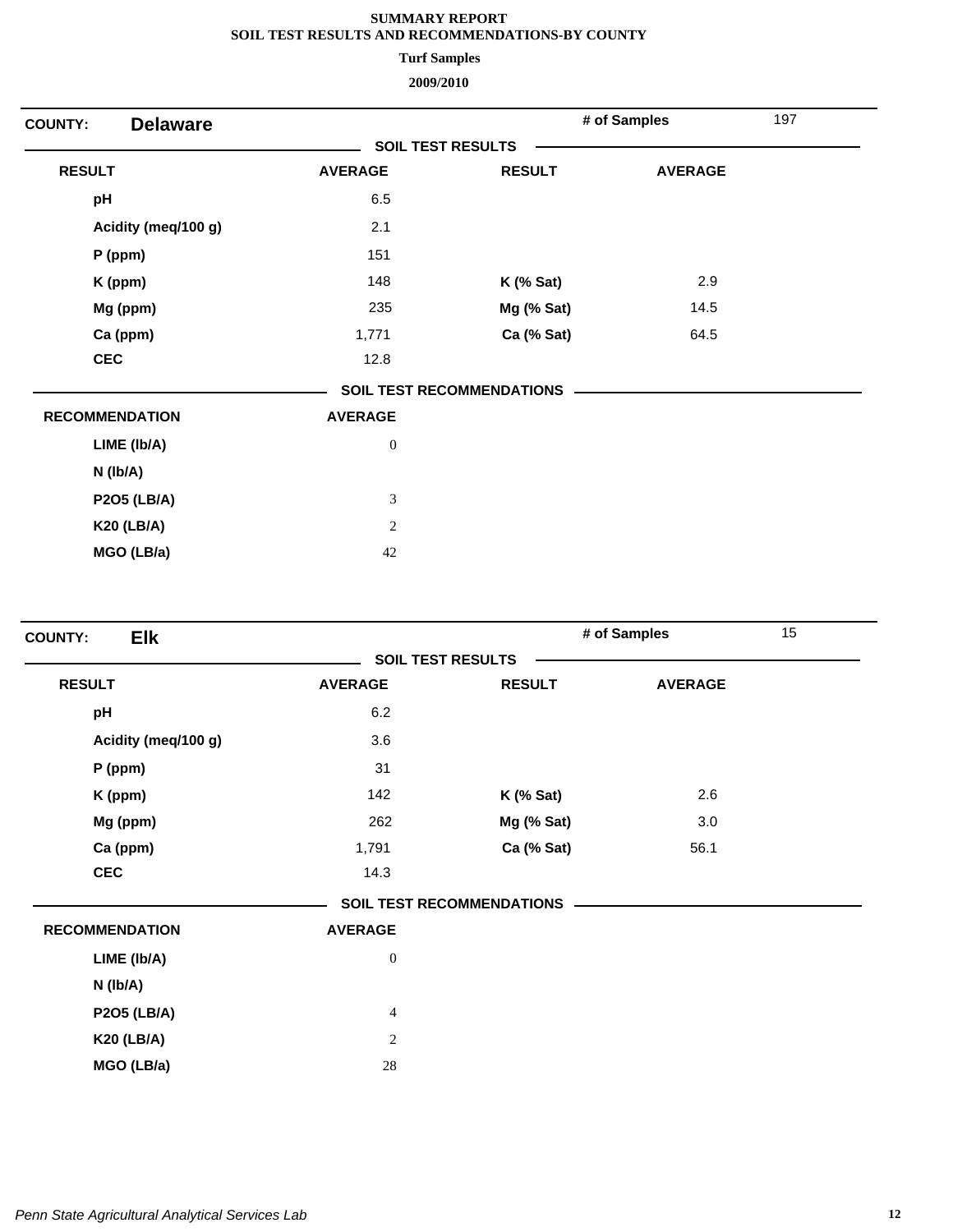**Turf Samples**

| <b>Delaware</b><br><b>COUNTY:</b> |                  |                                  | # of Samples   | 197 |  |
|-----------------------------------|------------------|----------------------------------|----------------|-----|--|
|                                   |                  | <b>SOIL TEST RESULTS</b>         |                |     |  |
| <b>RESULT</b>                     | <b>AVERAGE</b>   | <b>RESULT</b>                    | <b>AVERAGE</b> |     |  |
| pH                                | 6.5              |                                  |                |     |  |
| Acidity (meq/100 g)               | 2.1              |                                  |                |     |  |
| $P$ (ppm)                         | 151              |                                  |                |     |  |
| K (ppm)                           | 148              | $K$ (% Sat)                      | 2.9            |     |  |
| Mg (ppm)                          | 235              | Mg (% Sat)                       | 14.5           |     |  |
| Ca (ppm)                          | 1,771            | Ca (% Sat)                       | 64.5           |     |  |
| <b>CEC</b>                        | 12.8             |                                  |                |     |  |
|                                   |                  | <b>SOIL TEST RECOMMENDATIONS</b> |                |     |  |
| <b>RECOMMENDATION</b>             | <b>AVERAGE</b>   |                                  |                |     |  |
| LIME (Ib/A)                       | $\boldsymbol{0}$ |                                  |                |     |  |
| $N$ ( $lb/A$ )                    |                  |                                  |                |     |  |
| <b>P2O5 (LB/A)</b>                | $\mathfrak{Z}$   |                                  |                |     |  |
| <b>K20 (LB/A)</b>                 | $\sqrt{2}$       |                                  |                |     |  |
| MGO (LB/a)                        | 42               |                                  |                |     |  |

| <b>Elk</b><br><b>COUNTY:</b> |                          |                                  | # of Samples   | 15 |
|------------------------------|--------------------------|----------------------------------|----------------|----|
|                              | <b>SOIL TEST RESULTS</b> |                                  |                |    |
| <b>RESULT</b>                | <b>AVERAGE</b>           | <b>RESULT</b>                    | <b>AVERAGE</b> |    |
| pH                           | 6.2                      |                                  |                |    |
| Acidity (meq/100 g)          | 3.6                      |                                  |                |    |
| $P$ (ppm)                    | 31                       |                                  |                |    |
| K (ppm)                      | 142                      | <b>K</b> (% Sat)                 | 2.6            |    |
| Mg (ppm)                     | 262                      | Mg (% Sat)                       | 3.0            |    |
| Ca (ppm)                     | 1,791                    | Ca (% Sat)                       | 56.1           |    |
| <b>CEC</b>                   | 14.3                     |                                  |                |    |
|                              |                          | <b>SOIL TEST RECOMMENDATIONS</b> |                |    |
| <b>RECOMMENDATION</b>        | <b>AVERAGE</b>           |                                  |                |    |
| LIME (Ib/A)                  | $\boldsymbol{0}$         |                                  |                |    |
| N (lb/A)                     |                          |                                  |                |    |
| <b>P2O5 (LB/A)</b>           | $\overline{4}$           |                                  |                |    |
| <b>K20 (LB/A)</b>            | $\mathbf{2}$             |                                  |                |    |
| MGO (LB/a)                   | $28\,$                   |                                  |                |    |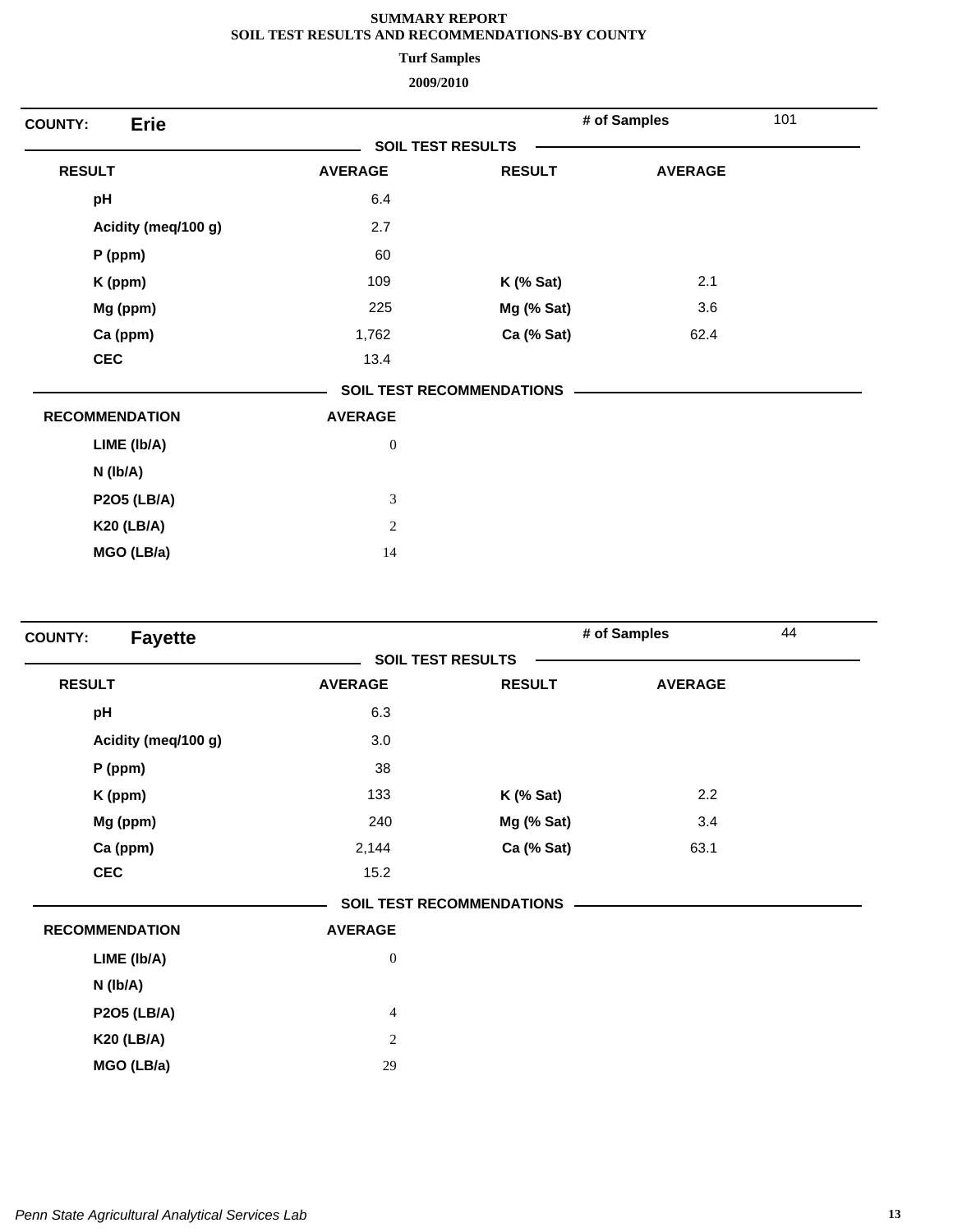**Turf Samples**

| <b>Erie</b><br><b>COUNTY:</b> |                             |                                  | # of Samples   | 101 |
|-------------------------------|-----------------------------|----------------------------------|----------------|-----|
|                               | <b>SOIL TEST RESULTS</b>    |                                  |                |     |
| <b>RESULT</b>                 | <b>AVERAGE</b>              | <b>RESULT</b>                    | <b>AVERAGE</b> |     |
| pH                            | 6.4                         |                                  |                |     |
| Acidity (meq/100 g)           | 2.7                         |                                  |                |     |
| P (ppm)                       | 60                          |                                  |                |     |
| K (ppm)                       | 109                         | $K$ (% Sat)                      | 2.1            |     |
| Mg (ppm)                      | 225                         | Mg (% Sat)                       | 3.6            |     |
| Ca (ppm)                      | 1,762                       | Ca (% Sat)                       | 62.4           |     |
| <b>CEC</b>                    | 13.4                        |                                  |                |     |
|                               |                             | <b>SOIL TEST RECOMMENDATIONS</b> |                |     |
| <b>RECOMMENDATION</b>         | <b>AVERAGE</b>              |                                  |                |     |
| LIME (Ib/A)                   | $\boldsymbol{0}$            |                                  |                |     |
| $N$ ( $lb/A$ )                |                             |                                  |                |     |
| <b>P2O5 (LB/A)</b>            | $\ensuremath{\mathfrak{Z}}$ |                                  |                |     |
| <b>K20 (LB/A)</b>             | $\mathbf{2}$                |                                  |                |     |
| MGO (LB/a)                    | 14                          |                                  |                |     |

| <b>Fayette</b><br><b>COUNTY:</b> |                  |                                  | # of Samples   | 44 |
|----------------------------------|------------------|----------------------------------|----------------|----|
|                                  |                  | <b>SOIL TEST RESULTS</b>         |                |    |
| <b>RESULT</b>                    | <b>AVERAGE</b>   | <b>RESULT</b>                    | <b>AVERAGE</b> |    |
| pH                               | 6.3              |                                  |                |    |
| Acidity (meq/100 g)              | 3.0              |                                  |                |    |
| P (ppm)                          | 38               |                                  |                |    |
| K (ppm)                          | 133              | $K$ (% Sat)                      | 2.2            |    |
| Mg (ppm)                         | 240              | Mg (% Sat)                       | 3.4            |    |
| Ca (ppm)                         | 2,144            | Ca (% Sat)                       | 63.1           |    |
| <b>CEC</b>                       | 15.2             |                                  |                |    |
|                                  |                  | <b>SOIL TEST RECOMMENDATIONS</b> |                |    |
| <b>RECOMMENDATION</b>            | <b>AVERAGE</b>   |                                  |                |    |
| LIME (Ib/A)                      | $\boldsymbol{0}$ |                                  |                |    |
| N (lb/A)                         |                  |                                  |                |    |
| <b>P2O5 (LB/A)</b>               | $\overline{4}$   |                                  |                |    |
| <b>K20 (LB/A)</b>                | $\overline{c}$   |                                  |                |    |
| MGO (LB/a)                       | 29               |                                  |                |    |
|                                  |                  |                                  |                |    |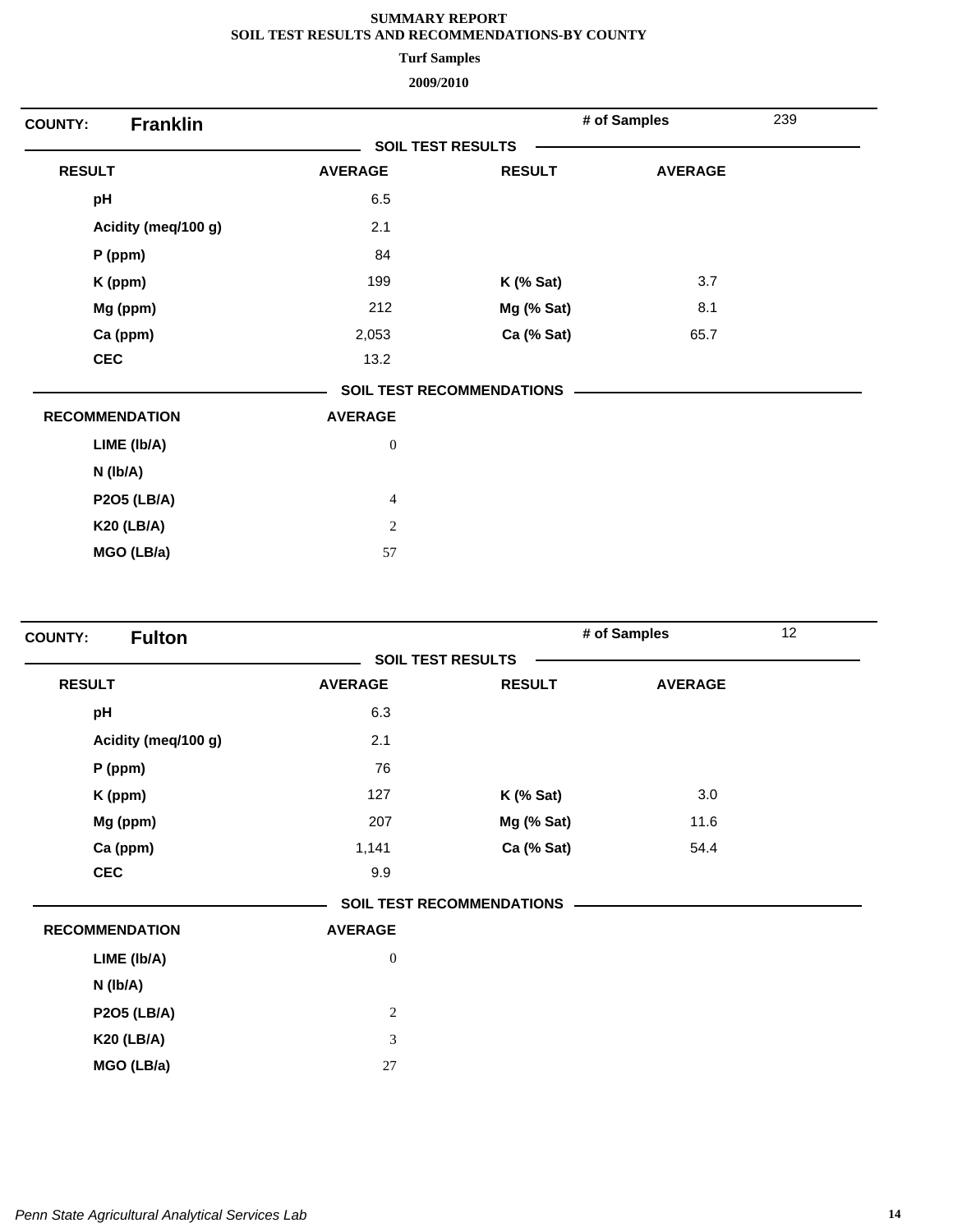**Turf Samples**

| <b>Franklin</b><br><b>COUNTY:</b> |                          |                                  | # of Samples   | 239 |  |
|-----------------------------------|--------------------------|----------------------------------|----------------|-----|--|
|                                   | <b>SOIL TEST RESULTS</b> |                                  |                |     |  |
| <b>RESULT</b>                     | <b>AVERAGE</b>           | <b>RESULT</b>                    | <b>AVERAGE</b> |     |  |
| pH                                | 6.5                      |                                  |                |     |  |
| Acidity (meq/100 g)               | 2.1                      |                                  |                |     |  |
| P (ppm)                           | 84                       |                                  |                |     |  |
| K (ppm)                           | 199                      | $K$ (% Sat)                      | 3.7            |     |  |
| Mg (ppm)                          | 212                      | Mg (% Sat)                       | 8.1            |     |  |
| Ca (ppm)                          | 2,053                    | Ca (% Sat)                       | 65.7           |     |  |
| <b>CEC</b>                        | 13.2                     |                                  |                |     |  |
|                                   |                          | <b>SOIL TEST RECOMMENDATIONS</b> |                |     |  |
| <b>RECOMMENDATION</b>             | <b>AVERAGE</b>           |                                  |                |     |  |
| LIME (Ib/A)                       | $\boldsymbol{0}$         |                                  |                |     |  |
| $N$ ( $lb/A$ )                    |                          |                                  |                |     |  |
| <b>P2O5 (LB/A)</b>                | $\overline{4}$           |                                  |                |     |  |
| <b>K20 (LB/A)</b>                 | $\sqrt{2}$               |                                  |                |     |  |
| MGO (LB/a)                        | 57                       |                                  |                |     |  |
|                                   |                          |                                  |                |     |  |

| <b>Fulton</b><br><b>COUNTY:</b> |                             |                                  | # of Samples   | 12 |  |
|---------------------------------|-----------------------------|----------------------------------|----------------|----|--|
|                                 | <b>SOIL TEST RESULTS</b>    |                                  |                |    |  |
| <b>RESULT</b>                   | <b>AVERAGE</b>              | <b>RESULT</b>                    | <b>AVERAGE</b> |    |  |
| pH                              | 6.3                         |                                  |                |    |  |
| Acidity (meq/100 g)             | 2.1                         |                                  |                |    |  |
| P (ppm)                         | 76                          |                                  |                |    |  |
| K (ppm)                         | 127                         | $K$ (% Sat)                      | 3.0            |    |  |
| Mg (ppm)                        | 207                         | Mg (% Sat)                       | 11.6           |    |  |
| Ca (ppm)                        | 1,141                       | Ca (% Sat)                       | 54.4           |    |  |
| <b>CEC</b>                      | 9.9                         |                                  |                |    |  |
|                                 |                             | <b>SOIL TEST RECOMMENDATIONS</b> |                |    |  |
| <b>RECOMMENDATION</b>           | <b>AVERAGE</b>              |                                  |                |    |  |
| LIME (Ib/A)                     | $\boldsymbol{0}$            |                                  |                |    |  |
| N (lb/A)                        |                             |                                  |                |    |  |
| <b>P2O5 (LB/A)</b>              | $\sqrt{2}$                  |                                  |                |    |  |
| <b>K20 (LB/A)</b>               | $\ensuremath{\mathfrak{Z}}$ |                                  |                |    |  |
| MGO (LB/a)                      | 27                          |                                  |                |    |  |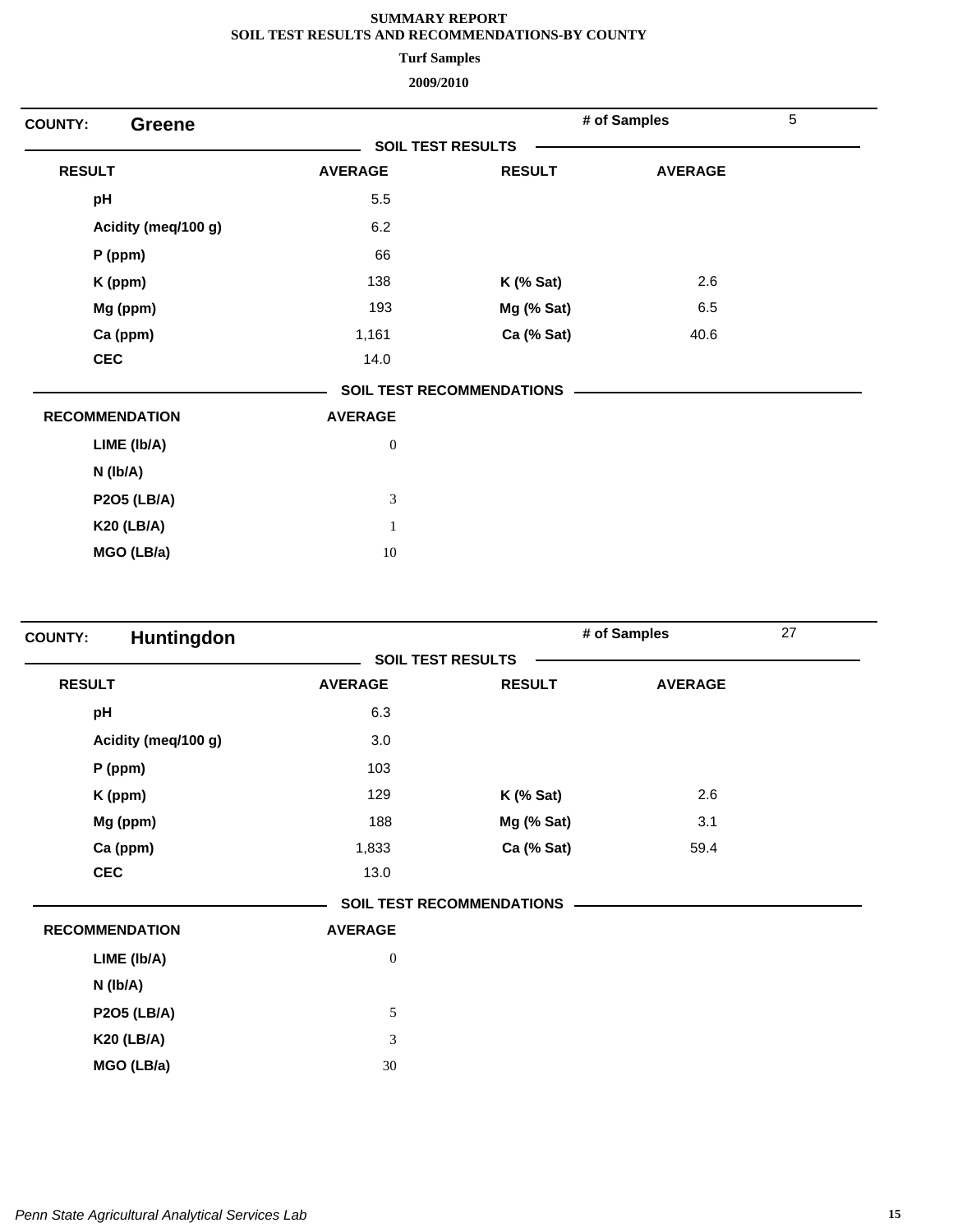**Turf Samples**

| <b>Greene</b><br><b>COUNTY:</b> |                          |                                  | # of Samples   | 5 |
|---------------------------------|--------------------------|----------------------------------|----------------|---|
|                                 | <b>SOIL TEST RESULTS</b> |                                  |                |   |
| <b>RESULT</b>                   | <b>AVERAGE</b>           | <b>RESULT</b>                    | <b>AVERAGE</b> |   |
| pH                              | 5.5                      |                                  |                |   |
| Acidity (meq/100 g)             | 6.2                      |                                  |                |   |
| $P$ (ppm)                       | 66                       |                                  |                |   |
| K (ppm)                         | 138                      | $K$ (% Sat)                      | 2.6            |   |
| Mg (ppm)                        | 193                      | Mg (% Sat)                       | 6.5            |   |
| Ca (ppm)                        | 1,161                    | Ca (% Sat)                       | 40.6           |   |
| <b>CEC</b>                      | 14.0                     |                                  |                |   |
|                                 |                          | <b>SOIL TEST RECOMMENDATIONS</b> |                |   |
| <b>RECOMMENDATION</b>           | <b>AVERAGE</b>           |                                  |                |   |
| LIME (Ib/A)                     | $\boldsymbol{0}$         |                                  |                |   |
| $N$ ( $lb/A$ )                  |                          |                                  |                |   |
| <b>P2O5 (LB/A)</b>              | $\mathfrak{Z}$           |                                  |                |   |
| <b>K20 (LB/A)</b>               | $\mathbf{1}$             |                                  |                |   |
| MGO (LB/a)                      | $10\,$                   |                                  |                |   |

| Huntingdon<br><b>COUNTY:</b> |                  |                                  | # of Samples   | 27 |
|------------------------------|------------------|----------------------------------|----------------|----|
|                              |                  | <b>SOIL TEST RESULTS</b>         |                |    |
| <b>RESULT</b>                | <b>AVERAGE</b>   | <b>RESULT</b>                    | <b>AVERAGE</b> |    |
| pH                           | 6.3              |                                  |                |    |
| Acidity (meq/100 g)          | 3.0              |                                  |                |    |
| $P$ (ppm)                    | 103              |                                  |                |    |
| K (ppm)                      | 129              | $K$ (% Sat)                      | 2.6            |    |
| Mg (ppm)                     | 188              | Mg (% Sat)                       | 3.1            |    |
| Ca (ppm)                     | 1,833            | Ca (% Sat)                       | 59.4           |    |
| <b>CEC</b>                   | 13.0             |                                  |                |    |
|                              |                  | <b>SOIL TEST RECOMMENDATIONS</b> |                |    |
| <b>RECOMMENDATION</b>        | <b>AVERAGE</b>   |                                  |                |    |
| LIME (Ib/A)                  | $\boldsymbol{0}$ |                                  |                |    |
| N (lb/A)                     |                  |                                  |                |    |
| <b>P2O5 (LB/A)</b>           | 5                |                                  |                |    |
| <b>K20 (LB/A)</b>            | 3                |                                  |                |    |
| MGO (LB/a)                   | 30               |                                  |                |    |
|                              |                  |                                  |                |    |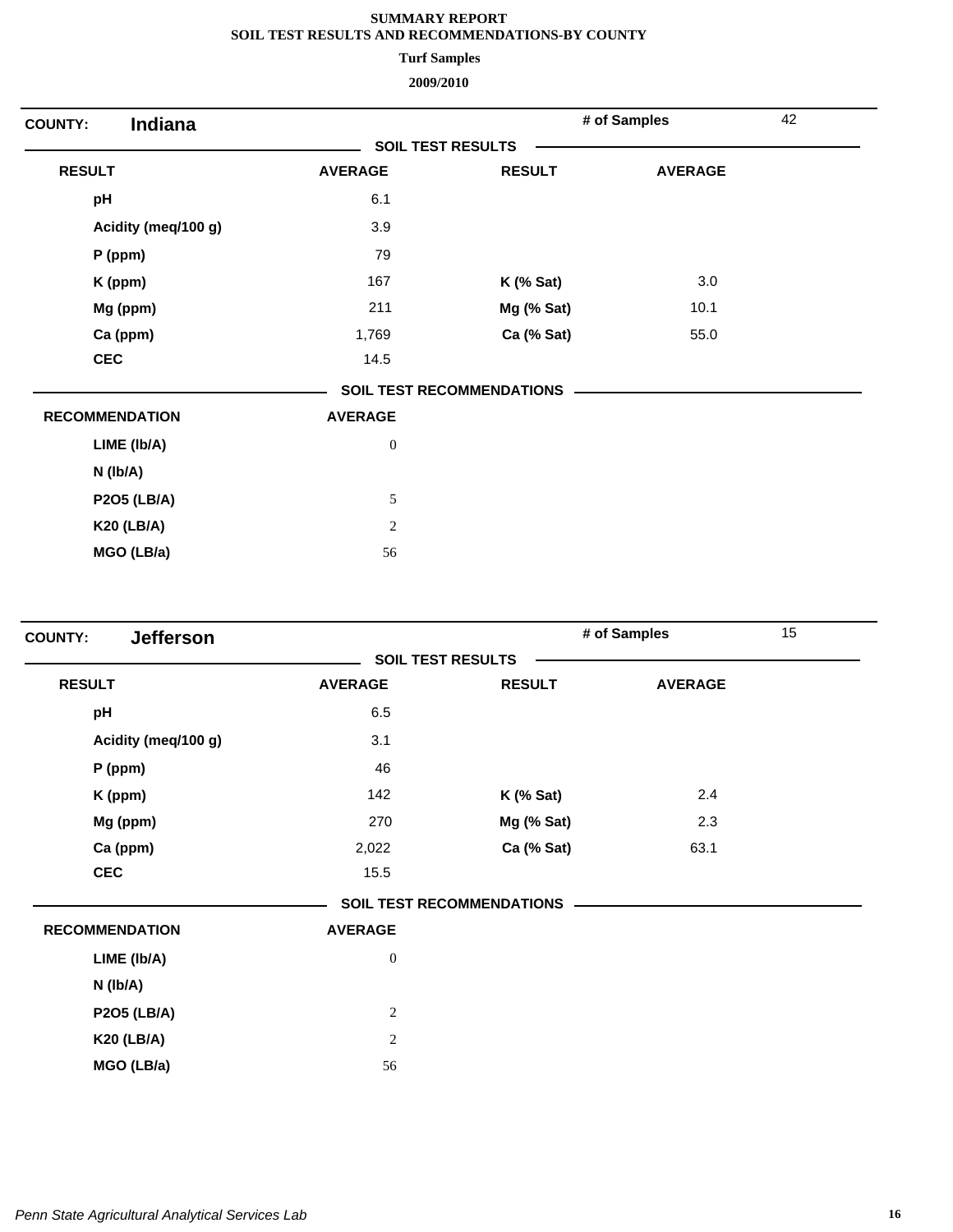**Turf Samples**

| Indiana<br><b>COUNTY:</b> |                          |                                  | # of Samples   | 42 |
|---------------------------|--------------------------|----------------------------------|----------------|----|
|                           | <b>SOIL TEST RESULTS</b> |                                  |                |    |
| <b>RESULT</b>             | <b>AVERAGE</b>           | <b>RESULT</b>                    | <b>AVERAGE</b> |    |
| pH                        | 6.1                      |                                  |                |    |
| Acidity (meq/100 g)       | 3.9                      |                                  |                |    |
| P (ppm)                   | 79                       |                                  |                |    |
| K (ppm)                   | 167                      | $K$ (% Sat)                      | 3.0            |    |
| Mg (ppm)                  | 211                      | Mg (% Sat)                       | 10.1           |    |
| Ca (ppm)                  | 1,769                    | Ca (% Sat)                       | 55.0           |    |
| <b>CEC</b>                | 14.5                     |                                  |                |    |
|                           |                          | <b>SOIL TEST RECOMMENDATIONS</b> |                |    |
| <b>RECOMMENDATION</b>     | <b>AVERAGE</b>           |                                  |                |    |
| LIME (Ib/A)               | $\boldsymbol{0}$         |                                  |                |    |
| $N$ ( $lb/A$ )            |                          |                                  |                |    |
| <b>P2O5 (LB/A)</b>        | $\sqrt{5}$               |                                  |                |    |
| <b>K20 (LB/A)</b>         | $\mathbf{2}$             |                                  |                |    |
| MGO (LB/a)                | 56                       |                                  |                |    |

| <b>Jefferson</b><br><b>COUNTY:</b> |                          |                                  | # of Samples   | 15 |
|------------------------------------|--------------------------|----------------------------------|----------------|----|
|                                    | <b>SOIL TEST RESULTS</b> |                                  |                |    |
| <b>RESULT</b>                      | <b>AVERAGE</b>           | <b>RESULT</b>                    | <b>AVERAGE</b> |    |
| pH                                 | 6.5                      |                                  |                |    |
| Acidity (meq/100 g)                | 3.1                      |                                  |                |    |
| $P$ (ppm)                          | 46                       |                                  |                |    |
| K (ppm)                            | 142                      | <b>K</b> (% Sat)                 | 2.4            |    |
| Mg (ppm)                           | 270                      | Mg (% Sat)                       | 2.3            |    |
| Ca (ppm)                           | 2,022                    | Ca (% Sat)                       | 63.1           |    |
| <b>CEC</b>                         | 15.5                     |                                  |                |    |
|                                    |                          | <b>SOIL TEST RECOMMENDATIONS</b> |                |    |
| <b>RECOMMENDATION</b>              | <b>AVERAGE</b>           |                                  |                |    |
| LIME (Ib/A)                        | $\boldsymbol{0}$         |                                  |                |    |
| N (lb/A)                           |                          |                                  |                |    |
| <b>P2O5 (LB/A)</b>                 | $\sqrt{2}$               |                                  |                |    |
| <b>K20 (LB/A)</b>                  | $\overline{c}$           |                                  |                |    |
| MGO (LB/a)                         | 56                       |                                  |                |    |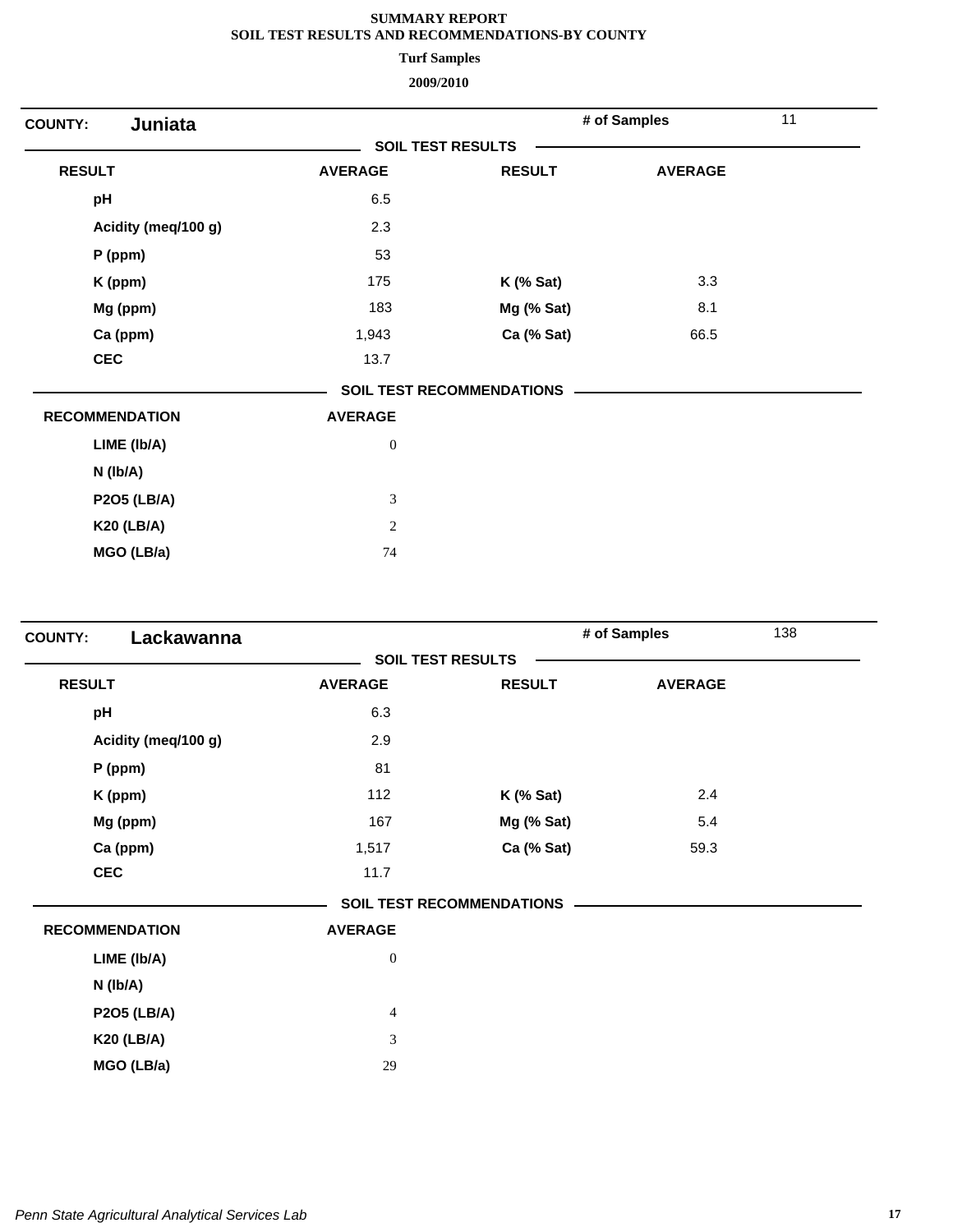**Turf Samples**

| Juniata<br><b>COUNTY:</b> |                          |                                  | # of Samples   | 11 |
|---------------------------|--------------------------|----------------------------------|----------------|----|
|                           | <b>SOIL TEST RESULTS</b> |                                  |                |    |
| <b>RESULT</b>             | <b>AVERAGE</b>           | <b>RESULT</b>                    | <b>AVERAGE</b> |    |
| pH                        | 6.5                      |                                  |                |    |
| Acidity (meq/100 g)       | 2.3                      |                                  |                |    |
| $P$ (ppm)                 | 53                       |                                  |                |    |
| K (ppm)                   | 175                      | $K$ (% Sat)                      | 3.3            |    |
| Mg (ppm)                  | 183                      | Mg (% Sat)                       | 8.1            |    |
| Ca (ppm)                  | 1,943                    | Ca (% Sat)                       | 66.5           |    |
| <b>CEC</b>                | 13.7                     |                                  |                |    |
|                           |                          | <b>SOIL TEST RECOMMENDATIONS</b> |                |    |
| <b>RECOMMENDATION</b>     | <b>AVERAGE</b>           |                                  |                |    |
| LIME (Ib/A)               | $\boldsymbol{0}$         |                                  |                |    |
| $N$ (lb/A)                |                          |                                  |                |    |
| <b>P2O5 (LB/A)</b>        | $\mathfrak{Z}$           |                                  |                |    |
| <b>K20 (LB/A)</b>         | $\overline{c}$           |                                  |                |    |
| MGO (LB/a)                | 74                       |                                  |                |    |

| Lackawanna<br><b>COUNTY:</b> |                             |                                  | # of Samples   | 138 |
|------------------------------|-----------------------------|----------------------------------|----------------|-----|
|                              | <b>SOIL TEST RESULTS</b>    |                                  |                |     |
| <b>RESULT</b>                | <b>AVERAGE</b>              | <b>RESULT</b>                    | <b>AVERAGE</b> |     |
| pH                           | 6.3                         |                                  |                |     |
| Acidity (meq/100 g)          | 2.9                         |                                  |                |     |
| $P$ (ppm)                    | 81                          |                                  |                |     |
| K (ppm)                      | 112                         | $K$ (% Sat)                      | 2.4            |     |
| Mg (ppm)                     | 167                         | Mg (% Sat)                       | 5.4            |     |
| Ca (ppm)                     | 1,517                       | Ca (% Sat)                       | 59.3           |     |
| <b>CEC</b>                   | 11.7                        |                                  |                |     |
|                              |                             | <b>SOIL TEST RECOMMENDATIONS</b> |                |     |
| <b>RECOMMENDATION</b>        | <b>AVERAGE</b>              |                                  |                |     |
| LIME (Ib/A)                  | $\boldsymbol{0}$            |                                  |                |     |
| N (lb/A)                     |                             |                                  |                |     |
| <b>P2O5 (LB/A)</b>           | $\overline{4}$              |                                  |                |     |
| <b>K20 (LB/A)</b>            | $\ensuremath{\mathfrak{Z}}$ |                                  |                |     |
| MGO (LB/a)                   | 29                          |                                  |                |     |
|                              |                             |                                  |                |     |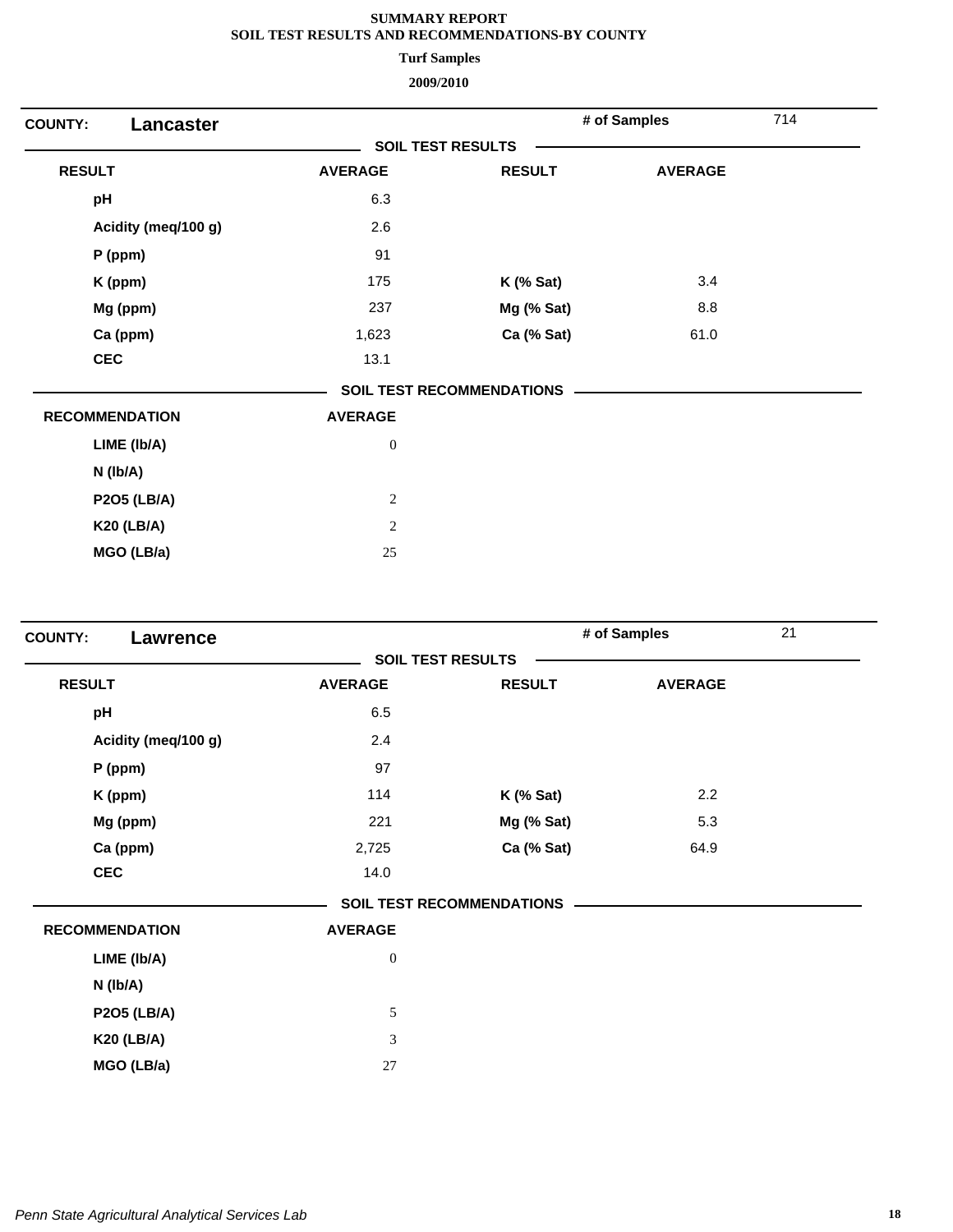**Turf Samples**

| Lancaster<br><b>COUNTY:</b> |                          |                           | # of Samples   | 714 |
|-----------------------------|--------------------------|---------------------------|----------------|-----|
|                             | <b>SOIL TEST RESULTS</b> |                           |                |     |
| <b>RESULT</b>               | <b>AVERAGE</b>           | <b>RESULT</b>             | <b>AVERAGE</b> |     |
| pH                          | 6.3                      |                           |                |     |
| Acidity (meq/100 g)         | 2.6                      |                           |                |     |
| $P$ (ppm)                   | 91                       |                           |                |     |
| K (ppm)                     | 175                      | $K$ (% Sat)               | 3.4            |     |
| Mg (ppm)                    | 237                      | Mg (% Sat)                | 8.8            |     |
| Ca (ppm)                    | 1,623                    | Ca (% Sat)                | 61.0           |     |
| <b>CEC</b>                  | 13.1                     |                           |                |     |
|                             |                          | SOIL TEST RECOMMENDATIONS |                |     |
| <b>RECOMMENDATION</b>       | <b>AVERAGE</b>           |                           |                |     |
| LIME (Ib/A)                 | $\boldsymbol{0}$         |                           |                |     |
| $N$ ( $lb/A$ )              |                          |                           |                |     |
| <b>P2O5 (LB/A)</b>          | $\sqrt{2}$               |                           |                |     |
| <b>K20 (LB/A)</b>           | $\overline{c}$           |                           |                |     |
| MGO (LB/a)                  | 25                       |                           |                |     |

| <b>COUNTY:</b><br>Lawrence |                  |                                  | # of Samples   | 21 |
|----------------------------|------------------|----------------------------------|----------------|----|
|                            |                  | <b>SOIL TEST RESULTS</b>         |                |    |
| <b>RESULT</b>              | <b>AVERAGE</b>   | <b>RESULT</b>                    | <b>AVERAGE</b> |    |
| pH                         | 6.5              |                                  |                |    |
| Acidity (meq/100 g)        | 2.4              |                                  |                |    |
| $P$ (ppm)                  | 97               |                                  |                |    |
| K (ppm)                    | 114              | $K$ (% Sat)                      | 2.2            |    |
| Mg (ppm)                   | 221              | Mg (% Sat)                       | 5.3            |    |
| Ca (ppm)                   | 2,725            | Ca (% Sat)                       | 64.9           |    |
| <b>CEC</b>                 | 14.0             |                                  |                |    |
|                            |                  | <b>SOIL TEST RECOMMENDATIONS</b> |                |    |
| <b>RECOMMENDATION</b>      | <b>AVERAGE</b>   |                                  |                |    |
| LIME (Ib/A)                | $\boldsymbol{0}$ |                                  |                |    |
| N (Ib/A)                   |                  |                                  |                |    |
| <b>P2O5 (LB/A)</b>         | 5                |                                  |                |    |
| <b>K20 (LB/A)</b>          | 3                |                                  |                |    |
| MGO (LB/a)                 | 27               |                                  |                |    |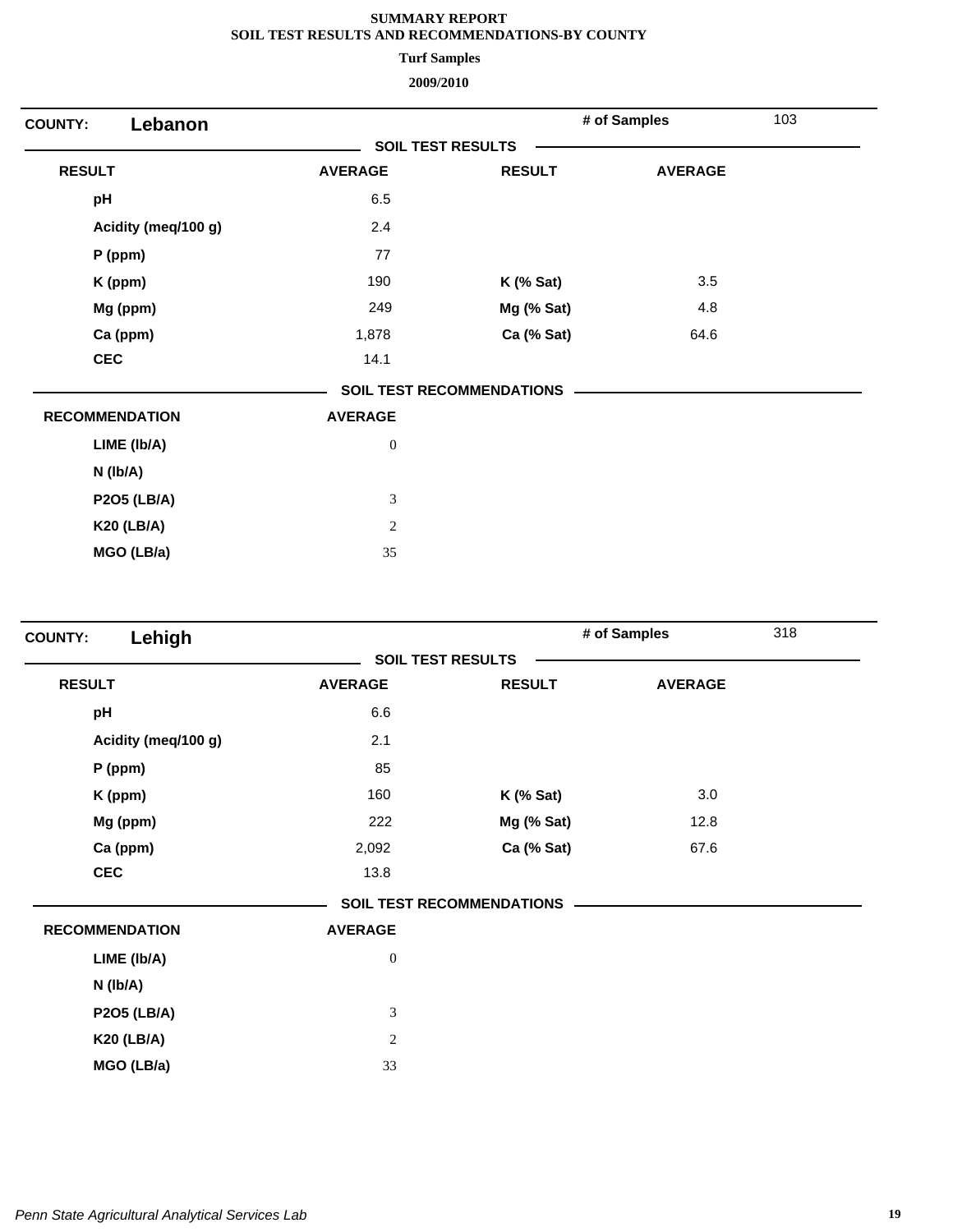**Turf Samples**

| Lebanon<br><b>COUNTY:</b> |                          |                                  | # of Samples   | 103 |
|---------------------------|--------------------------|----------------------------------|----------------|-----|
|                           | <b>SOIL TEST RESULTS</b> |                                  |                |     |
| <b>RESULT</b>             | <b>AVERAGE</b>           | <b>RESULT</b>                    | <b>AVERAGE</b> |     |
| pH                        | 6.5                      |                                  |                |     |
| Acidity (meq/100 g)       | 2.4                      |                                  |                |     |
| P (ppm)                   | 77                       |                                  |                |     |
| K (ppm)                   | 190                      | $K$ (% Sat)                      | 3.5            |     |
| Mg (ppm)                  | 249                      | Mg (% Sat)                       | 4.8            |     |
| Ca (ppm)                  | 1,878                    | Ca (% Sat)                       | 64.6           |     |
| <b>CEC</b>                | 14.1                     |                                  |                |     |
|                           |                          | <b>SOIL TEST RECOMMENDATIONS</b> |                |     |
| <b>RECOMMENDATION</b>     | <b>AVERAGE</b>           |                                  |                |     |
| LIME (Ib/A)               | $\boldsymbol{0}$         |                                  |                |     |
| $N$ ( $lb/A$ )            |                          |                                  |                |     |
| <b>P2O5 (LB/A)</b>        | $\mathfrak{Z}$           |                                  |                |     |
| <b>K20 (LB/A)</b>         | $\sqrt{2}$               |                                  |                |     |
| MGO (LB/a)                | 35                       |                                  |                |     |
|                           |                          |                                  |                |     |

| Lehigh<br><b>COUNTY:</b> |                  |                                  | # of Samples   | 318 |
|--------------------------|------------------|----------------------------------|----------------|-----|
|                          |                  | <b>SOIL TEST RESULTS</b>         |                |     |
| <b>RESULT</b>            | <b>AVERAGE</b>   | <b>RESULT</b>                    | <b>AVERAGE</b> |     |
| pH                       | 6.6              |                                  |                |     |
| Acidity (meq/100 g)      | 2.1              |                                  |                |     |
| P (ppm)                  | 85               |                                  |                |     |
| K (ppm)                  | 160              | $K$ (% Sat)                      | 3.0            |     |
| Mg (ppm)                 | 222              | Mg (% Sat)                       | 12.8           |     |
| Ca (ppm)                 | 2,092            | Ca (% Sat)                       | 67.6           |     |
| <b>CEC</b>               | 13.8             |                                  |                |     |
|                          |                  | <b>SOIL TEST RECOMMENDATIONS</b> |                |     |
| <b>RECOMMENDATION</b>    | <b>AVERAGE</b>   |                                  |                |     |
| LIME (Ib/A)              | $\boldsymbol{0}$ |                                  |                |     |
| $N$ ( $lb/A$ )           |                  |                                  |                |     |
| <b>P2O5 (LB/A)</b>       | 3                |                                  |                |     |
| <b>K20 (LB/A)</b>        | $\overline{c}$   |                                  |                |     |
| MGO (LB/a)               | 33               |                                  |                |     |
|                          |                  |                                  |                |     |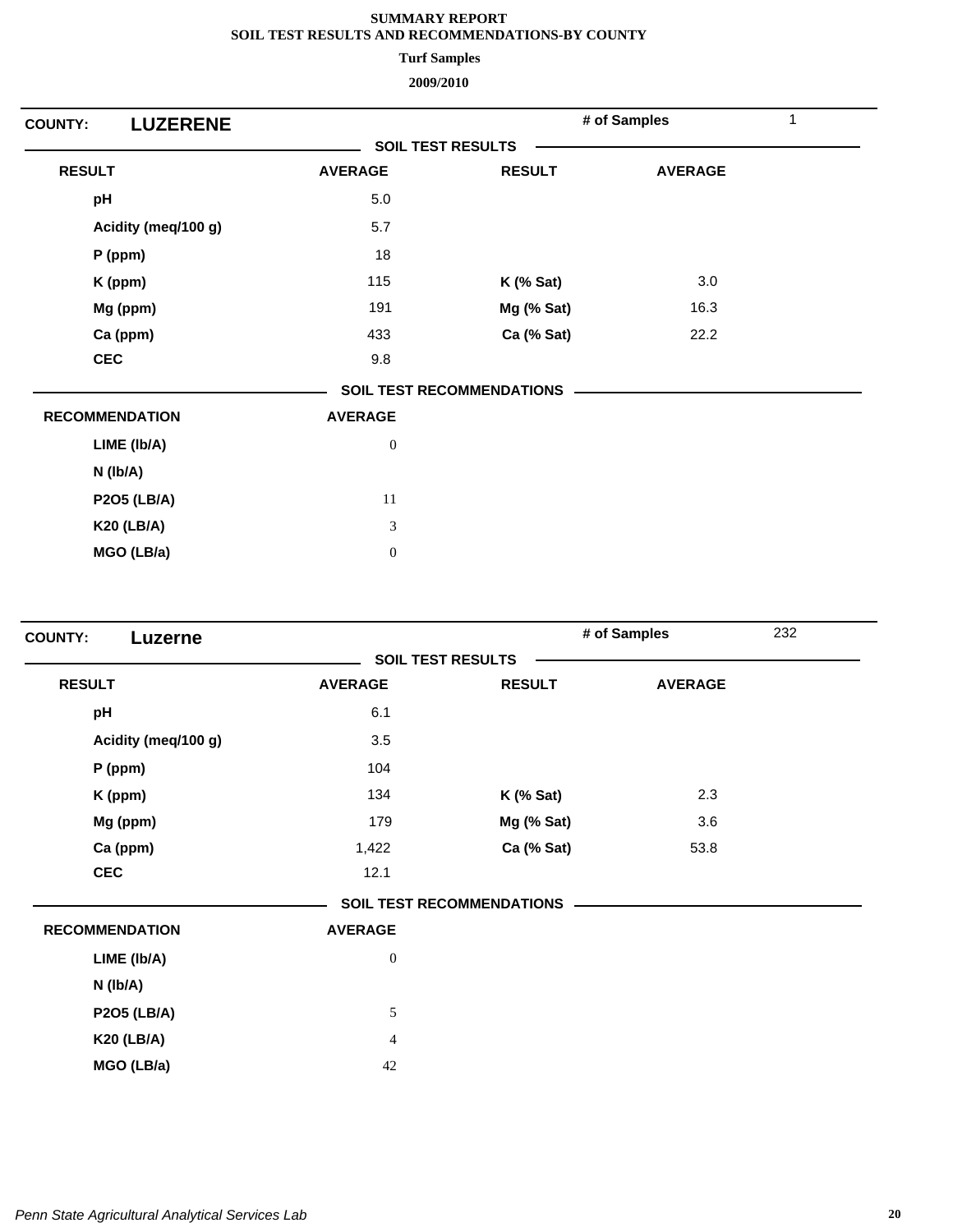**Turf Samples**

| <b>LUZERENE</b><br><b>COUNTY:</b> |                          |                                  | # of Samples   | 1 |
|-----------------------------------|--------------------------|----------------------------------|----------------|---|
|                                   | <b>SOIL TEST RESULTS</b> |                                  |                |   |
| <b>RESULT</b>                     | <b>AVERAGE</b>           | <b>RESULT</b>                    | <b>AVERAGE</b> |   |
| pH                                | 5.0                      |                                  |                |   |
| Acidity (meq/100 g)               | 5.7                      |                                  |                |   |
| P (ppm)                           | 18                       |                                  |                |   |
| K (ppm)                           | 115                      | <b>K</b> (% Sat)                 | 3.0            |   |
| Mg (ppm)                          | 191                      | Mg (% Sat)                       | 16.3           |   |
| Ca (ppm)                          | 433                      | Ca (% Sat)                       | 22.2           |   |
| <b>CEC</b>                        | 9.8                      |                                  |                |   |
|                                   |                          | <b>SOIL TEST RECOMMENDATIONS</b> |                |   |
| <b>RECOMMENDATION</b>             | <b>AVERAGE</b>           |                                  |                |   |
| LIME (Ib/A)                       | $\boldsymbol{0}$         |                                  |                |   |
| $N$ ( $lb/A$ )                    |                          |                                  |                |   |
| <b>P2O5 (LB/A)</b>                | 11                       |                                  |                |   |
| <b>K20 (LB/A)</b>                 | $\mathfrak{Z}$           |                                  |                |   |
| MGO (LB/a)                        | $\boldsymbol{0}$         |                                  |                |   |

| Luzerne<br><b>COUNTY:</b> |                  |                                  | # of Samples<br>232 |  |
|---------------------------|------------------|----------------------------------|---------------------|--|
|                           |                  | <b>SOIL TEST RESULTS</b>         |                     |  |
| <b>RESULT</b>             | <b>AVERAGE</b>   | <b>RESULT</b>                    | <b>AVERAGE</b>      |  |
| pH                        | 6.1              |                                  |                     |  |
| Acidity (meq/100 g)       | 3.5              |                                  |                     |  |
| $P$ (ppm)                 | 104              |                                  |                     |  |
| K (ppm)                   | 134              | $K$ (% Sat)                      | 2.3                 |  |
| Mg (ppm)                  | 179              | Mg (% Sat)                       | 3.6                 |  |
| Ca (ppm)                  | 1,422            | Ca (% Sat)                       | 53.8                |  |
| <b>CEC</b>                | 12.1             |                                  |                     |  |
|                           |                  | <b>SOIL TEST RECOMMENDATIONS</b> |                     |  |
| <b>RECOMMENDATION</b>     | <b>AVERAGE</b>   |                                  |                     |  |
| LIME (Ib/A)               | $\boldsymbol{0}$ |                                  |                     |  |
| N (lb/A)                  |                  |                                  |                     |  |
| <b>P2O5 (LB/A)</b>        | 5                |                                  |                     |  |
| <b>K20 (LB/A)</b>         | $\overline{4}$   |                                  |                     |  |
| MGO (LB/a)                | 42               |                                  |                     |  |
|                           |                  |                                  |                     |  |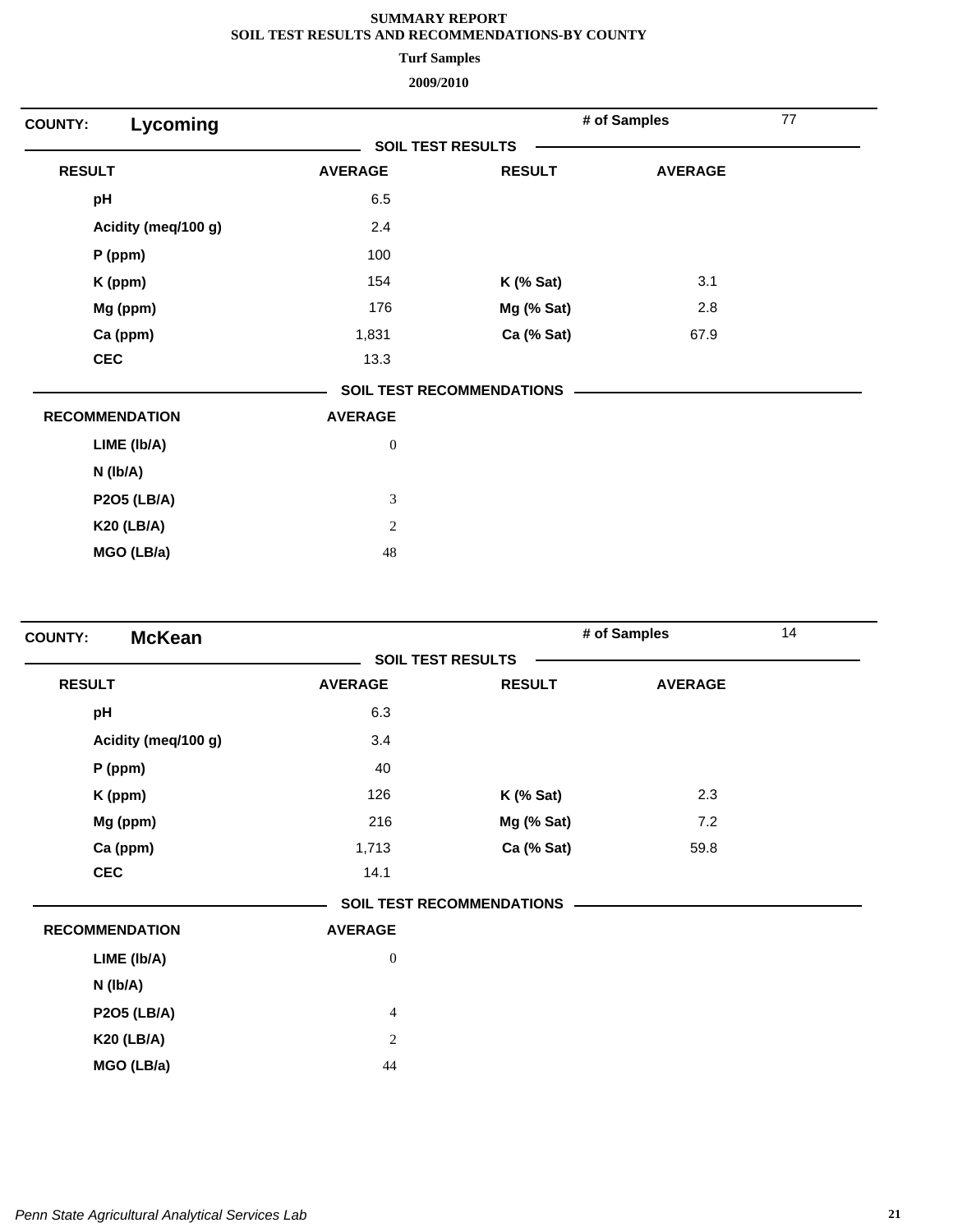**Turf Samples**

| Lycoming<br><b>COUNTY:</b> |                          |                                  | # of Samples   | 77 |
|----------------------------|--------------------------|----------------------------------|----------------|----|
|                            | <b>SOIL TEST RESULTS</b> |                                  |                |    |
| <b>RESULT</b>              | <b>AVERAGE</b>           | <b>RESULT</b>                    | <b>AVERAGE</b> |    |
| pH                         | 6.5                      |                                  |                |    |
| Acidity (meq/100 g)        | 2.4                      |                                  |                |    |
| P (ppm)                    | 100                      |                                  |                |    |
| K (ppm)                    | 154                      | $K$ (% Sat)                      | 3.1            |    |
| Mg (ppm)                   | 176                      | Mg (% Sat)                       | 2.8            |    |
| Ca (ppm)                   | 1,831                    | Ca (% Sat)                       | 67.9           |    |
| <b>CEC</b>                 | 13.3                     |                                  |                |    |
|                            |                          | <b>SOIL TEST RECOMMENDATIONS</b> |                |    |
| <b>RECOMMENDATION</b>      | <b>AVERAGE</b>           |                                  |                |    |
| LIME (Ib/A)                | $\boldsymbol{0}$         |                                  |                |    |
| $N$ ( $lb/A$ )             |                          |                                  |                |    |
| <b>P2O5 (LB/A)</b>         | $\mathfrak{Z}$           |                                  |                |    |
| <b>K20 (LB/A)</b>          | $\sqrt{2}$               |                                  |                |    |
| MGO (LB/a)                 | 48                       |                                  |                |    |

| <b>McKean</b><br><b>COUNTY:</b> |                          |                                  | # of Samples   | 14 |
|---------------------------------|--------------------------|----------------------------------|----------------|----|
|                                 | <b>SOIL TEST RESULTS</b> |                                  |                |    |
| <b>RESULT</b>                   | <b>AVERAGE</b>           | <b>RESULT</b>                    | <b>AVERAGE</b> |    |
| pH                              | 6.3                      |                                  |                |    |
| Acidity (meq/100 g)             | 3.4                      |                                  |                |    |
| $P$ (ppm)                       | 40                       |                                  |                |    |
| K (ppm)                         | 126                      | $K$ (% Sat)                      | 2.3            |    |
| Mg (ppm)                        | 216                      | Mg (% Sat)                       | 7.2            |    |
| Ca (ppm)                        | 1,713                    | Ca (% Sat)                       | 59.8           |    |
| <b>CEC</b>                      | 14.1                     |                                  |                |    |
|                                 |                          | <b>SOIL TEST RECOMMENDATIONS</b> |                |    |
| <b>RECOMMENDATION</b>           | <b>AVERAGE</b>           |                                  |                |    |
| LIME (Ib/A)                     | $\boldsymbol{0}$         |                                  |                |    |
| N (lb/A)                        |                          |                                  |                |    |
| <b>P2O5 (LB/A)</b>              | $\overline{4}$           |                                  |                |    |
| <b>K20 (LB/A)</b>               | $\sqrt{2}$               |                                  |                |    |
| MGO (LB/a)                      | 44                       |                                  |                |    |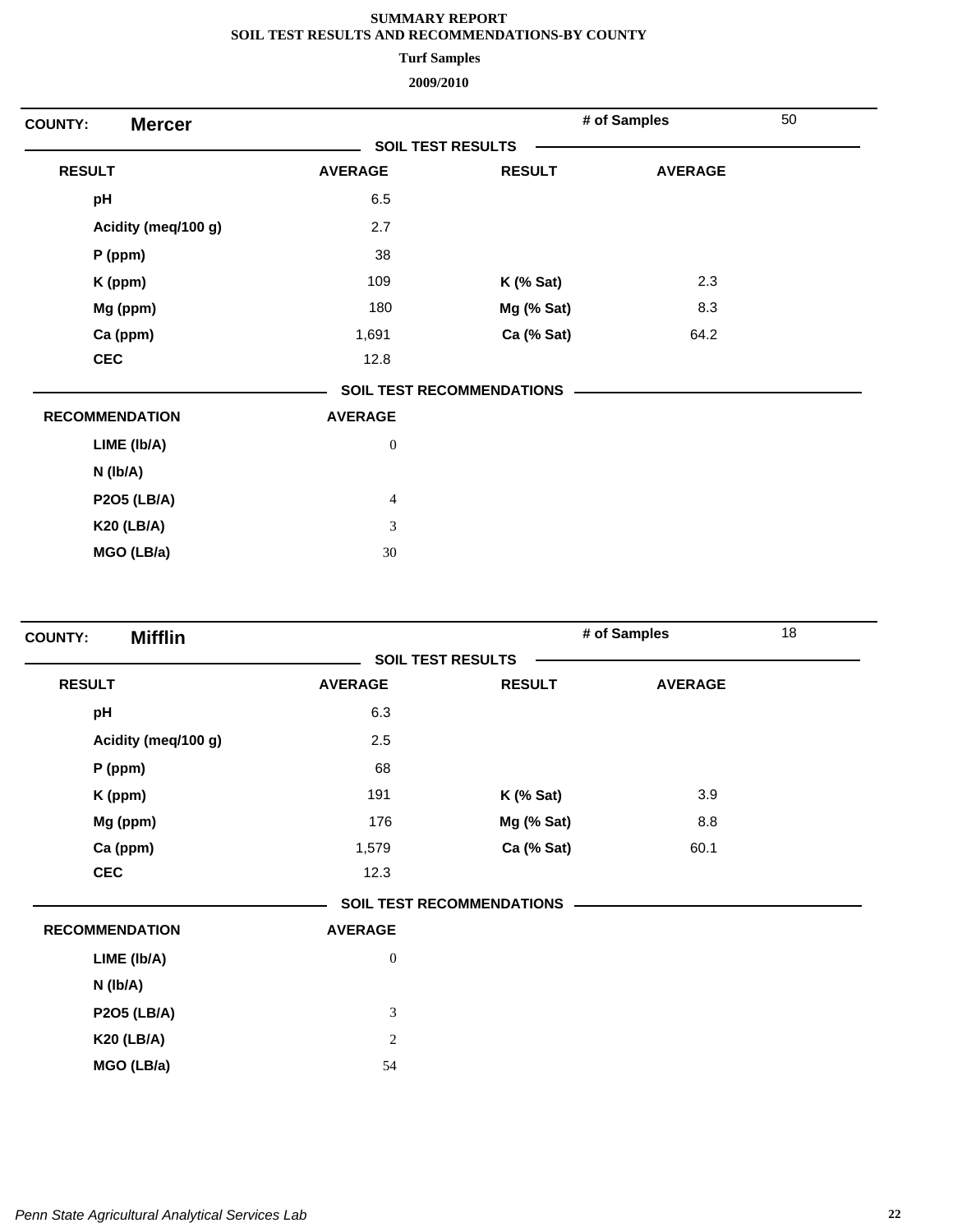**Turf Samples**

| <b>Mercer</b><br><b>COUNTY:</b> |                          |                                  | # of Samples   | 50 |
|---------------------------------|--------------------------|----------------------------------|----------------|----|
|                                 | <b>SOIL TEST RESULTS</b> |                                  |                |    |
| <b>RESULT</b>                   | <b>AVERAGE</b>           | <b>RESULT</b>                    | <b>AVERAGE</b> |    |
| pH                              | 6.5                      |                                  |                |    |
| Acidity (meq/100 g)             | 2.7                      |                                  |                |    |
| P (ppm)                         | 38                       |                                  |                |    |
| K (ppm)                         | 109                      | $K$ (% Sat)                      | 2.3            |    |
| Mg (ppm)                        | 180                      | Mg (% Sat)                       | 8.3            |    |
| Ca (ppm)                        | 1,691                    | Ca (% Sat)                       | 64.2           |    |
| <b>CEC</b>                      | 12.8                     |                                  |                |    |
|                                 |                          | <b>SOIL TEST RECOMMENDATIONS</b> |                |    |
| <b>RECOMMENDATION</b>           | <b>AVERAGE</b>           |                                  |                |    |
| LIME (Ib/A)                     | $\boldsymbol{0}$         |                                  |                |    |
| $N$ ( $lb/A$ )                  |                          |                                  |                |    |
| <b>P2O5 (LB/A)</b>              | $\overline{4}$           |                                  |                |    |
| <b>K20 (LB/A)</b>               | 3                        |                                  |                |    |
| MGO (LB/a)                      | 30                       |                                  |                |    |
|                                 |                          |                                  |                |    |

| <b>Mifflin</b><br><b>COUNTY:</b> |                             |                                  | # of Samples   | 18 |
|----------------------------------|-----------------------------|----------------------------------|----------------|----|
|                                  | <b>SOIL TEST RESULTS</b>    |                                  |                |    |
| <b>RESULT</b>                    | <b>AVERAGE</b>              | <b>RESULT</b>                    | <b>AVERAGE</b> |    |
| pH                               | 6.3                         |                                  |                |    |
| Acidity (meq/100 g)              | 2.5                         |                                  |                |    |
| $P$ (ppm)                        | 68                          |                                  |                |    |
| K (ppm)                          | 191                         | $K$ (% Sat)                      | 3.9            |    |
| Mg (ppm)                         | 176                         | Mg (% Sat)                       | 8.8            |    |
| Ca (ppm)                         | 1,579                       | Ca (% Sat)                       | 60.1           |    |
| <b>CEC</b>                       | 12.3                        |                                  |                |    |
|                                  |                             | <b>SOIL TEST RECOMMENDATIONS</b> |                |    |
| <b>RECOMMENDATION</b>            | <b>AVERAGE</b>              |                                  |                |    |
| LIME (Ib/A)                      | $\boldsymbol{0}$            |                                  |                |    |
| N (Ib/A)                         |                             |                                  |                |    |
| <b>P2O5 (LB/A)</b>               | $\ensuremath{\mathfrak{Z}}$ |                                  |                |    |
| <b>K20 (LB/A)</b>                | $\mathbf{2}$                |                                  |                |    |
| MGO (LB/a)                       | 54                          |                                  |                |    |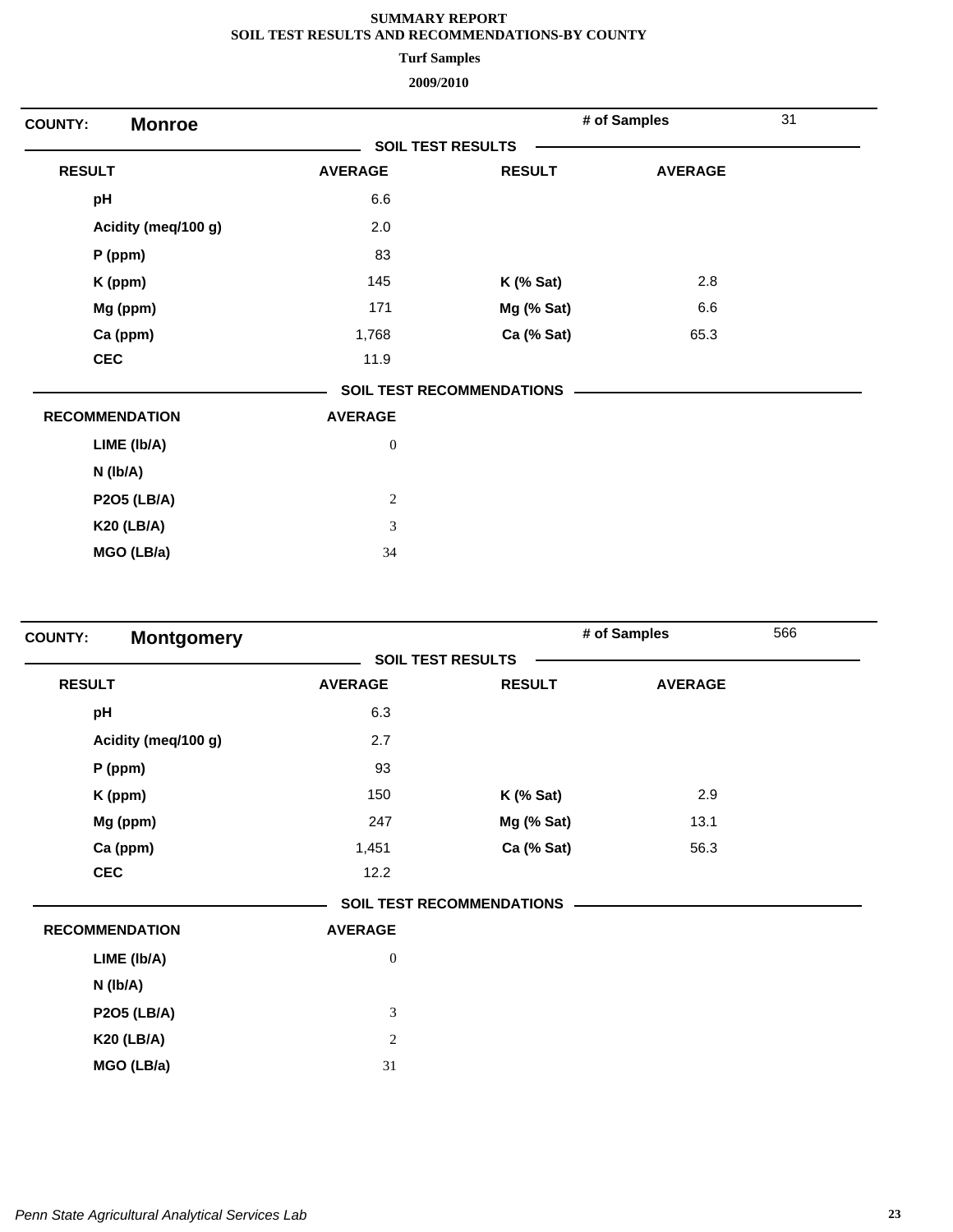**Turf Samples**

| <b>Monroe</b><br><b>COUNTY:</b> |                          |                                  | # of Samples   | 31 |
|---------------------------------|--------------------------|----------------------------------|----------------|----|
|                                 | <b>SOIL TEST RESULTS</b> |                                  |                |    |
| <b>RESULT</b>                   | <b>AVERAGE</b>           | <b>RESULT</b>                    | <b>AVERAGE</b> |    |
| pH                              | 6.6                      |                                  |                |    |
| Acidity (meq/100 g)             | 2.0                      |                                  |                |    |
| P (ppm)                         | 83                       |                                  |                |    |
| K (ppm)                         | 145                      | $K$ (% Sat)                      | 2.8            |    |
| Mg (ppm)                        | 171                      | Mg (% Sat)                       | 6.6            |    |
| Ca (ppm)                        | 1,768                    | Ca (% Sat)                       | 65.3           |    |
| <b>CEC</b>                      | 11.9                     |                                  |                |    |
|                                 |                          | <b>SOIL TEST RECOMMENDATIONS</b> |                |    |
| <b>RECOMMENDATION</b>           | <b>AVERAGE</b>           |                                  |                |    |
| LIME (Ib/A)                     | $\boldsymbol{0}$         |                                  |                |    |
| $N$ (lb/A)                      |                          |                                  |                |    |
| <b>P2O5 (LB/A)</b>              | $\sqrt{2}$               |                                  |                |    |
| <b>K20 (LB/A)</b>               | 3                        |                                  |                |    |
| MGO (LB/a)                      | 34                       |                                  |                |    |

| <b>Montgomery</b><br><b>COUNTY:</b> |                  |                                  | # of Samples   | 566 |
|-------------------------------------|------------------|----------------------------------|----------------|-----|
|                                     |                  | <b>SOIL TEST RESULTS</b>         |                |     |
| <b>RESULT</b>                       | <b>AVERAGE</b>   | <b>RESULT</b>                    | <b>AVERAGE</b> |     |
| pH                                  | 6.3              |                                  |                |     |
| Acidity (meq/100 g)                 | 2.7              |                                  |                |     |
| $P$ (ppm)                           | 93               |                                  |                |     |
| K (ppm)                             | 150              | $K$ (% Sat)                      | 2.9            |     |
| Mg (ppm)                            | 247              | Mg (% Sat)                       | 13.1           |     |
| Ca (ppm)                            | 1,451            | Ca (% Sat)                       | 56.3           |     |
| <b>CEC</b>                          | 12.2             |                                  |                |     |
|                                     |                  | <b>SOIL TEST RECOMMENDATIONS</b> |                |     |
| <b>RECOMMENDATION</b>               | <b>AVERAGE</b>   |                                  |                |     |
| LIME (Ib/A)                         | $\boldsymbol{0}$ |                                  |                |     |
| N (lb/A)                            |                  |                                  |                |     |
| <b>P2O5 (LB/A)</b>                  | 3                |                                  |                |     |
| <b>K20 (LB/A)</b>                   | $\sqrt{2}$       |                                  |                |     |
| MGO (LB/a)                          | 31               |                                  |                |     |
|                                     |                  |                                  |                |     |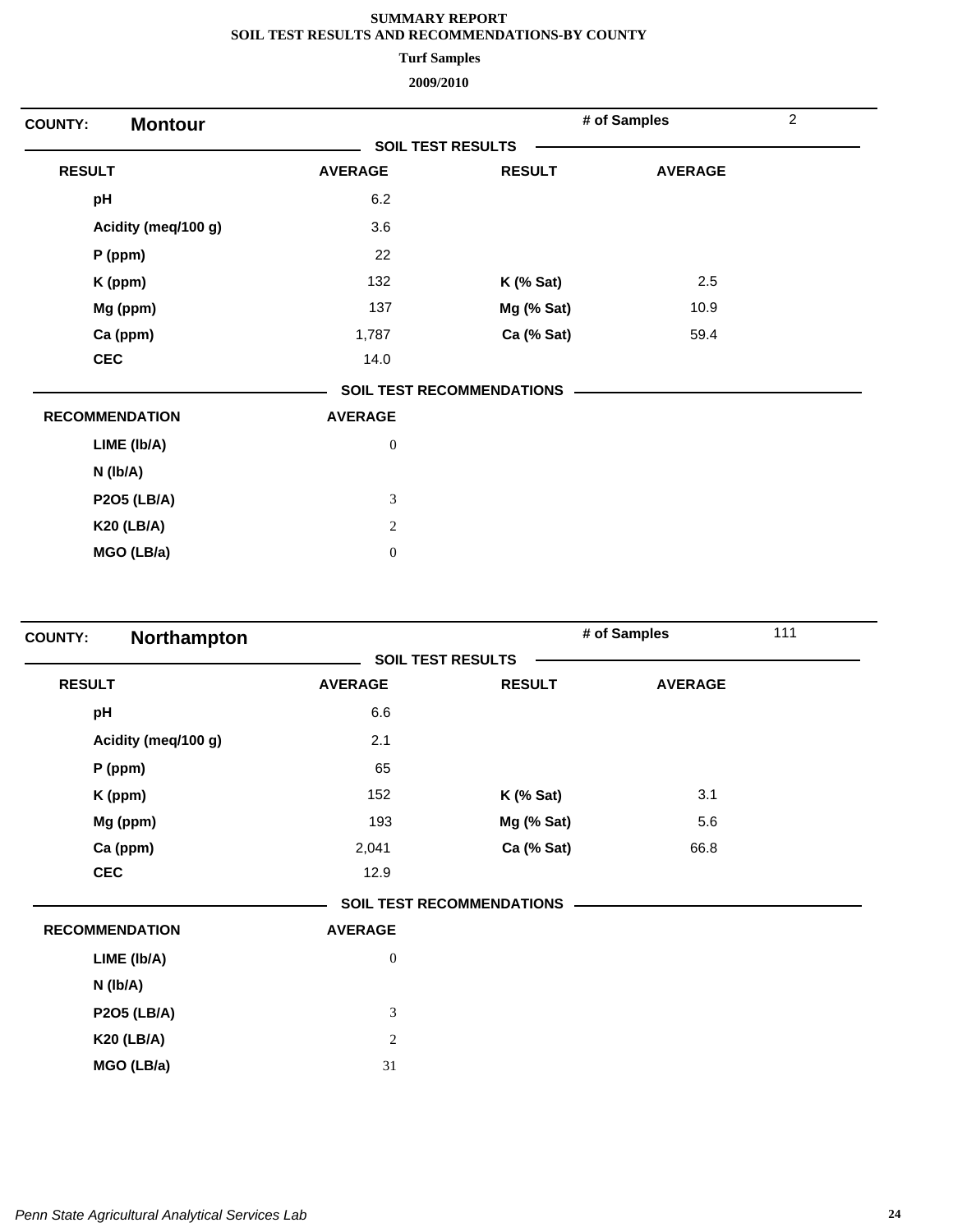**Turf Samples**

| <b>Montour</b><br><b>COUNTY:</b> |                  |                                  | # of Samples   | $\overline{c}$ |
|----------------------------------|------------------|----------------------------------|----------------|----------------|
|                                  |                  | <b>SOIL TEST RESULTS</b>         |                |                |
| <b>RESULT</b>                    | <b>AVERAGE</b>   | <b>RESULT</b>                    | <b>AVERAGE</b> |                |
| pH                               | 6.2              |                                  |                |                |
| Acidity (meq/100 g)              | 3.6              |                                  |                |                |
| $P$ (ppm)                        | 22               |                                  |                |                |
| K (ppm)                          | 132              | $K$ (% Sat)                      | 2.5            |                |
| Mg (ppm)                         | 137              | Mg (% Sat)                       | 10.9           |                |
| Ca (ppm)                         | 1,787            | Ca (% Sat)                       | 59.4           |                |
| <b>CEC</b>                       | 14.0             |                                  |                |                |
|                                  |                  | <b>SOIL TEST RECOMMENDATIONS</b> |                |                |
| <b>RECOMMENDATION</b>            | <b>AVERAGE</b>   |                                  |                |                |
| LIME (Ib/A)                      | $\boldsymbol{0}$ |                                  |                |                |
| $N$ ( $lb/A$ )                   |                  |                                  |                |                |
| <b>P2O5 (LB/A)</b>               | $\mathfrak{Z}$   |                                  |                |                |
| <b>K20 (LB/A)</b>                | $\overline{c}$   |                                  |                |                |
| MGO (LB/a)                       | $\boldsymbol{0}$ |                                  |                |                |

| Northampton<br><b>COUNTY:</b> |                  |                                  | # of Samples   | 111 |
|-------------------------------|------------------|----------------------------------|----------------|-----|
|                               |                  | <b>SOIL TEST RESULTS</b>         |                |     |
| <b>RESULT</b>                 | <b>AVERAGE</b>   | <b>RESULT</b>                    | <b>AVERAGE</b> |     |
| pH                            | 6.6              |                                  |                |     |
| Acidity (meq/100 g)           | 2.1              |                                  |                |     |
| $P$ (ppm)                     | 65               |                                  |                |     |
| K (ppm)                       | 152              | $K$ (% Sat)                      | 3.1            |     |
| Mg (ppm)                      | 193              | Mg (% Sat)                       | 5.6            |     |
| Ca (ppm)                      | 2,041            | Ca (% Sat)                       | 66.8           |     |
| <b>CEC</b>                    | 12.9             |                                  |                |     |
|                               |                  | <b>SOIL TEST RECOMMENDATIONS</b> |                |     |
| <b>RECOMMENDATION</b>         | <b>AVERAGE</b>   |                                  |                |     |
| LIME (Ib/A)                   | $\boldsymbol{0}$ |                                  |                |     |
| N (lb/A)                      |                  |                                  |                |     |
| <b>P2O5 (LB/A)</b>            | 3                |                                  |                |     |
| <b>K20 (LB/A)</b>             | $\sqrt{2}$       |                                  |                |     |
| MGO (LB/a)                    | 31               |                                  |                |     |
|                               |                  |                                  |                |     |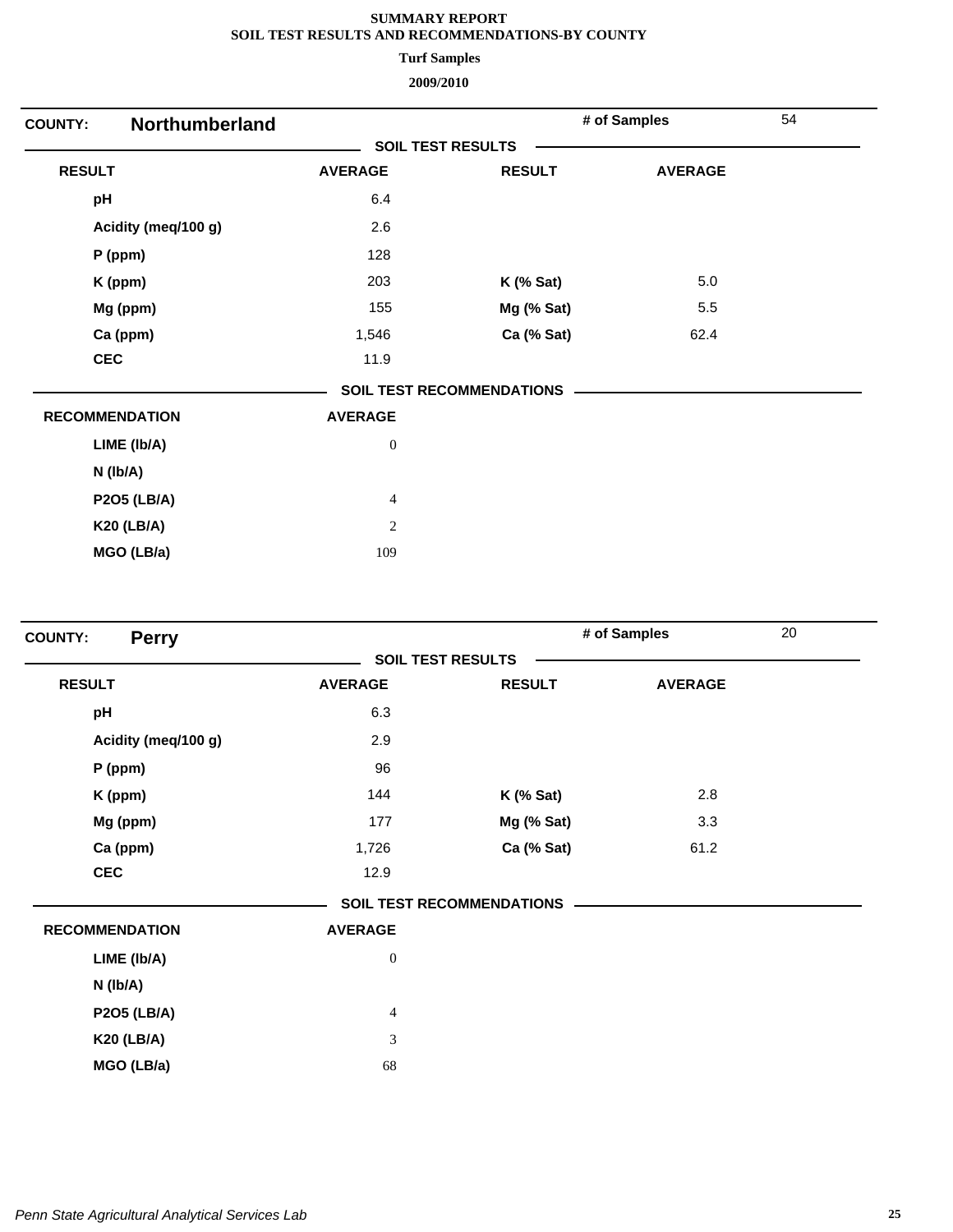**Turf Samples**

| <b>COUNTY:</b>        | Northumberland   |                                  | # of Samples   | 54 |  |
|-----------------------|------------------|----------------------------------|----------------|----|--|
|                       |                  | <b>SOIL TEST RESULTS</b>         |                |    |  |
| <b>RESULT</b>         | <b>AVERAGE</b>   | <b>RESULT</b>                    | <b>AVERAGE</b> |    |  |
| pH                    | 6.4              |                                  |                |    |  |
| Acidity (meq/100 g)   | 2.6              |                                  |                |    |  |
| $P$ (ppm)             | 128              |                                  |                |    |  |
| K (ppm)               | 203              | $K$ (% Sat)                      | $5.0\,$        |    |  |
| Mg (ppm)              | 155              | Mg (% Sat)                       | 5.5            |    |  |
| Ca (ppm)              | 1,546            | Ca (% Sat)                       | 62.4           |    |  |
| <b>CEC</b>            | 11.9             |                                  |                |    |  |
|                       |                  | <b>SOIL TEST RECOMMENDATIONS</b> |                |    |  |
| <b>RECOMMENDATION</b> | <b>AVERAGE</b>   |                                  |                |    |  |
| LIME (Ib/A)           | $\boldsymbol{0}$ |                                  |                |    |  |
| N (Ib/A)              |                  |                                  |                |    |  |
| <b>P2O5 (LB/A)</b>    | $\overline{4}$   |                                  |                |    |  |
| <b>K20 (LB/A)</b>     | $\overline{2}$   |                                  |                |    |  |
| MGO (LB/a)            | 109              |                                  |                |    |  |

| <b>Perry</b><br><b>COUNTY:</b> |                  |                                  | # of Samples   | 20 |
|--------------------------------|------------------|----------------------------------|----------------|----|
|                                |                  | <b>SOIL TEST RESULTS</b>         |                |    |
| <b>RESULT</b>                  | <b>AVERAGE</b>   | <b>RESULT</b>                    | <b>AVERAGE</b> |    |
| pH                             | 6.3              |                                  |                |    |
| Acidity (meq/100 g)            | 2.9              |                                  |                |    |
| $P$ (ppm)                      | 96               |                                  |                |    |
| K (ppm)                        | 144              | $K$ (% Sat)                      | 2.8            |    |
| Mg (ppm)                       | 177              | Mg (% Sat)                       | 3.3            |    |
| Ca (ppm)                       | 1,726            | Ca (% Sat)                       | 61.2           |    |
| <b>CEC</b>                     | 12.9             |                                  |                |    |
|                                |                  | <b>SOIL TEST RECOMMENDATIONS</b> |                |    |
| <b>RECOMMENDATION</b>          | <b>AVERAGE</b>   |                                  |                |    |
| LIME (Ib/A)                    | $\boldsymbol{0}$ |                                  |                |    |
| N (Ib/A)                       |                  |                                  |                |    |
| <b>P2O5 (LB/A)</b>             | $\overline{4}$   |                                  |                |    |
| <b>K20 (LB/A)</b>              | $\mathfrak{Z}$   |                                  |                |    |
| MGO (LB/a)                     | 68               |                                  |                |    |
|                                |                  |                                  |                |    |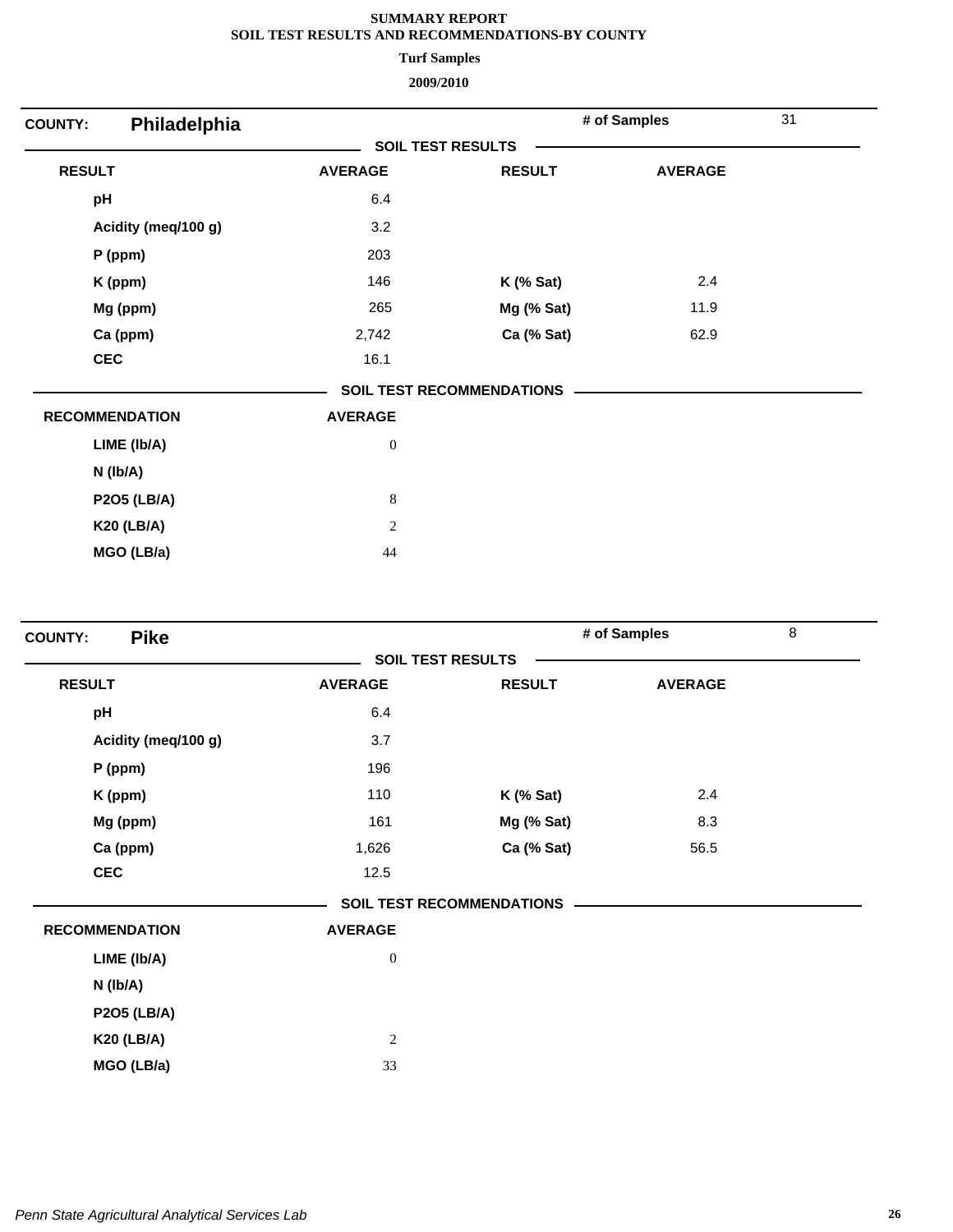**Turf Samples**

| Philadelphia<br><b>COUNTY:</b> |                  |                           | # of Samples   | 31 |
|--------------------------------|------------------|---------------------------|----------------|----|
|                                |                  | <b>SOIL TEST RESULTS</b>  |                |    |
| <b>RESULT</b>                  | <b>AVERAGE</b>   | <b>RESULT</b>             | <b>AVERAGE</b> |    |
| pH                             | 6.4              |                           |                |    |
| Acidity (meq/100 g)            | 3.2              |                           |                |    |
| P (ppm)                        | 203              |                           |                |    |
| K (ppm)                        | 146              | $K$ (% Sat)               | 2.4            |    |
| Mg (ppm)                       | 265              | Mg (% Sat)                | 11.9           |    |
| Ca (ppm)                       | 2,742            | Ca (% Sat)                | 62.9           |    |
| <b>CEC</b>                     | 16.1             |                           |                |    |
|                                |                  | SOIL TEST RECOMMENDATIONS |                |    |
| <b>RECOMMENDATION</b>          | <b>AVERAGE</b>   |                           |                |    |
| LIME (Ib/A)                    | $\boldsymbol{0}$ |                           |                |    |
| $N$ (lb/A)                     |                  |                           |                |    |
| <b>P2O5 (LB/A)</b>             | $\,8\,$          |                           |                |    |
| <b>K20 (LB/A)</b>              | $\sqrt{2}$       |                           |                |    |
| MGO (LB/a)                     | 44               |                           |                |    |

| <b>Pike</b><br><b>COUNTY:</b> |                  |                                  | # of Samples   | 8 |
|-------------------------------|------------------|----------------------------------|----------------|---|
|                               |                  | <b>SOIL TEST RESULTS</b>         |                |   |
| <b>RESULT</b>                 | <b>AVERAGE</b>   | <b>RESULT</b>                    | <b>AVERAGE</b> |   |
| pH                            | 6.4              |                                  |                |   |
| Acidity (meq/100 g)           | 3.7              |                                  |                |   |
| $P$ (ppm)                     | 196              |                                  |                |   |
| K (ppm)                       | 110              | $K$ (% Sat)                      | 2.4            |   |
| Mg (ppm)                      | 161              | Mg (% Sat)                       | 8.3            |   |
| Ca (ppm)                      | 1,626            | Ca (% Sat)                       | 56.5           |   |
| <b>CEC</b>                    | 12.5             |                                  |                |   |
|                               |                  | <b>SOIL TEST RECOMMENDATIONS</b> |                |   |
| <b>RECOMMENDATION</b>         | <b>AVERAGE</b>   |                                  |                |   |
| LIME (Ib/A)                   | $\boldsymbol{0}$ |                                  |                |   |
| $N$ ( $lb/A$ )                |                  |                                  |                |   |
| <b>P2O5 (LB/A)</b>            |                  |                                  |                |   |
| <b>K20 (LB/A)</b>             | $\mathbf{2}$     |                                  |                |   |
| MGO (LB/a)                    | 33               |                                  |                |   |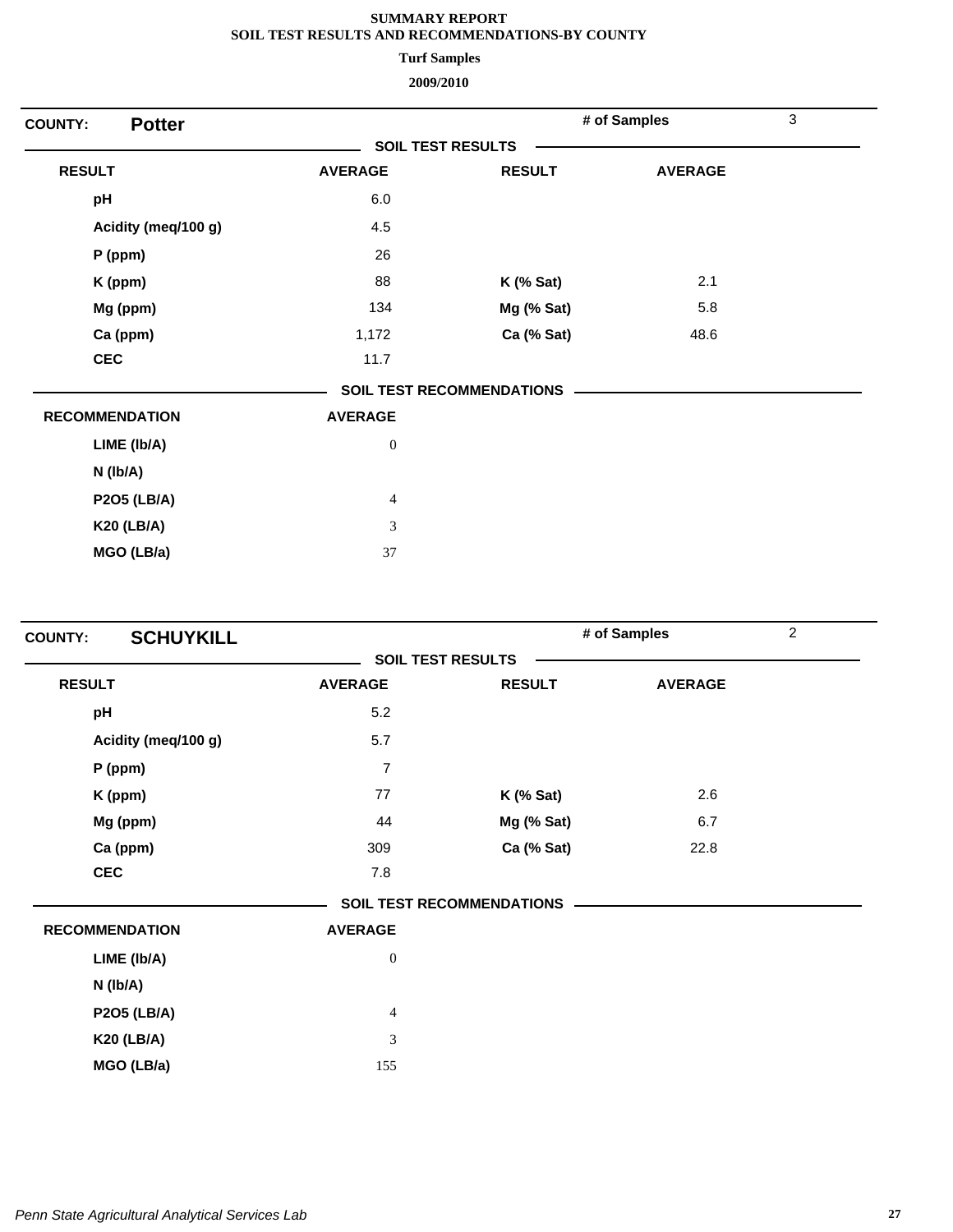**Turf Samples**

| <b>Potter</b><br><b>COUNTY:</b> |                  |                                  | # of Samples   | 3 |
|---------------------------------|------------------|----------------------------------|----------------|---|
|                                 |                  | <b>SOIL TEST RESULTS</b>         |                |   |
| <b>RESULT</b>                   | <b>AVERAGE</b>   | <b>RESULT</b>                    | <b>AVERAGE</b> |   |
| pH                              | 6.0              |                                  |                |   |
| Acidity (meq/100 g)             | 4.5              |                                  |                |   |
| $P$ (ppm)                       | 26               |                                  |                |   |
| K (ppm)                         | 88               | $K$ (% Sat)                      | 2.1            |   |
| Mg (ppm)                        | 134              | Mg (% Sat)                       | 5.8            |   |
| Ca (ppm)                        | 1,172            | Ca (% Sat)                       | 48.6           |   |
| <b>CEC</b>                      | 11.7             |                                  |                |   |
|                                 |                  | <b>SOIL TEST RECOMMENDATIONS</b> |                |   |
| <b>RECOMMENDATION</b>           | <b>AVERAGE</b>   |                                  |                |   |
| LIME (Ib/A)                     | $\boldsymbol{0}$ |                                  |                |   |
| $N$ ( $lb/A$ )                  |                  |                                  |                |   |
| <b>P2O5 (LB/A)</b>              | $\overline{4}$   |                                  |                |   |
| <b>K20 (LB/A)</b>               | 3                |                                  |                |   |
| MGO (LB/a)                      | 37               |                                  |                |   |

| <b>SCHUYKILL</b><br><b>COUNTY:</b> |                  |                                  | # of Samples   | $\overline{2}$ |
|------------------------------------|------------------|----------------------------------|----------------|----------------|
|                                    |                  | <b>SOIL TEST RESULTS</b>         |                |                |
| <b>RESULT</b>                      | <b>AVERAGE</b>   | <b>RESULT</b>                    | <b>AVERAGE</b> |                |
| pH                                 | 5.2              |                                  |                |                |
| Acidity (meq/100 g)                | 5.7              |                                  |                |                |
| $P$ (ppm)                          | $\overline{7}$   |                                  |                |                |
| K (ppm)                            | 77               | $K$ (% Sat)                      | 2.6            |                |
| Mg (ppm)                           | 44               | Mg (% Sat)                       | 6.7            |                |
| Ca (ppm)                           | 309              | Ca (% Sat)                       | 22.8           |                |
| <b>CEC</b>                         | 7.8              |                                  |                |                |
|                                    |                  | <b>SOIL TEST RECOMMENDATIONS</b> |                |                |
| <b>RECOMMENDATION</b>              | <b>AVERAGE</b>   |                                  |                |                |
| LIME (Ib/A)                        | $\boldsymbol{0}$ |                                  |                |                |
| N (lb/A)                           |                  |                                  |                |                |
| <b>P2O5 (LB/A)</b>                 | $\overline{4}$   |                                  |                |                |
| <b>K20 (LB/A)</b>                  | 3                |                                  |                |                |
| MGO (LB/a)                         | 155              |                                  |                |                |
|                                    |                  |                                  |                |                |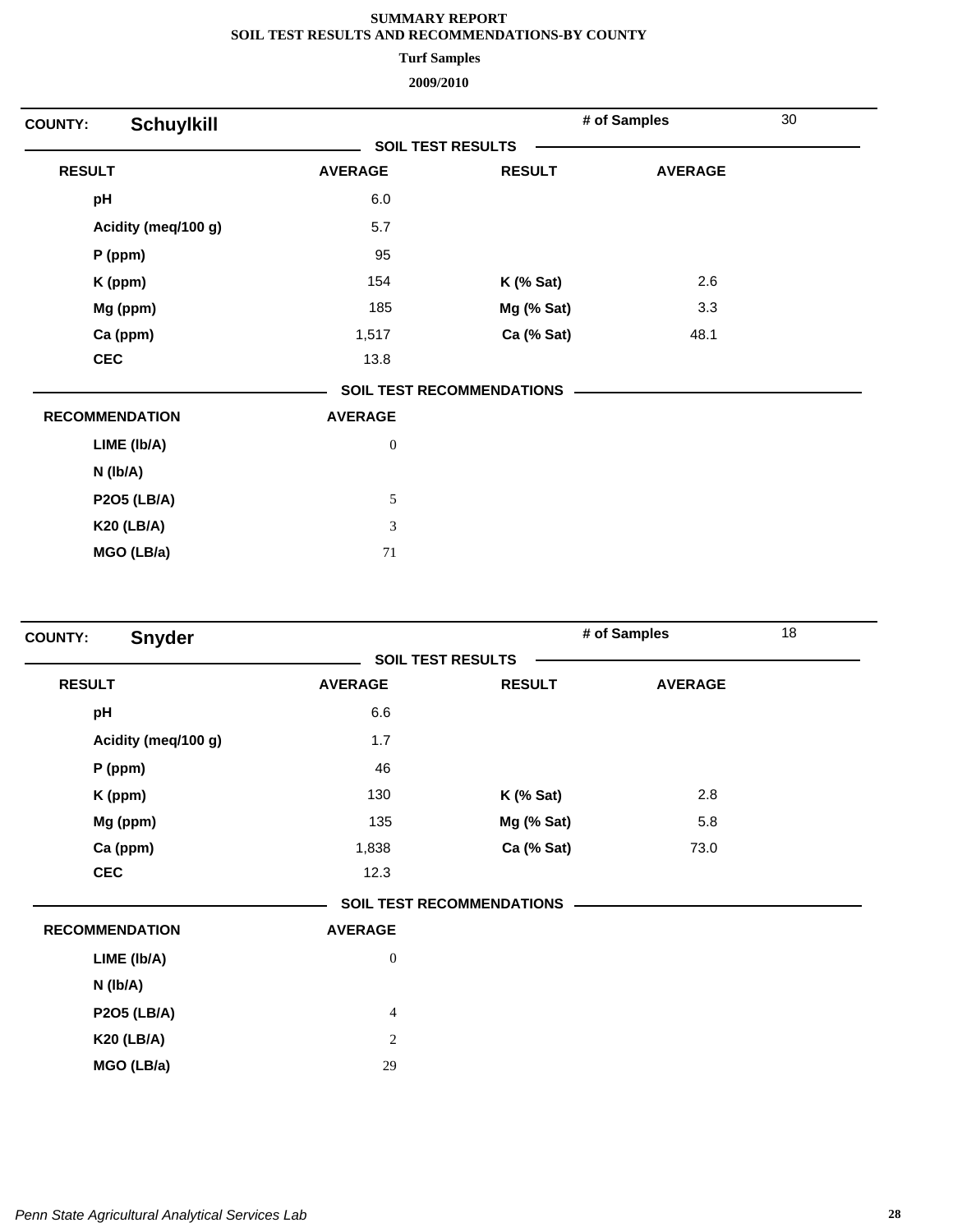**Turf Samples**

| <b>Schuylkill</b><br><b>COUNTY:</b> |                             |                                  | # of Samples   | 30 |
|-------------------------------------|-----------------------------|----------------------------------|----------------|----|
|                                     |                             | <b>SOIL TEST RESULTS</b>         |                |    |
| <b>RESULT</b>                       | <b>AVERAGE</b>              | <b>RESULT</b>                    | <b>AVERAGE</b> |    |
| pH                                  | 6.0                         |                                  |                |    |
| Acidity (meq/100 g)                 | 5.7                         |                                  |                |    |
| P (ppm)                             | 95                          |                                  |                |    |
| K (ppm)                             | 154                         | $K$ (% Sat)                      | 2.6            |    |
| Mg (ppm)                            | 185                         | Mg (% Sat)                       | 3.3            |    |
| Ca (ppm)                            | 1,517                       | Ca (% Sat)                       | 48.1           |    |
| <b>CEC</b>                          | 13.8                        |                                  |                |    |
|                                     |                             | <b>SOIL TEST RECOMMENDATIONS</b> |                |    |
| <b>RECOMMENDATION</b>               | <b>AVERAGE</b>              |                                  |                |    |
| LIME (Ib/A)                         | $\boldsymbol{0}$            |                                  |                |    |
| $N$ (lb/A)                          |                             |                                  |                |    |
| <b>P2O5 (LB/A)</b>                  | $\sqrt{5}$                  |                                  |                |    |
| <b>K20 (LB/A)</b>                   | $\ensuremath{\mathfrak{Z}}$ |                                  |                |    |
| MGO (LB/a)                          | 71                          |                                  |                |    |
|                                     |                             |                                  |                |    |

| Snyder<br><b>COUNTY:</b> |                  |                                  | # of Samples   | 18 |
|--------------------------|------------------|----------------------------------|----------------|----|
|                          |                  | <b>SOIL TEST RESULTS</b>         |                |    |
| <b>RESULT</b>            | <b>AVERAGE</b>   | <b>RESULT</b>                    | <b>AVERAGE</b> |    |
| pH                       | 6.6              |                                  |                |    |
| Acidity (meq/100 g)      | 1.7              |                                  |                |    |
| P (ppm)                  | 46               |                                  |                |    |
| K (ppm)                  | 130              | $K$ (% Sat)                      | 2.8            |    |
| Mg (ppm)                 | 135              | Mg (% Sat)                       | 5.8            |    |
| Ca (ppm)                 | 1,838            | Ca (% Sat)                       | 73.0           |    |
| <b>CEC</b>               | 12.3             |                                  |                |    |
|                          |                  | <b>SOIL TEST RECOMMENDATIONS</b> |                |    |
| <b>RECOMMENDATION</b>    | <b>AVERAGE</b>   |                                  |                |    |
| LIME (Ib/A)              | $\boldsymbol{0}$ |                                  |                |    |
| $N$ ( $lb/A$ )           |                  |                                  |                |    |
| <b>P2O5 (LB/A)</b>       | $\overline{4}$   |                                  |                |    |
| <b>K20 (LB/A)</b>        | $\overline{c}$   |                                  |                |    |
| MGO (LB/a)               | 29               |                                  |                |    |
|                          |                  |                                  |                |    |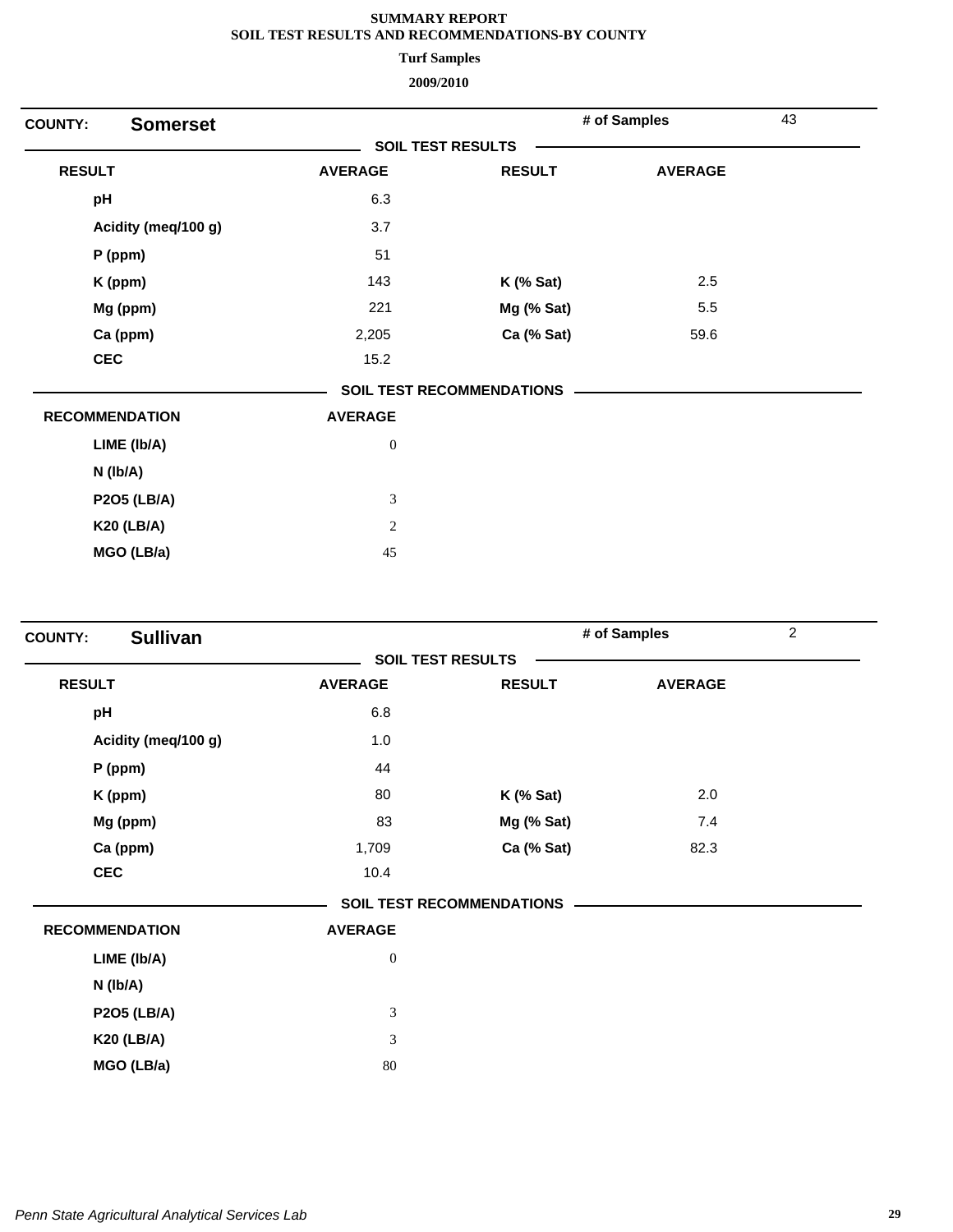**Turf Samples**

| <b>Somerset</b><br><b>COUNTY:</b> |                  |                                  | # of Samples   | 43 |
|-----------------------------------|------------------|----------------------------------|----------------|----|
|                                   |                  | <b>SOIL TEST RESULTS</b>         |                |    |
| <b>RESULT</b>                     | <b>AVERAGE</b>   | <b>RESULT</b>                    | <b>AVERAGE</b> |    |
| pH                                | 6.3              |                                  |                |    |
| Acidity (meq/100 g)               | 3.7              |                                  |                |    |
| $P$ (ppm)                         | 51               |                                  |                |    |
| K (ppm)                           | 143              | $K$ (% Sat)                      | 2.5            |    |
| Mg (ppm)                          | 221              | Mg (% Sat)                       | 5.5            |    |
| Ca (ppm)                          | 2,205            | Ca (% Sat)                       | 59.6           |    |
| <b>CEC</b>                        | 15.2             |                                  |                |    |
|                                   |                  | <b>SOIL TEST RECOMMENDATIONS</b> |                |    |
| <b>RECOMMENDATION</b>             | <b>AVERAGE</b>   |                                  |                |    |
| LIME (Ib/A)                       | $\boldsymbol{0}$ |                                  |                |    |
| $N$ ( $lb/A$ )                    |                  |                                  |                |    |
| <b>P2O5 (LB/A)</b>                | $\mathfrak{Z}$   |                                  |                |    |
| <b>K20 (LB/A)</b>                 | $\mathbf{2}$     |                                  |                |    |
| MGO (LB/a)                        | 45               |                                  |                |    |

| <b>Sullivan</b><br><b>COUNTY:</b> |                             |                                  | # of Samples   | $\overline{2}$ |
|-----------------------------------|-----------------------------|----------------------------------|----------------|----------------|
|                                   |                             | <b>SOIL TEST RESULTS</b>         |                |                |
| <b>RESULT</b>                     | <b>AVERAGE</b>              | <b>RESULT</b>                    | <b>AVERAGE</b> |                |
| pH                                | 6.8                         |                                  |                |                |
| Acidity (meq/100 g)               | 1.0                         |                                  |                |                |
| P (ppm)                           | 44                          |                                  |                |                |
| K (ppm)                           | 80                          | $K$ (% Sat)                      | 2.0            |                |
| Mg (ppm)                          | 83                          | Mg (% Sat)                       | 7.4            |                |
| Ca (ppm)                          | 1,709                       | Ca (% Sat)                       | 82.3           |                |
| <b>CEC</b>                        | 10.4                        |                                  |                |                |
|                                   |                             | <b>SOIL TEST RECOMMENDATIONS</b> |                |                |
| <b>RECOMMENDATION</b>             | <b>AVERAGE</b>              |                                  |                |                |
| LIME (Ib/A)                       | $\boldsymbol{0}$            |                                  |                |                |
| N (Ib/A)                          |                             |                                  |                |                |
| <b>P2O5 (LB/A)</b>                | $\ensuremath{\mathfrak{Z}}$ |                                  |                |                |
| <b>K20 (LB/A)</b>                 | $\mathfrak{Z}$              |                                  |                |                |
| MGO (LB/a)                        | 80                          |                                  |                |                |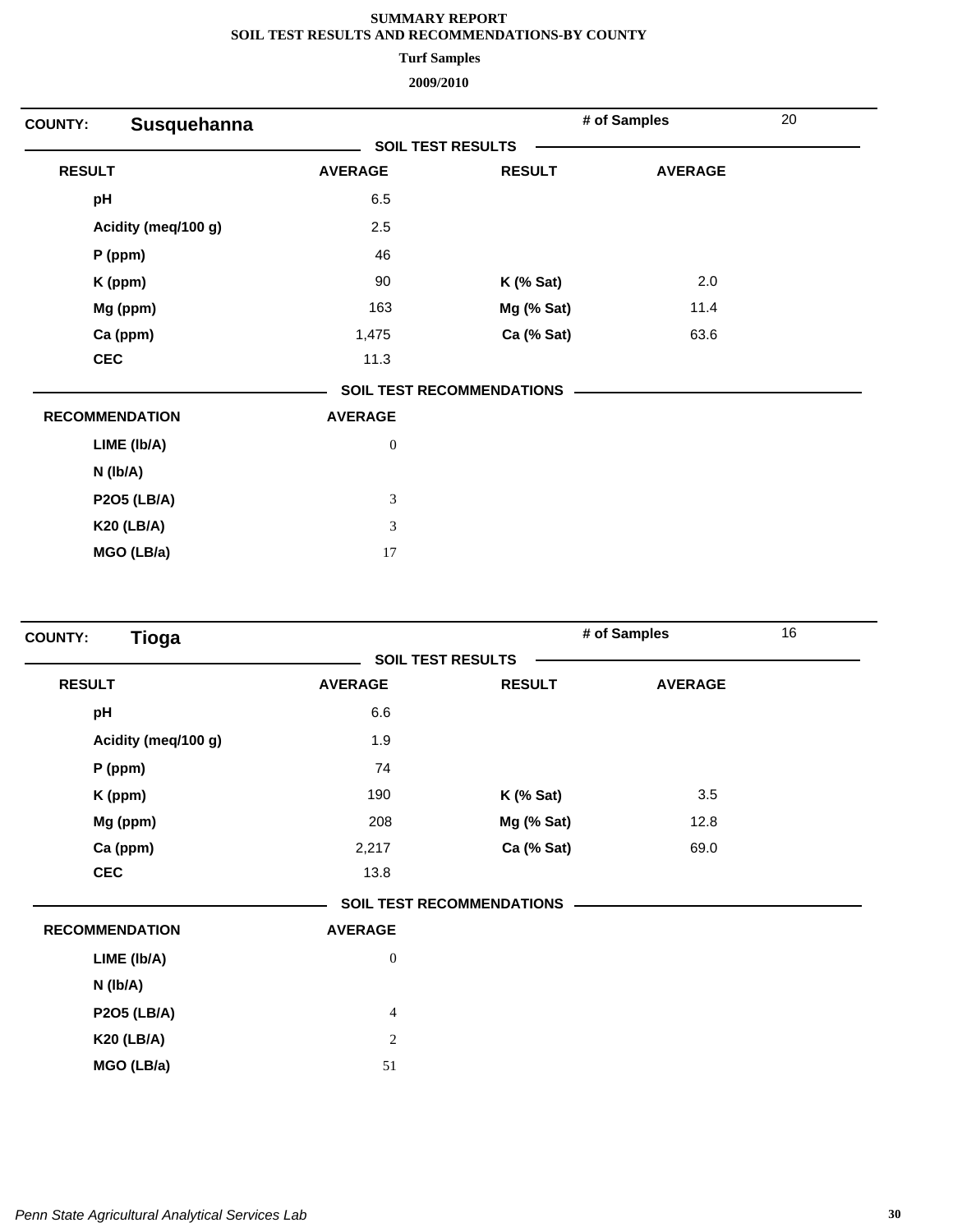**Turf Samples**

| Susquehanna<br><b>COUNTY:</b> |                  |                           | # of Samples   | 20 |
|-------------------------------|------------------|---------------------------|----------------|----|
|                               |                  | <b>SOIL TEST RESULTS</b>  |                |    |
| <b>RESULT</b>                 | <b>AVERAGE</b>   | <b>RESULT</b>             | <b>AVERAGE</b> |    |
| pH                            | 6.5              |                           |                |    |
| Acidity (meq/100 g)           | 2.5              |                           |                |    |
| $P$ (ppm)                     | 46               |                           |                |    |
| K (ppm)                       | 90               | <b>K</b> (% Sat)          | 2.0            |    |
| Mg (ppm)                      | 163              | Mg (% Sat)                | 11.4           |    |
| Ca (ppm)                      | 1,475            | Ca (% Sat)                | 63.6           |    |
| <b>CEC</b>                    | 11.3             |                           |                |    |
|                               |                  | SOIL TEST RECOMMENDATIONS |                |    |
| <b>RECOMMENDATION</b>         | <b>AVERAGE</b>   |                           |                |    |
| LIME (Ib/A)                   | $\boldsymbol{0}$ |                           |                |    |
| $N$ ( $lb/A$ )                |                  |                           |                |    |
| <b>P2O5 (LB/A)</b>            | $\mathfrak{Z}$   |                           |                |    |
| <b>K20 (LB/A)</b>             | 3                |                           |                |    |
| MGO (LB/a)                    | 17               |                           |                |    |

| <b>Tioga</b><br><b>COUNTY:</b> |                  |                                  | # of Samples   | 16 |
|--------------------------------|------------------|----------------------------------|----------------|----|
|                                |                  | <b>SOIL TEST RESULTS</b>         |                |    |
| <b>RESULT</b>                  | <b>AVERAGE</b>   | <b>RESULT</b>                    | <b>AVERAGE</b> |    |
| pH                             | 6.6              |                                  |                |    |
| Acidity (meq/100 g)            | 1.9              |                                  |                |    |
| $P$ (ppm)                      | 74               |                                  |                |    |
| K (ppm)                        | 190              | $K$ (% Sat)                      | 3.5            |    |
| Mg (ppm)                       | 208              | Mg (% Sat)                       | 12.8           |    |
| Ca (ppm)                       | 2,217            | Ca (% Sat)                       | 69.0           |    |
| <b>CEC</b>                     | 13.8             |                                  |                |    |
|                                |                  | <b>SOIL TEST RECOMMENDATIONS</b> |                |    |
| <b>RECOMMENDATION</b>          | <b>AVERAGE</b>   |                                  |                |    |
| LIME (Ib/A)                    | $\boldsymbol{0}$ |                                  |                |    |
| N (lb/A)                       |                  |                                  |                |    |
| <b>P2O5 (LB/A)</b>             | $\overline{4}$   |                                  |                |    |
| <b>K20 (LB/A)</b>              | $\sqrt{2}$       |                                  |                |    |
| MGO (LB/a)                     | 51               |                                  |                |    |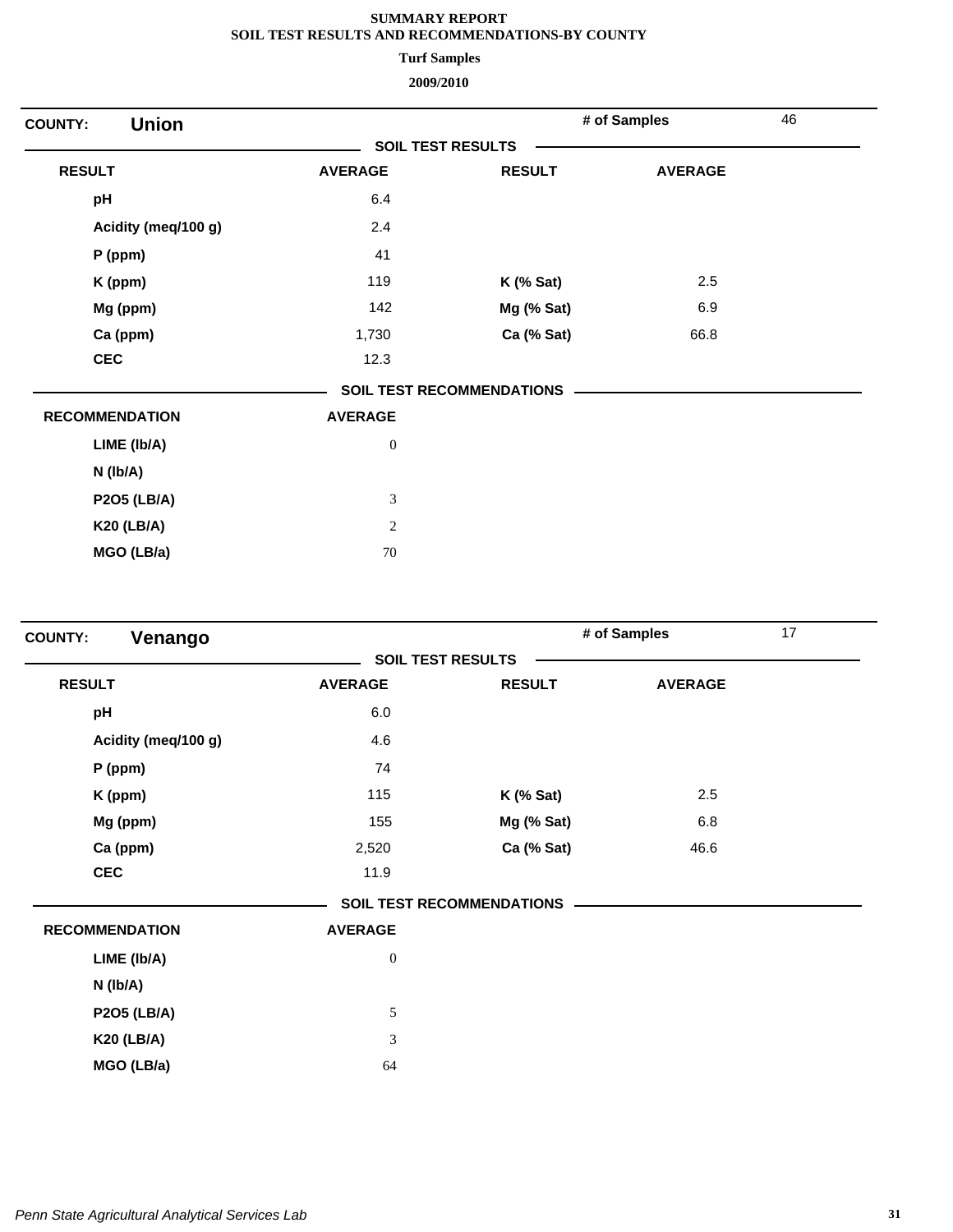**Turf Samples**

| <b>Union</b><br><b>COUNTY:</b> |                          |                                  | # of Samples   | 46 |
|--------------------------------|--------------------------|----------------------------------|----------------|----|
|                                | <b>SOIL TEST RESULTS</b> |                                  |                |    |
| <b>RESULT</b>                  | <b>AVERAGE</b>           | <b>RESULT</b>                    | <b>AVERAGE</b> |    |
| pH                             | 6.4                      |                                  |                |    |
| Acidity (meq/100 g)            | 2.4                      |                                  |                |    |
| $P$ (ppm)                      | 41                       |                                  |                |    |
| K (ppm)                        | 119                      | $K$ (% Sat)                      | 2.5            |    |
| Mg (ppm)                       | 142                      | Mg (% Sat)                       | 6.9            |    |
| Ca (ppm)                       | 1,730                    | Ca (% Sat)                       | 66.8           |    |
| <b>CEC</b>                     | 12.3                     |                                  |                |    |
|                                |                          | <b>SOIL TEST RECOMMENDATIONS</b> |                |    |
| <b>RECOMMENDATION</b>          | <b>AVERAGE</b>           |                                  |                |    |
| LIME (Ib/A)                    | $\boldsymbol{0}$         |                                  |                |    |
| N (Ib/A)                       |                          |                                  |                |    |
| <b>P2O5 (LB/A)</b>             | $\mathfrak{Z}$           |                                  |                |    |
| <b>K20 (LB/A)</b>              | $\overline{c}$           |                                  |                |    |
| MGO (LB/a)                     | 70                       |                                  |                |    |

| Venango<br><b>COUNTY:</b> |                  |                                  | # of Samples   | 17 |
|---------------------------|------------------|----------------------------------|----------------|----|
|                           |                  | <b>SOIL TEST RESULTS</b>         |                |    |
| <b>RESULT</b>             | <b>AVERAGE</b>   | <b>RESULT</b>                    | <b>AVERAGE</b> |    |
| pH                        | 6.0              |                                  |                |    |
| Acidity (meq/100 g)       | 4.6              |                                  |                |    |
| $P$ (ppm)                 | 74               |                                  |                |    |
| K (ppm)                   | 115              | $K$ (% Sat)                      | 2.5            |    |
| Mg (ppm)                  | 155              | Mg (% Sat)                       | 6.8            |    |
| Ca (ppm)                  | 2,520            | Ca (% Sat)                       | 46.6           |    |
| <b>CEC</b>                | 11.9             |                                  |                |    |
|                           |                  | <b>SOIL TEST RECOMMENDATIONS</b> |                |    |
| <b>RECOMMENDATION</b>     | <b>AVERAGE</b>   |                                  |                |    |
| LIME (Ib/A)               | $\boldsymbol{0}$ |                                  |                |    |
| N (lb/A)                  |                  |                                  |                |    |
| <b>P2O5 (LB/A)</b>        | 5                |                                  |                |    |
| <b>K20 (LB/A)</b>         | $\mathfrak{Z}$   |                                  |                |    |
| MGO (LB/a)                | 64               |                                  |                |    |
|                           |                  |                                  |                |    |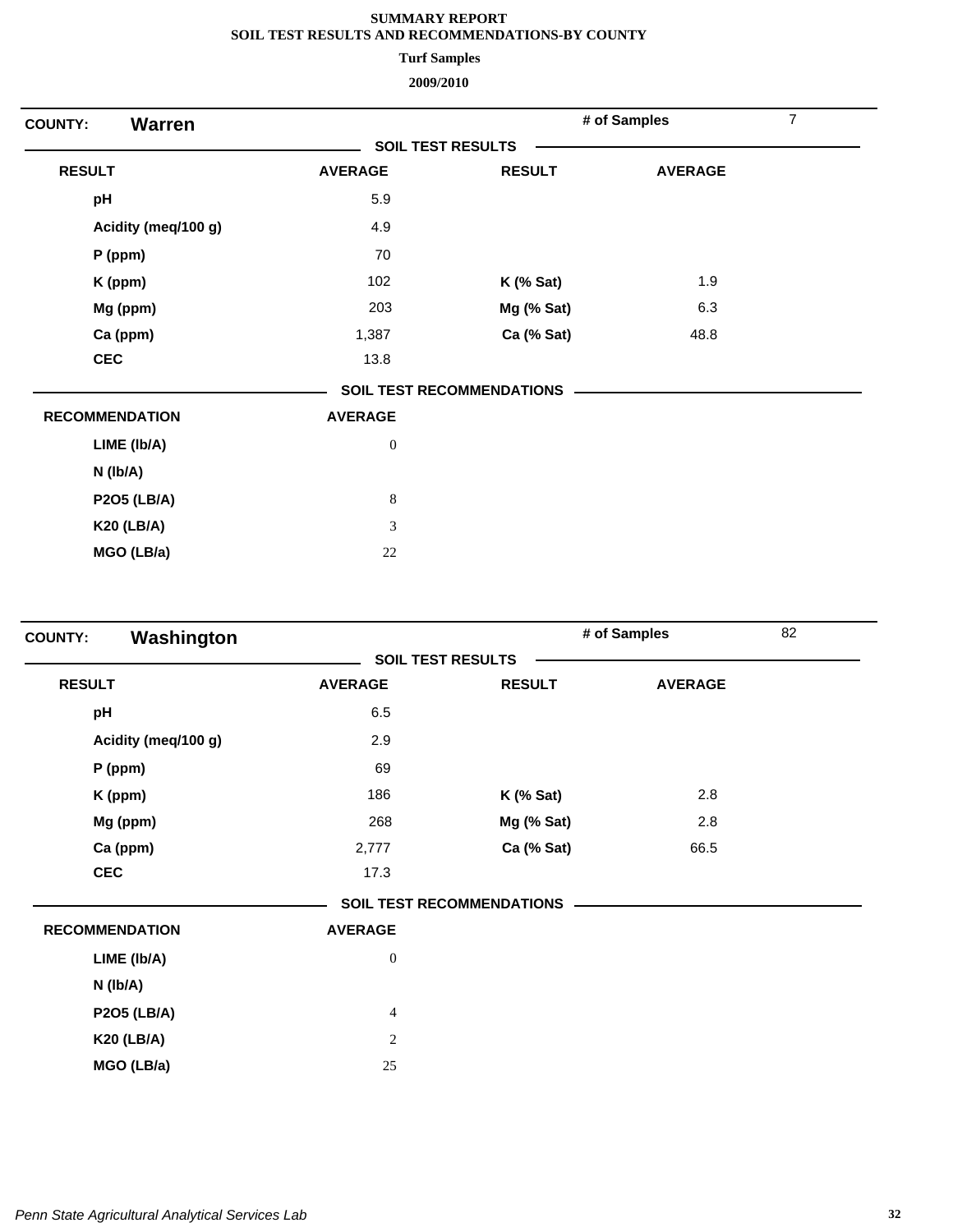**Turf Samples**

| <b>Warren</b><br><b>COUNTY:</b> |                          |                                  | # of Samples   | $\overline{7}$ |
|---------------------------------|--------------------------|----------------------------------|----------------|----------------|
|                                 | <b>SOIL TEST RESULTS</b> |                                  |                |                |
| <b>RESULT</b>                   | <b>AVERAGE</b>           | <b>RESULT</b>                    | <b>AVERAGE</b> |                |
| pH                              | 5.9                      |                                  |                |                |
| Acidity (meq/100 g)             | 4.9                      |                                  |                |                |
| P (ppm)                         | 70                       |                                  |                |                |
| K (ppm)                         | 102                      | $K$ (% Sat)                      | 1.9            |                |
| Mg (ppm)                        | 203                      | Mg (% Sat)                       | 6.3            |                |
| Ca (ppm)                        | 1,387                    | Ca (% Sat)                       | 48.8           |                |
| <b>CEC</b>                      | 13.8                     |                                  |                |                |
|                                 |                          | <b>SOIL TEST RECOMMENDATIONS</b> |                |                |
| <b>RECOMMENDATION</b>           | <b>AVERAGE</b>           |                                  |                |                |
| LIME (Ib/A)                     | $\boldsymbol{0}$         |                                  |                |                |
| $N$ ( $lb/A$ )                  |                          |                                  |                |                |
| <b>P2O5 (LB/A)</b>              | $\,8\,$                  |                                  |                |                |
| <b>K20 (LB/A)</b>               | 3                        |                                  |                |                |
| MGO (LB/a)                      | $22\,$                   |                                  |                |                |

| Washington<br><b>COUNTY:</b> |                          |                           | # of Samples   | 82 |
|------------------------------|--------------------------|---------------------------|----------------|----|
|                              | <b>SOIL TEST RESULTS</b> |                           |                |    |
| <b>RESULT</b>                | <b>AVERAGE</b>           | <b>RESULT</b>             | <b>AVERAGE</b> |    |
| pH                           | 6.5                      |                           |                |    |
| Acidity (meq/100 g)          | 2.9                      |                           |                |    |
| $P$ (ppm)                    | 69                       |                           |                |    |
| K (ppm)                      | 186                      | $K$ (% Sat)               | 2.8            |    |
| Mg (ppm)                     | 268                      | Mg (% Sat)                | 2.8            |    |
| Ca (ppm)                     | 2,777                    | Ca (% Sat)                | 66.5           |    |
| <b>CEC</b>                   | 17.3                     |                           |                |    |
|                              |                          | SOIL TEST RECOMMENDATIONS |                |    |
| <b>RECOMMENDATION</b>        | <b>AVERAGE</b>           |                           |                |    |
| LIME (Ib/A)                  | $\boldsymbol{0}$         |                           |                |    |
| N (lb/A)                     |                          |                           |                |    |
| <b>P2O5 (LB/A)</b>           | $\overline{4}$           |                           |                |    |
| <b>K20 (LB/A)</b>            | $\overline{c}$           |                           |                |    |
| MGO (LB/a)                   | 25                       |                           |                |    |
|                              |                          |                           |                |    |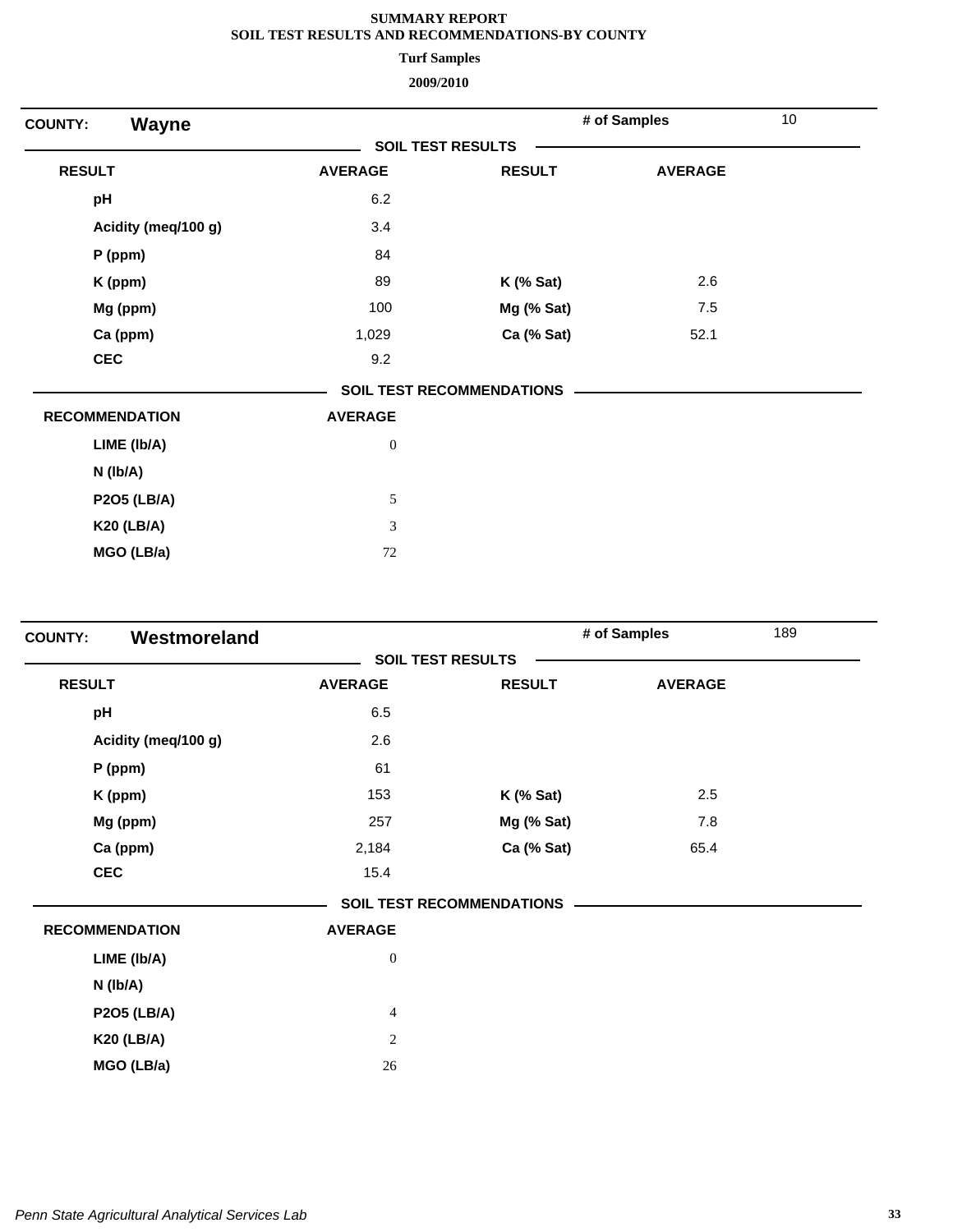**Turf Samples**

| Wayne<br><b>COUNTY:</b> |                          |                                  | # of Samples   | 10 |
|-------------------------|--------------------------|----------------------------------|----------------|----|
|                         | <b>SOIL TEST RESULTS</b> |                                  |                |    |
| <b>RESULT</b>           | <b>AVERAGE</b>           | <b>RESULT</b>                    | <b>AVERAGE</b> |    |
| pH                      | 6.2                      |                                  |                |    |
| Acidity (meq/100 g)     | 3.4                      |                                  |                |    |
| $P$ (ppm)               | 84                       |                                  |                |    |
| K (ppm)                 | 89                       | <b>K</b> (% Sat)                 | 2.6            |    |
| Mg (ppm)                | 100                      | Mg (% Sat)                       | 7.5            |    |
| Ca (ppm)                | 1,029                    | Ca (% Sat)                       | 52.1           |    |
| <b>CEC</b>              | 9.2                      |                                  |                |    |
|                         |                          | <b>SOIL TEST RECOMMENDATIONS</b> |                |    |
| <b>RECOMMENDATION</b>   | <b>AVERAGE</b>           |                                  |                |    |
| LIME (Ib/A)             | $\boldsymbol{0}$         |                                  |                |    |
| $N$ ( $lb/A$ )          |                          |                                  |                |    |
| <b>P2O5 (LB/A)</b>      | 5                        |                                  |                |    |
| <b>K20 (LB/A)</b>       | 3                        |                                  |                |    |
| MGO (LB/a)              | $72\,$                   |                                  |                |    |

| Westmoreland<br><b>COUNTY:</b> |                  |                                  | # of Samples   | 189 |
|--------------------------------|------------------|----------------------------------|----------------|-----|
|                                |                  | <b>SOIL TEST RESULTS</b>         |                |     |
| <b>RESULT</b>                  | <b>AVERAGE</b>   | <b>RESULT</b>                    | <b>AVERAGE</b> |     |
| pH                             | 6.5              |                                  |                |     |
| Acidity (meq/100 g)            | 2.6              |                                  |                |     |
| $P$ (ppm)                      | 61               |                                  |                |     |
| K (ppm)                        | 153              | $K$ (% Sat)                      | 2.5            |     |
| Mg (ppm)                       | 257              | Mg (% Sat)                       | 7.8            |     |
| Ca (ppm)                       | 2,184            | Ca (% Sat)                       | 65.4           |     |
| <b>CEC</b>                     | 15.4             |                                  |                |     |
|                                |                  | <b>SOIL TEST RECOMMENDATIONS</b> |                |     |
| <b>RECOMMENDATION</b>          | <b>AVERAGE</b>   |                                  |                |     |
| LIME (Ib/A)                    | $\boldsymbol{0}$ |                                  |                |     |
| N (lb/A)                       |                  |                                  |                |     |
| <b>P2O5 (LB/A)</b>             | $\overline{4}$   |                                  |                |     |
| <b>K20 (LB/A)</b>              | $\mathbf{2}$     |                                  |                |     |
| MGO (LB/a)                     | 26               |                                  |                |     |
|                                |                  |                                  |                |     |